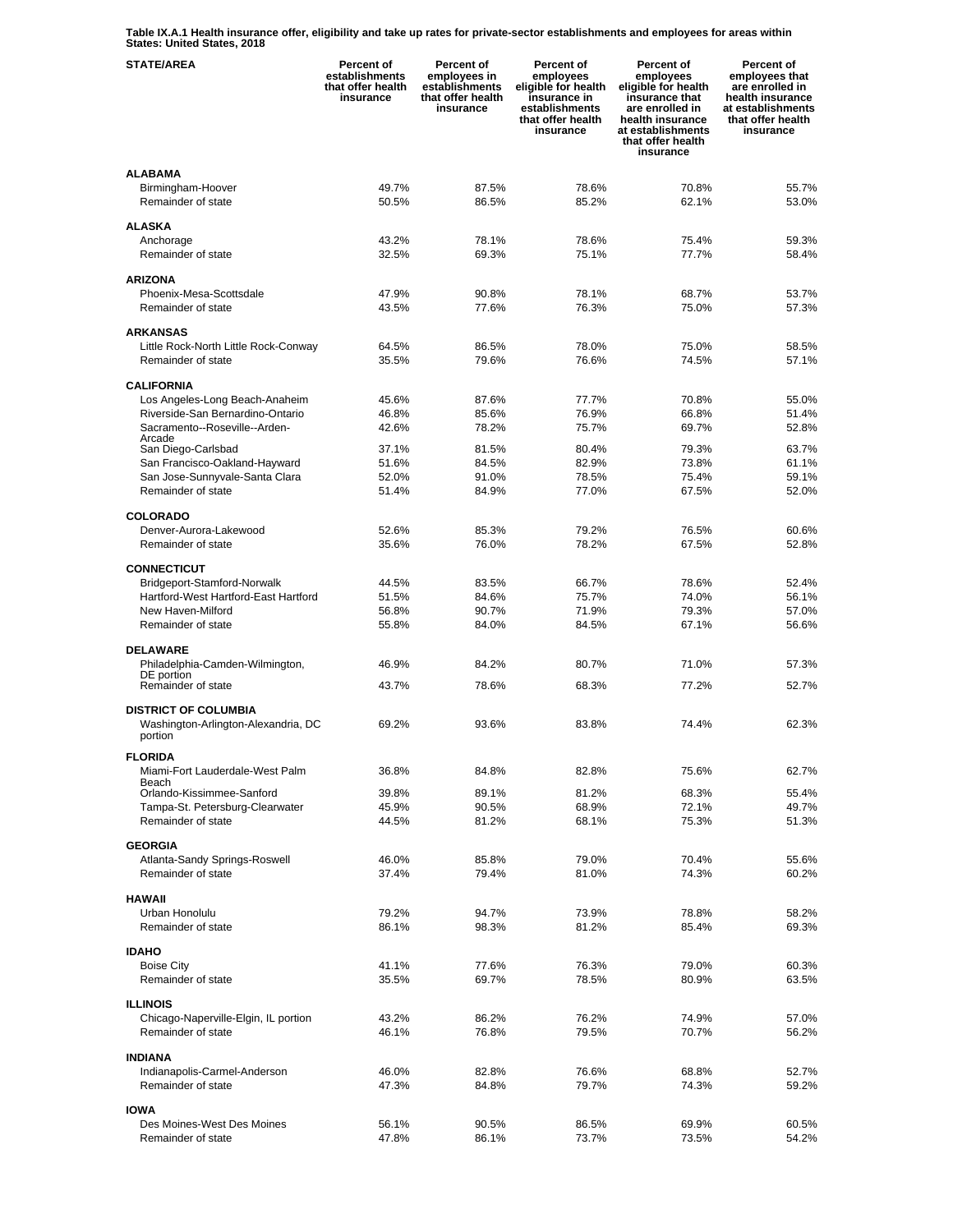**Table IX.A.1 Health insurance offer, eligibility and take up rates for private-sector establishments and employees for areas within States: United States, 2018** 

| <b>STATE/AREA</b>                    | <b>Percent of</b><br>establishments<br>that offer health<br>insurance | Percent of<br>employees in<br>establishments<br>that offer health<br>insurance | Percent of<br>employees<br>eligible for health<br>insurance in<br>establishments<br>that offer health<br>insurance | Percent of<br>employees<br>eligible for health<br>insurance that<br>are enrolled in<br>health insurance<br>at establishments<br>that offer health<br>insurance | Percent of<br>employees that<br>are enrolled in<br>health insurance<br>at establishments<br>that offer health<br>insurance |
|--------------------------------------|-----------------------------------------------------------------------|--------------------------------------------------------------------------------|--------------------------------------------------------------------------------------------------------------------|----------------------------------------------------------------------------------------------------------------------------------------------------------------|----------------------------------------------------------------------------------------------------------------------------|
| <b>ALABAMA</b>                       |                                                                       |                                                                                |                                                                                                                    |                                                                                                                                                                |                                                                                                                            |
| Birmingham-Hoover                    | 49.7%                                                                 | 87.5%                                                                          | 78.6%                                                                                                              | 70.8%                                                                                                                                                          | 55.7%                                                                                                                      |
| Remainder of state                   | 50.5%                                                                 | 86.5%                                                                          | 85.2%                                                                                                              | 62.1%                                                                                                                                                          | 53.0%                                                                                                                      |
| <b>ALASKA</b>                        |                                                                       |                                                                                |                                                                                                                    |                                                                                                                                                                |                                                                                                                            |
| Anchorage                            | 43.2%                                                                 | 78.1%                                                                          | 78.6%                                                                                                              | 75.4%                                                                                                                                                          | 59.3%                                                                                                                      |
| Remainder of state                   | 32.5%                                                                 | 69.3%                                                                          | 75.1%                                                                                                              | 77.7%                                                                                                                                                          | 58.4%                                                                                                                      |
| <b>ARIZONA</b>                       |                                                                       |                                                                                |                                                                                                                    |                                                                                                                                                                |                                                                                                                            |
| Phoenix-Mesa-Scottsdale              | 47.9%                                                                 | 90.8%                                                                          | 78.1%                                                                                                              | 68.7%                                                                                                                                                          | 53.7%                                                                                                                      |
| Remainder of state                   | 43.5%                                                                 | 77.6%                                                                          | 76.3%                                                                                                              | 75.0%                                                                                                                                                          | 57.3%                                                                                                                      |
|                                      |                                                                       |                                                                                |                                                                                                                    |                                                                                                                                                                |                                                                                                                            |
| <b>ARKANSAS</b>                      |                                                                       |                                                                                |                                                                                                                    |                                                                                                                                                                |                                                                                                                            |
| Little Rock-North Little Rock-Conway | 64.5%                                                                 | 86.5%                                                                          | 78.0%                                                                                                              | 75.0%                                                                                                                                                          | 58.5%                                                                                                                      |
| Remainder of state                   | 35.5%                                                                 | 79.6%                                                                          | 76.6%                                                                                                              | 74.5%                                                                                                                                                          | 57.1%                                                                                                                      |
| <b>CALIFORNIA</b>                    |                                                                       |                                                                                |                                                                                                                    |                                                                                                                                                                |                                                                                                                            |
| Los Angeles-Long Beach-Anaheim       | 45.6%                                                                 | 87.6%                                                                          | 77.7%                                                                                                              | 70.8%                                                                                                                                                          | 55.0%                                                                                                                      |
| Riverside-San Bernardino-Ontario     | 46.8%                                                                 | 85.6%                                                                          | 76.9%                                                                                                              | 66.8%                                                                                                                                                          | 51.4%                                                                                                                      |
| Sacramento--Roseville--Arden-        | 42.6%                                                                 | 78.2%                                                                          | 75.7%                                                                                                              | 69.7%                                                                                                                                                          | 52.8%                                                                                                                      |
| Arcade<br>San Diego-Carlsbad         | 37.1%                                                                 | 81.5%                                                                          | 80.4%                                                                                                              | 79.3%                                                                                                                                                          | 63.7%                                                                                                                      |
| San Francisco-Oakland-Hayward        | 51.6%                                                                 | 84.5%                                                                          | 82.9%                                                                                                              | 73.8%                                                                                                                                                          | 61.1%                                                                                                                      |
| San Jose-Sunnyvale-Santa Clara       | 52.0%                                                                 | 91.0%                                                                          | 78.5%                                                                                                              | 75.4%                                                                                                                                                          | 59.1%                                                                                                                      |
| Remainder of state                   | 51.4%                                                                 | 84.9%                                                                          | 77.0%                                                                                                              | 67.5%                                                                                                                                                          | 52.0%                                                                                                                      |
|                                      |                                                                       |                                                                                |                                                                                                                    |                                                                                                                                                                |                                                                                                                            |
| <b>COLORADO</b>                      |                                                                       |                                                                                |                                                                                                                    |                                                                                                                                                                |                                                                                                                            |
| Denver-Aurora-Lakewood               | 52.6%                                                                 | 85.3%                                                                          | 79.2%                                                                                                              | 76.5%                                                                                                                                                          | 60.6%                                                                                                                      |
| Remainder of state                   | 35.6%                                                                 | 76.0%                                                                          | 78.2%                                                                                                              | 67.5%                                                                                                                                                          | 52.8%                                                                                                                      |
| <b>CONNECTICUT</b>                   |                                                                       |                                                                                |                                                                                                                    |                                                                                                                                                                |                                                                                                                            |
| Bridgeport-Stamford-Norwalk          | 44.5%                                                                 | 83.5%                                                                          | 66.7%                                                                                                              | 78.6%                                                                                                                                                          | 52.4%                                                                                                                      |
| Hartford-West Hartford-East Hartford | 51.5%                                                                 | 84.6%                                                                          | 75.7%                                                                                                              | 74.0%                                                                                                                                                          | 56.1%                                                                                                                      |
| New Haven-Milford                    | 56.8%                                                                 | 90.7%                                                                          | 71.9%                                                                                                              | 79.3%                                                                                                                                                          | 57.0%                                                                                                                      |
| Remainder of state                   | 55.8%                                                                 | 84.0%                                                                          | 84.5%                                                                                                              | 67.1%                                                                                                                                                          | 56.6%                                                                                                                      |
| <b>DELAWARE</b>                      |                                                                       |                                                                                |                                                                                                                    |                                                                                                                                                                |                                                                                                                            |
| Philadelphia-Camden-Wilmington,      | 46.9%                                                                 | 84.2%                                                                          | 80.7%                                                                                                              | 71.0%                                                                                                                                                          | 57.3%                                                                                                                      |
| DE portion                           |                                                                       |                                                                                |                                                                                                                    |                                                                                                                                                                |                                                                                                                            |
| Remainder of state                   | 43.7%                                                                 | 78.6%                                                                          | 68.3%                                                                                                              | 77.2%                                                                                                                                                          | 52.7%                                                                                                                      |
| <b>DISTRICT OF COLUMBIA</b>          |                                                                       |                                                                                |                                                                                                                    |                                                                                                                                                                |                                                                                                                            |
| Washington-Arlington-Alexandria, DC  | 69.2%                                                                 | 93.6%                                                                          | 83.8%                                                                                                              | 74.4%                                                                                                                                                          | 62.3%                                                                                                                      |
| portion                              |                                                                       |                                                                                |                                                                                                                    |                                                                                                                                                                |                                                                                                                            |
| <b>FLORIDA</b>                       |                                                                       |                                                                                |                                                                                                                    |                                                                                                                                                                |                                                                                                                            |
| Miami-Fort Lauderdale-West Palm      | 36.8%                                                                 | 84.8%                                                                          | 82.8%                                                                                                              | 75.6%                                                                                                                                                          | 62.7%                                                                                                                      |
| Beach<br>Orlando-Kissimmee-Sanford   | 39.8%                                                                 | 89.1%                                                                          | 81.2%                                                                                                              | 68.3%                                                                                                                                                          | 55.4%                                                                                                                      |
| Tampa-St. Petersburg-Clearwater      | 45.9%                                                                 | 90.5%                                                                          | 68.9%                                                                                                              | 72.1%                                                                                                                                                          | 49.7%                                                                                                                      |
| Remainder of state                   | 44.5%                                                                 | 81.2%                                                                          | 68.1%                                                                                                              | 75.3%                                                                                                                                                          | 51.3%                                                                                                                      |
|                                      |                                                                       |                                                                                |                                                                                                                    |                                                                                                                                                                |                                                                                                                            |
| <b>GEORGIA</b>                       |                                                                       |                                                                                |                                                                                                                    |                                                                                                                                                                |                                                                                                                            |
| Atlanta-Sandy Springs-Roswell        | 46.0%                                                                 | 85.8%                                                                          | 79.0%                                                                                                              | 70.4%                                                                                                                                                          | 55.6%                                                                                                                      |
| Remainder of state                   | 37.4%                                                                 | 79.4%                                                                          | 81.0%                                                                                                              | 74.3%                                                                                                                                                          | 60.2%                                                                                                                      |
| <b>HAWAII</b>                        |                                                                       |                                                                                |                                                                                                                    |                                                                                                                                                                |                                                                                                                            |
| Urban Honolulu                       | 79.2%                                                                 | 94.7%                                                                          | 73.9%                                                                                                              | 78.8%                                                                                                                                                          | 58.2%                                                                                                                      |
| Remainder of state                   | 86.1%                                                                 | 98.3%                                                                          | 81.2%                                                                                                              | 85.4%                                                                                                                                                          | 69.3%                                                                                                                      |
| <b>IDAHO</b>                         |                                                                       |                                                                                |                                                                                                                    |                                                                                                                                                                |                                                                                                                            |
| <b>Boise City</b>                    | 41.1%                                                                 | 77.6%                                                                          | 76.3%                                                                                                              | 79.0%                                                                                                                                                          | 60.3%                                                                                                                      |
| Remainder of state                   | 35.5%                                                                 | 69.7%                                                                          | 78.5%                                                                                                              | 80.9%                                                                                                                                                          | 63.5%                                                                                                                      |
|                                      |                                                                       |                                                                                |                                                                                                                    |                                                                                                                                                                |                                                                                                                            |
| <b>ILLINOIS</b>                      |                                                                       |                                                                                |                                                                                                                    |                                                                                                                                                                |                                                                                                                            |
| Chicago-Naperville-Elgin, IL portion | 43.2%                                                                 | 86.2%                                                                          | 76.2%                                                                                                              | 74.9%                                                                                                                                                          | 57.0%                                                                                                                      |
| Remainder of state                   | 46.1%                                                                 | 76.8%                                                                          | 79.5%                                                                                                              | 70.7%                                                                                                                                                          | 56.2%                                                                                                                      |
| <b>INDIANA</b>                       |                                                                       |                                                                                |                                                                                                                    |                                                                                                                                                                |                                                                                                                            |
| Indianapolis-Carmel-Anderson         | 46.0%                                                                 | 82.8%                                                                          | 76.6%                                                                                                              | 68.8%                                                                                                                                                          | 52.7%                                                                                                                      |
| Remainder of state                   | 47.3%                                                                 | 84.8%                                                                          | 79.7%                                                                                                              | 74.3%                                                                                                                                                          | 59.2%                                                                                                                      |
| <b>IOWA</b>                          |                                                                       |                                                                                |                                                                                                                    |                                                                                                                                                                |                                                                                                                            |
| Des Moines-West Des Moines           | 56.1%                                                                 | 90.5%                                                                          | 86.5%                                                                                                              | 69.9%                                                                                                                                                          | 60.5%                                                                                                                      |
| Remainder of state                   | 47.8%                                                                 | 86.1%                                                                          | 73.7%                                                                                                              | 73.5%                                                                                                                                                          | 54.2%                                                                                                                      |
|                                      |                                                                       |                                                                                |                                                                                                                    |                                                                                                                                                                |                                                                                                                            |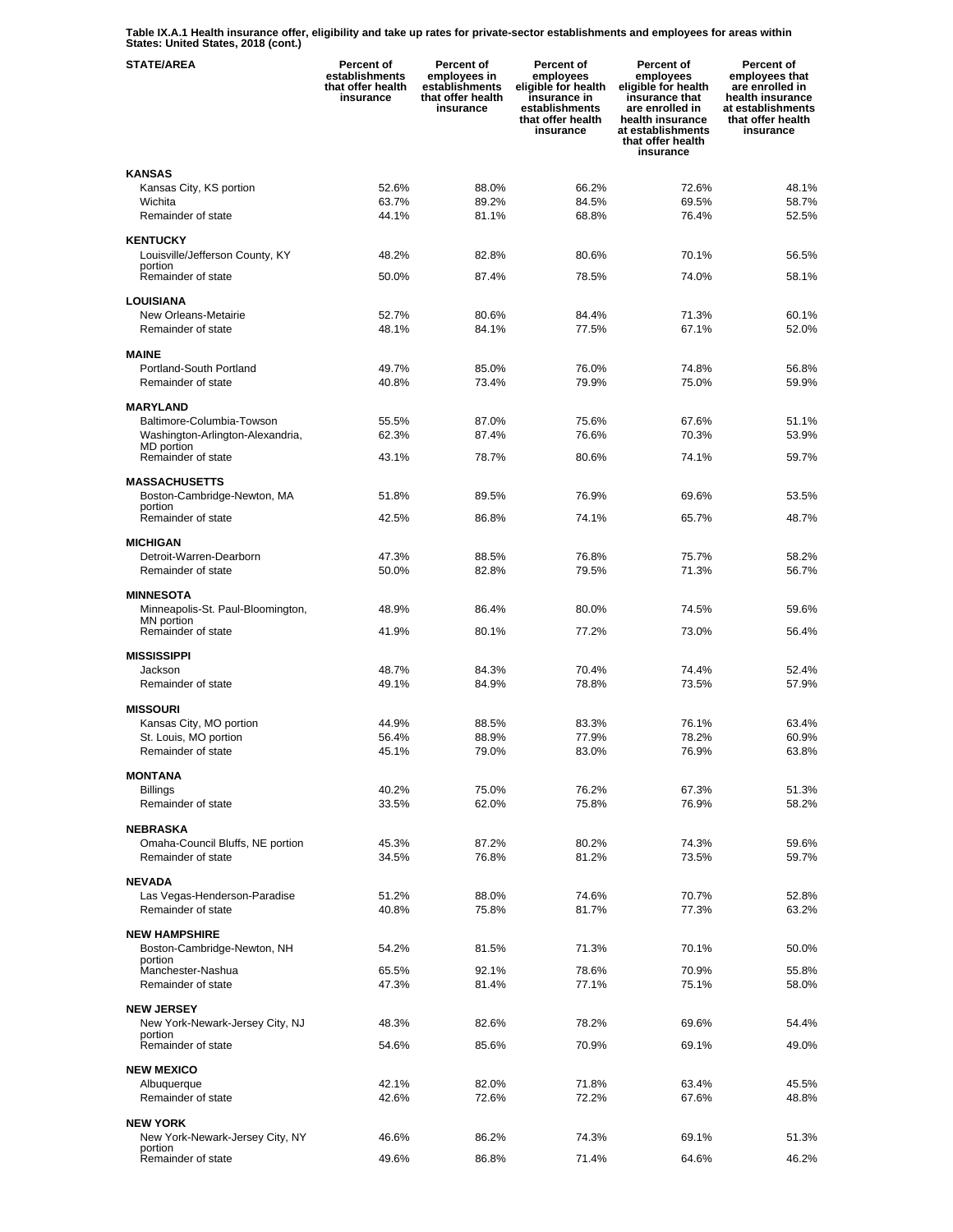**Table IX.A.1 Health insurance offer, eligibility and take up rates for private-sector establishments and employees for areas within States: United States, 2018 (cont.)** 

| <b>STATE/AREA</b>                               | Percent of<br>establishments<br>that offer health<br>insurance | Percent of<br>employees in<br>establishments<br>that offer health<br>insurance | Percent of<br>employees<br>eligible for health<br>insurance in<br>establishments<br>that offer health<br>insurance | Percent of<br>employees<br>eligible for health<br>insurance that<br>are enrolled in<br>health insurance<br>at establishments<br>that offer health<br>insurance | Percent of<br>employees that<br>are enrolled in<br>health insurance<br>at establishments<br>that offer health<br>insurance |
|-------------------------------------------------|----------------------------------------------------------------|--------------------------------------------------------------------------------|--------------------------------------------------------------------------------------------------------------------|----------------------------------------------------------------------------------------------------------------------------------------------------------------|----------------------------------------------------------------------------------------------------------------------------|
| <b>KANSAS</b>                                   |                                                                |                                                                                |                                                                                                                    |                                                                                                                                                                |                                                                                                                            |
| Kansas City, KS portion                         | 52.6%                                                          | 88.0%                                                                          | 66.2%                                                                                                              | 72.6%                                                                                                                                                          | 48.1%                                                                                                                      |
| Wichita                                         | 63.7%                                                          | 89.2%                                                                          | 84.5%                                                                                                              | 69.5%                                                                                                                                                          | 58.7%                                                                                                                      |
| Remainder of state                              | 44.1%                                                          | 81.1%                                                                          | 68.8%                                                                                                              | 76.4%                                                                                                                                                          | 52.5%                                                                                                                      |
| <b>KENTUCKY</b>                                 |                                                                |                                                                                |                                                                                                                    |                                                                                                                                                                |                                                                                                                            |
| Louisville/Jefferson County, KY                 | 48.2%                                                          | 82.8%                                                                          | 80.6%                                                                                                              | 70.1%                                                                                                                                                          | 56.5%                                                                                                                      |
| portion                                         |                                                                |                                                                                |                                                                                                                    |                                                                                                                                                                |                                                                                                                            |
| Remainder of state                              | 50.0%                                                          | 87.4%                                                                          | 78.5%                                                                                                              | 74.0%                                                                                                                                                          | 58.1%                                                                                                                      |
| <b>LOUISIANA</b>                                |                                                                |                                                                                |                                                                                                                    |                                                                                                                                                                |                                                                                                                            |
| New Orleans-Metairie                            | 52.7%                                                          | 80.6%                                                                          | 84.4%                                                                                                              | 71.3%                                                                                                                                                          | 60.1%                                                                                                                      |
| Remainder of state                              | 48.1%                                                          | 84.1%                                                                          | 77.5%                                                                                                              | 67.1%                                                                                                                                                          | 52.0%                                                                                                                      |
|                                                 |                                                                |                                                                                |                                                                                                                    |                                                                                                                                                                |                                                                                                                            |
| <b>MAINE</b>                                    |                                                                |                                                                                |                                                                                                                    |                                                                                                                                                                |                                                                                                                            |
| Portland-South Portland                         | 49.7%                                                          | 85.0%                                                                          | 76.0%                                                                                                              | 74.8%                                                                                                                                                          | 56.8%                                                                                                                      |
| Remainder of state                              | 40.8%                                                          | 73.4%                                                                          | 79.9%                                                                                                              | 75.0%                                                                                                                                                          | 59.9%                                                                                                                      |
|                                                 |                                                                |                                                                                |                                                                                                                    |                                                                                                                                                                |                                                                                                                            |
| <b>MARYLAND</b>                                 |                                                                |                                                                                |                                                                                                                    |                                                                                                                                                                |                                                                                                                            |
| Baltimore-Columbia-Towson                       | 55.5%                                                          | 87.0%                                                                          | 75.6%                                                                                                              | 67.6%                                                                                                                                                          | 51.1%                                                                                                                      |
| Washington-Arlington-Alexandria,<br>MD portion  | 62.3%                                                          | 87.4%                                                                          | 76.6%                                                                                                              | 70.3%                                                                                                                                                          | 53.9%                                                                                                                      |
| Remainder of state                              | 43.1%                                                          | 78.7%                                                                          | 80.6%                                                                                                              | 74.1%                                                                                                                                                          | 59.7%                                                                                                                      |
|                                                 |                                                                |                                                                                |                                                                                                                    |                                                                                                                                                                |                                                                                                                            |
| <b>MASSACHUSETTS</b>                            |                                                                |                                                                                |                                                                                                                    |                                                                                                                                                                |                                                                                                                            |
| Boston-Cambridge-Newton, MA                     | 51.8%                                                          | 89.5%                                                                          | 76.9%                                                                                                              | 69.6%                                                                                                                                                          | 53.5%                                                                                                                      |
| portion<br>Remainder of state                   | 42.5%                                                          | 86.8%                                                                          | 74.1%                                                                                                              | 65.7%                                                                                                                                                          | 48.7%                                                                                                                      |
|                                                 |                                                                |                                                                                |                                                                                                                    |                                                                                                                                                                |                                                                                                                            |
| <b>MICHIGAN</b>                                 |                                                                |                                                                                |                                                                                                                    |                                                                                                                                                                |                                                                                                                            |
| Detroit-Warren-Dearborn                         | 47.3%                                                          | 88.5%                                                                          | 76.8%                                                                                                              | 75.7%                                                                                                                                                          | 58.2%                                                                                                                      |
| Remainder of state                              | 50.0%                                                          | 82.8%                                                                          | 79.5%                                                                                                              | 71.3%                                                                                                                                                          | 56.7%                                                                                                                      |
|                                                 |                                                                |                                                                                |                                                                                                                    |                                                                                                                                                                |                                                                                                                            |
| <b>MINNESOTA</b>                                |                                                                |                                                                                |                                                                                                                    |                                                                                                                                                                |                                                                                                                            |
| Minneapolis-St. Paul-Bloomington,<br>MN portion | 48.9%                                                          | 86.4%                                                                          | 80.0%                                                                                                              | 74.5%                                                                                                                                                          | 59.6%                                                                                                                      |
| Remainder of state                              | 41.9%                                                          | 80.1%                                                                          | 77.2%                                                                                                              | 73.0%                                                                                                                                                          | 56.4%                                                                                                                      |
|                                                 |                                                                |                                                                                |                                                                                                                    |                                                                                                                                                                |                                                                                                                            |
| <b>MISSISSIPPI</b>                              |                                                                |                                                                                |                                                                                                                    |                                                                                                                                                                |                                                                                                                            |
| Jackson                                         | 48.7%                                                          | 84.3%                                                                          | 70.4%                                                                                                              | 74.4%                                                                                                                                                          | 52.4%                                                                                                                      |
| Remainder of state                              | 49.1%                                                          | 84.9%                                                                          | 78.8%                                                                                                              | 73.5%                                                                                                                                                          | 57.9%                                                                                                                      |
| <b>MISSOURI</b>                                 |                                                                |                                                                                |                                                                                                                    |                                                                                                                                                                |                                                                                                                            |
| Kansas City, MO portion                         | 44.9%                                                          | 88.5%                                                                          | 83.3%                                                                                                              | 76.1%                                                                                                                                                          | 63.4%                                                                                                                      |
| St. Louis, MO portion                           | 56.4%                                                          | 88.9%                                                                          | 77.9%                                                                                                              | 78.2%                                                                                                                                                          | 60.9%                                                                                                                      |
| Remainder of state                              | 45.1%                                                          | 79.0%                                                                          | 83.0%                                                                                                              | 76.9%                                                                                                                                                          | 63.8%                                                                                                                      |
|                                                 |                                                                |                                                                                |                                                                                                                    |                                                                                                                                                                |                                                                                                                            |
| <b>MONTANA</b>                                  |                                                                |                                                                                |                                                                                                                    |                                                                                                                                                                |                                                                                                                            |
| <b>Billings</b><br>Remainder of state           | 40.2%                                                          | 75.0%<br>62.0%                                                                 | 76.2%<br>75.8%                                                                                                     | 67.3%<br>76.9%                                                                                                                                                 | 51.3%<br>58.2%                                                                                                             |
|                                                 | 33.5%                                                          |                                                                                |                                                                                                                    |                                                                                                                                                                |                                                                                                                            |
| <b>NEBRASKA</b>                                 |                                                                |                                                                                |                                                                                                                    |                                                                                                                                                                |                                                                                                                            |
| Omaha-Council Bluffs, NE portion                | 45.3%                                                          | 87.2%                                                                          | 80.2%                                                                                                              | 74.3%                                                                                                                                                          | 59.6%                                                                                                                      |
| Remainder of state                              | 34.5%                                                          | 76.8%                                                                          | 81.2%                                                                                                              | 73.5%                                                                                                                                                          | 59.7%                                                                                                                      |
|                                                 |                                                                |                                                                                |                                                                                                                    |                                                                                                                                                                |                                                                                                                            |
| <b>NEVADA</b>                                   |                                                                |                                                                                |                                                                                                                    |                                                                                                                                                                |                                                                                                                            |
| Las Vegas-Henderson-Paradise                    | 51.2%                                                          | 88.0%                                                                          | 74.6%                                                                                                              | 70.7%                                                                                                                                                          | 52.8%<br>63.2%                                                                                                             |
| Remainder of state                              | 40.8%                                                          | 75.8%                                                                          | 81.7%                                                                                                              | 77.3%                                                                                                                                                          |                                                                                                                            |
| <b>NEW HAMPSHIRE</b>                            |                                                                |                                                                                |                                                                                                                    |                                                                                                                                                                |                                                                                                                            |
| Boston-Cambridge-Newton, NH                     | 54.2%                                                          | 81.5%                                                                          | 71.3%                                                                                                              | 70.1%                                                                                                                                                          | 50.0%                                                                                                                      |
| portion                                         |                                                                |                                                                                |                                                                                                                    |                                                                                                                                                                |                                                                                                                            |
| Manchester-Nashua                               | 65.5%                                                          | 92.1%                                                                          | 78.6%                                                                                                              | 70.9%                                                                                                                                                          | 55.8%                                                                                                                      |
| Remainder of state                              | 47.3%                                                          | 81.4%                                                                          | 77.1%                                                                                                              | 75.1%                                                                                                                                                          | 58.0%                                                                                                                      |
| <b>NEW JERSEY</b>                               |                                                                |                                                                                |                                                                                                                    |                                                                                                                                                                |                                                                                                                            |
| New York-Newark-Jersey City, NJ                 | 48.3%                                                          | 82.6%                                                                          | 78.2%                                                                                                              | 69.6%                                                                                                                                                          | 54.4%                                                                                                                      |
| portion                                         |                                                                |                                                                                |                                                                                                                    |                                                                                                                                                                |                                                                                                                            |
| Remainder of state                              | 54.6%                                                          | 85.6%                                                                          | 70.9%                                                                                                              | 69.1%                                                                                                                                                          | 49.0%                                                                                                                      |
| <b>NEW MEXICO</b>                               |                                                                |                                                                                |                                                                                                                    |                                                                                                                                                                |                                                                                                                            |
| Albuquerque                                     | 42.1%                                                          | 82.0%                                                                          | 71.8%                                                                                                              | 63.4%                                                                                                                                                          | 45.5%                                                                                                                      |
| Remainder of state                              | 42.6%                                                          | 72.6%                                                                          | 72.2%                                                                                                              | 67.6%                                                                                                                                                          | 48.8%                                                                                                                      |
|                                                 |                                                                |                                                                                |                                                                                                                    |                                                                                                                                                                |                                                                                                                            |
| <b>NEW YORK</b>                                 |                                                                |                                                                                |                                                                                                                    |                                                                                                                                                                |                                                                                                                            |
| New York-Newark-Jersey City, NY<br>portion      | 46.6%                                                          | 86.2%                                                                          | 74.3%                                                                                                              | 69.1%                                                                                                                                                          | 51.3%                                                                                                                      |
| Remainder of state                              | 49.6%                                                          | 86.8%                                                                          | 71.4%                                                                                                              | 64.6%                                                                                                                                                          | 46.2%                                                                                                                      |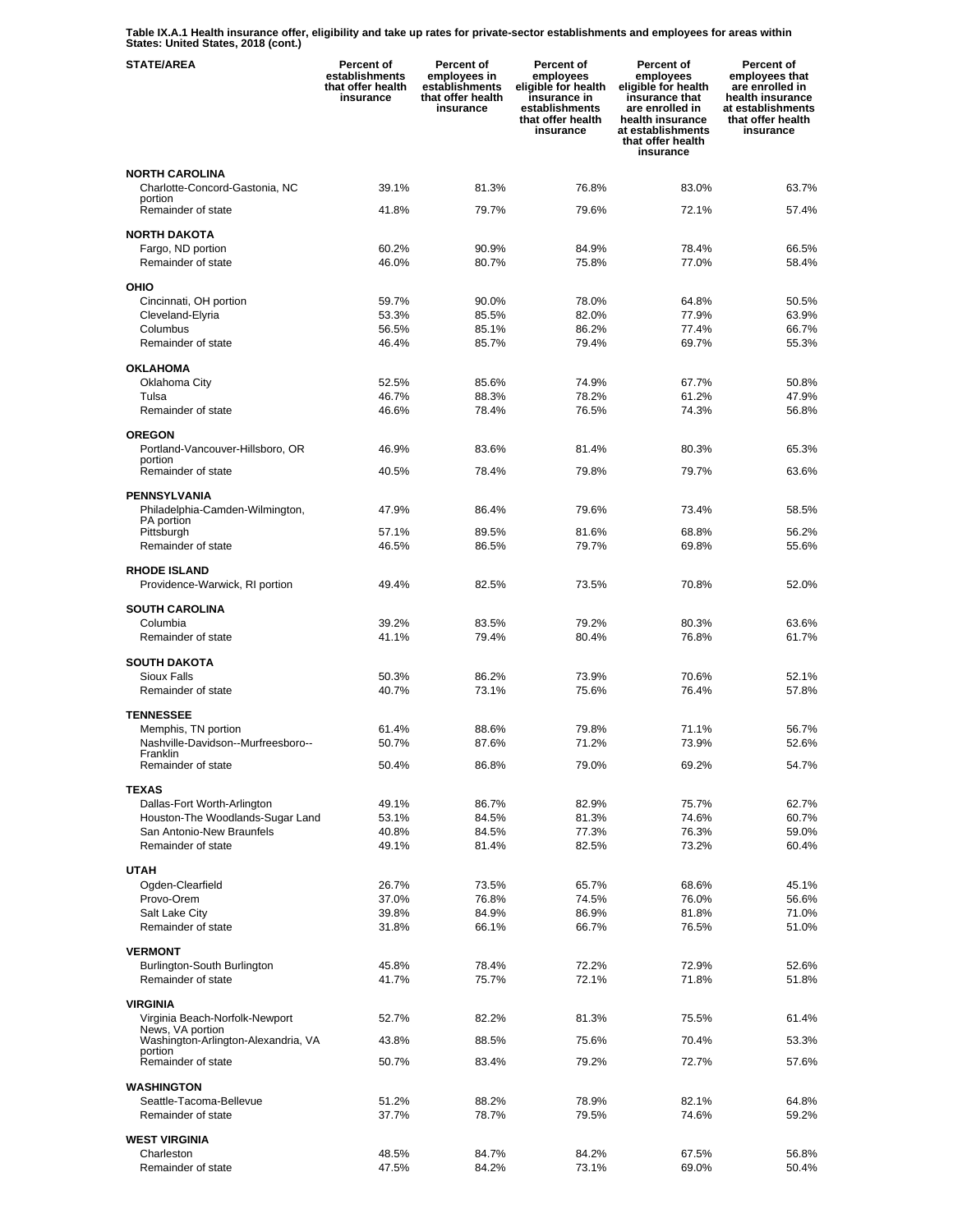**Table IX.A.1 Health insurance offer, eligibility and take up rates for private-sector establishments and employees for areas within States: United States, 2018 (cont.)** 

| <b>STATE/AREA</b>                                 | <b>Percent of</b><br>establishments<br>that offer health<br>insurance | Percent of<br>employees in<br>establishments<br>that offer health<br>insurance | Percent of<br>employees<br>eligible for health<br>insurance in<br>establishments<br>that offer health<br>insurance | Percent of<br>employees<br>eligible for health<br>insurance that<br>are enrolled in<br>health insurance<br>at establishments<br>that offer health<br>insurance | Percent of<br>employees that<br>are enrolled in<br>health insurance<br>at establishments<br>that offer health<br>insurance |
|---------------------------------------------------|-----------------------------------------------------------------------|--------------------------------------------------------------------------------|--------------------------------------------------------------------------------------------------------------------|----------------------------------------------------------------------------------------------------------------------------------------------------------------|----------------------------------------------------------------------------------------------------------------------------|
| <b>NORTH CAROLINA</b>                             |                                                                       |                                                                                |                                                                                                                    |                                                                                                                                                                |                                                                                                                            |
| Charlotte-Concord-Gastonia, NC                    | 39.1%                                                                 | 81.3%                                                                          | 76.8%                                                                                                              | 83.0%                                                                                                                                                          | 63.7%                                                                                                                      |
| portion<br>Remainder of state                     | 41.8%                                                                 | 79.7%                                                                          | 79.6%                                                                                                              | 72.1%                                                                                                                                                          | 57.4%                                                                                                                      |
|                                                   |                                                                       |                                                                                |                                                                                                                    |                                                                                                                                                                |                                                                                                                            |
| <b>NORTH DAKOTA</b><br>Fargo, ND portion          | 60.2%                                                                 | 90.9%                                                                          | 84.9%                                                                                                              | 78.4%                                                                                                                                                          | 66.5%                                                                                                                      |
| Remainder of state                                | 46.0%                                                                 | 80.7%                                                                          | 75.8%                                                                                                              | 77.0%                                                                                                                                                          | 58.4%                                                                                                                      |
| OHIO                                              |                                                                       |                                                                                |                                                                                                                    |                                                                                                                                                                |                                                                                                                            |
| Cincinnati, OH portion                            | 59.7%                                                                 | 90.0%                                                                          | 78.0%                                                                                                              | 64.8%                                                                                                                                                          | 50.5%                                                                                                                      |
| Cleveland-Elyria                                  | 53.3%                                                                 | 85.5%                                                                          | 82.0%                                                                                                              | 77.9%                                                                                                                                                          | 63.9%                                                                                                                      |
| Columbus<br>Remainder of state                    | 56.5%                                                                 | 85.1%<br>85.7%                                                                 | 86.2%<br>79.4%                                                                                                     | 77.4%<br>69.7%                                                                                                                                                 | 66.7%<br>55.3%                                                                                                             |
|                                                   | 46.4%                                                                 |                                                                                |                                                                                                                    |                                                                                                                                                                |                                                                                                                            |
| <b>OKLAHOMA</b>                                   |                                                                       |                                                                                |                                                                                                                    |                                                                                                                                                                |                                                                                                                            |
| Oklahoma City<br>Tulsa                            | 52.5%<br>46.7%                                                        | 85.6%<br>88.3%                                                                 | 74.9%<br>78.2%                                                                                                     | 67.7%<br>61.2%                                                                                                                                                 | 50.8%<br>47.9%                                                                                                             |
| Remainder of state                                | 46.6%                                                                 | 78.4%                                                                          | 76.5%                                                                                                              | 74.3%                                                                                                                                                          | 56.8%                                                                                                                      |
|                                                   |                                                                       |                                                                                |                                                                                                                    |                                                                                                                                                                |                                                                                                                            |
| <b>OREGON</b><br>Portland-Vancouver-Hillsboro, OR | 46.9%                                                                 | 83.6%                                                                          | 81.4%                                                                                                              | 80.3%                                                                                                                                                          | 65.3%                                                                                                                      |
| portion                                           |                                                                       |                                                                                |                                                                                                                    |                                                                                                                                                                |                                                                                                                            |
| Remainder of state                                | 40.5%                                                                 | 78.4%                                                                          | 79.8%                                                                                                              | 79.7%                                                                                                                                                          | 63.6%                                                                                                                      |
| <b>PENNSYLVANIA</b>                               |                                                                       |                                                                                |                                                                                                                    |                                                                                                                                                                |                                                                                                                            |
| Philadelphia-Camden-Wilmington,                   | 47.9%                                                                 | 86.4%                                                                          | 79.6%                                                                                                              | 73.4%                                                                                                                                                          | 58.5%                                                                                                                      |
| PA portion<br>Pittsburgh                          | 57.1%                                                                 | 89.5%                                                                          | 81.6%                                                                                                              | 68.8%                                                                                                                                                          | 56.2%                                                                                                                      |
| Remainder of state                                | 46.5%                                                                 | 86.5%                                                                          | 79.7%                                                                                                              | 69.8%                                                                                                                                                          | 55.6%                                                                                                                      |
| <b>RHODE ISLAND</b>                               |                                                                       |                                                                                |                                                                                                                    |                                                                                                                                                                |                                                                                                                            |
| Providence-Warwick, RI portion                    | 49.4%                                                                 | 82.5%                                                                          | 73.5%                                                                                                              | 70.8%                                                                                                                                                          | 52.0%                                                                                                                      |
| <b>SOUTH CAROLINA</b>                             |                                                                       |                                                                                |                                                                                                                    |                                                                                                                                                                |                                                                                                                            |
| Columbia                                          | 39.2%                                                                 | 83.5%                                                                          | 79.2%                                                                                                              | 80.3%                                                                                                                                                          | 63.6%                                                                                                                      |
| Remainder of state                                | 41.1%                                                                 | 79.4%                                                                          | 80.4%                                                                                                              | 76.8%                                                                                                                                                          | 61.7%                                                                                                                      |
| <b>SOUTH DAKOTA</b>                               |                                                                       |                                                                                |                                                                                                                    |                                                                                                                                                                |                                                                                                                            |
| <b>Sioux Falls</b>                                | 50.3%                                                                 | 86.2%                                                                          | 73.9%                                                                                                              | 70.6%                                                                                                                                                          | 52.1%                                                                                                                      |
| Remainder of state                                | 40.7%                                                                 | 73.1%                                                                          | 75.6%                                                                                                              | 76.4%                                                                                                                                                          | 57.8%                                                                                                                      |
| <b>TENNESSEE</b>                                  |                                                                       |                                                                                |                                                                                                                    |                                                                                                                                                                |                                                                                                                            |
| Memphis, TN portion                               | 61.4%                                                                 | 88.6%                                                                          | 79.8%                                                                                                              | 71.1%                                                                                                                                                          | 56.7%                                                                                                                      |
| Nashville-Davidson--Murfreesboro--                | 50.7%                                                                 | 87.6%                                                                          | 71.2%                                                                                                              | 73.9%                                                                                                                                                          | 52.6%                                                                                                                      |
| Franklin<br>Remainder of state                    | 50.4%                                                                 | 86.8%                                                                          | 79.0%                                                                                                              | 69.2%                                                                                                                                                          | 54.7%                                                                                                                      |
| <b>TEXAS</b>                                      |                                                                       |                                                                                |                                                                                                                    |                                                                                                                                                                |                                                                                                                            |
| Dallas-Fort Worth-Arlington                       | 49.1%                                                                 | 86.7%                                                                          | 82.9%                                                                                                              | 75.7%                                                                                                                                                          | 62.7%                                                                                                                      |
| Houston-The Woodlands-Sugar Land                  | 53.1%                                                                 | 84.5%                                                                          | 81.3%                                                                                                              | 74.6%                                                                                                                                                          | 60.7%                                                                                                                      |
| San Antonio-New Braunfels                         | 40.8%                                                                 | 84.5%                                                                          | 77.3%                                                                                                              | 76.3%                                                                                                                                                          | 59.0%                                                                                                                      |
| Remainder of state                                | 49.1%                                                                 | 81.4%                                                                          | 82.5%                                                                                                              | 73.2%                                                                                                                                                          | 60.4%                                                                                                                      |
| <b>UTAH</b>                                       |                                                                       |                                                                                |                                                                                                                    |                                                                                                                                                                |                                                                                                                            |
| Ogden-Clearfield                                  | 26.7%                                                                 | 73.5%                                                                          | 65.7%                                                                                                              | 68.6%                                                                                                                                                          | 45.1%                                                                                                                      |
| Provo-Orem<br>Salt Lake City                      | 37.0%<br>39.8%                                                        | 76.8%<br>84.9%                                                                 | 74.5%<br>86.9%                                                                                                     | 76.0%<br>81.8%                                                                                                                                                 | 56.6%<br>71.0%                                                                                                             |
| Remainder of state                                | 31.8%                                                                 | 66.1%                                                                          | 66.7%                                                                                                              | 76.5%                                                                                                                                                          | 51.0%                                                                                                                      |
|                                                   |                                                                       |                                                                                |                                                                                                                    |                                                                                                                                                                |                                                                                                                            |
| <b>VERMONT</b><br>Burlington-South Burlington     | 45.8%                                                                 | 78.4%                                                                          | 72.2%                                                                                                              | 72.9%                                                                                                                                                          | 52.6%                                                                                                                      |
| Remainder of state                                | 41.7%                                                                 | 75.7%                                                                          | 72.1%                                                                                                              | 71.8%                                                                                                                                                          | 51.8%                                                                                                                      |
|                                                   |                                                                       |                                                                                |                                                                                                                    |                                                                                                                                                                |                                                                                                                            |
| <b>VIRGINIA</b><br>Virginia Beach-Norfolk-Newport | 52.7%                                                                 | 82.2%                                                                          | 81.3%                                                                                                              | 75.5%                                                                                                                                                          | 61.4%                                                                                                                      |
| News, VA portion                                  |                                                                       |                                                                                |                                                                                                                    |                                                                                                                                                                |                                                                                                                            |
| Washington-Arlington-Alexandria, VA<br>portion    | 43.8%                                                                 | 88.5%                                                                          | 75.6%                                                                                                              | 70.4%                                                                                                                                                          | 53.3%                                                                                                                      |
| Remainder of state                                | 50.7%                                                                 | 83.4%                                                                          | 79.2%                                                                                                              | 72.7%                                                                                                                                                          | 57.6%                                                                                                                      |
| <b>WASHINGTON</b>                                 |                                                                       |                                                                                |                                                                                                                    |                                                                                                                                                                |                                                                                                                            |
| Seattle-Tacoma-Bellevue                           | 51.2%                                                                 | 88.2%                                                                          | 78.9%                                                                                                              | 82.1%                                                                                                                                                          | 64.8%                                                                                                                      |
| Remainder of state                                | 37.7%                                                                 | 78.7%                                                                          | 79.5%                                                                                                              | 74.6%                                                                                                                                                          | 59.2%                                                                                                                      |
| <b>WEST VIRGINIA</b>                              |                                                                       |                                                                                |                                                                                                                    |                                                                                                                                                                |                                                                                                                            |
| Charleston                                        | 48.5%                                                                 | 84.7%                                                                          | 84.2%                                                                                                              | 67.5%                                                                                                                                                          | 56.8%                                                                                                                      |
| Remainder of state                                | 47.5%                                                                 | 84.2%                                                                          | 73.1%                                                                                                              | 69.0%                                                                                                                                                          | 50.4%                                                                                                                      |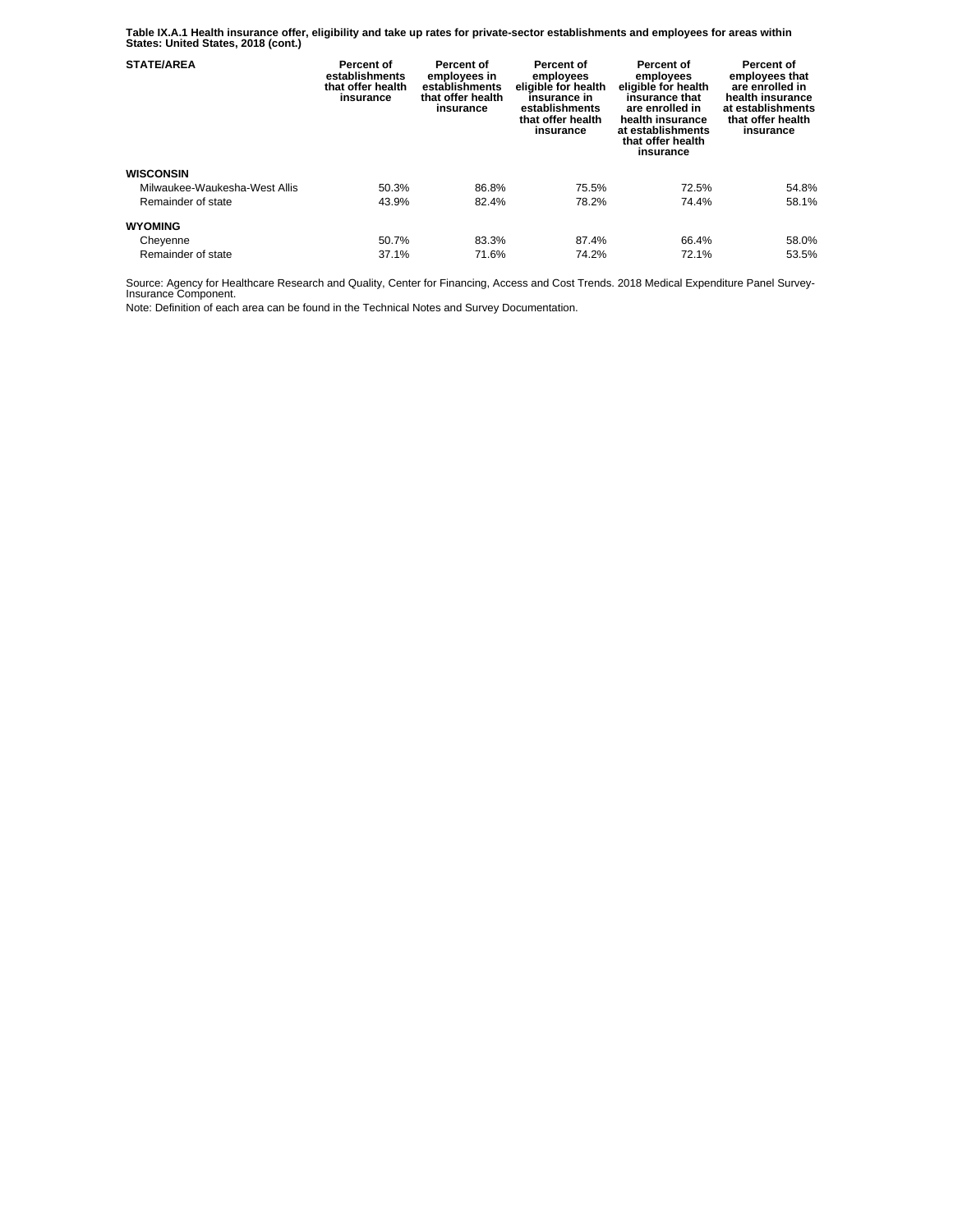**Table IX.A.1 Health insurance offer, eligibility and take up rates for private-sector establishments and employees for areas within States: United States, 2018 (cont.)** 

| <b>STATE/AREA</b>             | Percent of<br>establishments<br>that offer health<br>insurance | <b>Percent of</b><br>employees in<br>establishments<br>that offer health<br>insurance | Percent of<br>employees<br>eligible for health<br>insurance in<br>establishments<br>that offer health<br>insurance | Percent of<br>employees<br>eligible for health<br>insurance that<br>are enrolled in<br>health insurance<br>at establishments<br>that offer health<br>insurance | Percent of<br>employees that<br>are enrolled in<br>health insurance<br>at establishments<br>that offer health<br>insurance |
|-------------------------------|----------------------------------------------------------------|---------------------------------------------------------------------------------------|--------------------------------------------------------------------------------------------------------------------|----------------------------------------------------------------------------------------------------------------------------------------------------------------|----------------------------------------------------------------------------------------------------------------------------|
| <b>WISCONSIN</b>              |                                                                |                                                                                       |                                                                                                                    |                                                                                                                                                                |                                                                                                                            |
| Milwaukee-Waukesha-West Allis | 50.3%                                                          | 86.8%                                                                                 | 75.5%                                                                                                              | 72.5%                                                                                                                                                          | 54.8%                                                                                                                      |
| Remainder of state            | 43.9%                                                          | 82.4%                                                                                 | 78.2%                                                                                                              | 74.4%                                                                                                                                                          | 58.1%                                                                                                                      |
| <b>WYOMING</b>                |                                                                |                                                                                       |                                                                                                                    |                                                                                                                                                                |                                                                                                                            |
| Cheyenne                      | 50.7%                                                          | 83.3%                                                                                 | 87.4%                                                                                                              | 66.4%                                                                                                                                                          | 58.0%                                                                                                                      |
| Remainder of state            | 37.1%                                                          | 71.6%                                                                                 | 74.2%                                                                                                              | 72.1%                                                                                                                                                          | 53.5%                                                                                                                      |

Source: Agency for Healthcare Research and Quality, Center for Financing, Access and Cost Trends. 2018 Medical Expenditure Panel Survey-Insurance Component.

Note: Definition of each area can be found in the Technical Notes and Survey Documentation.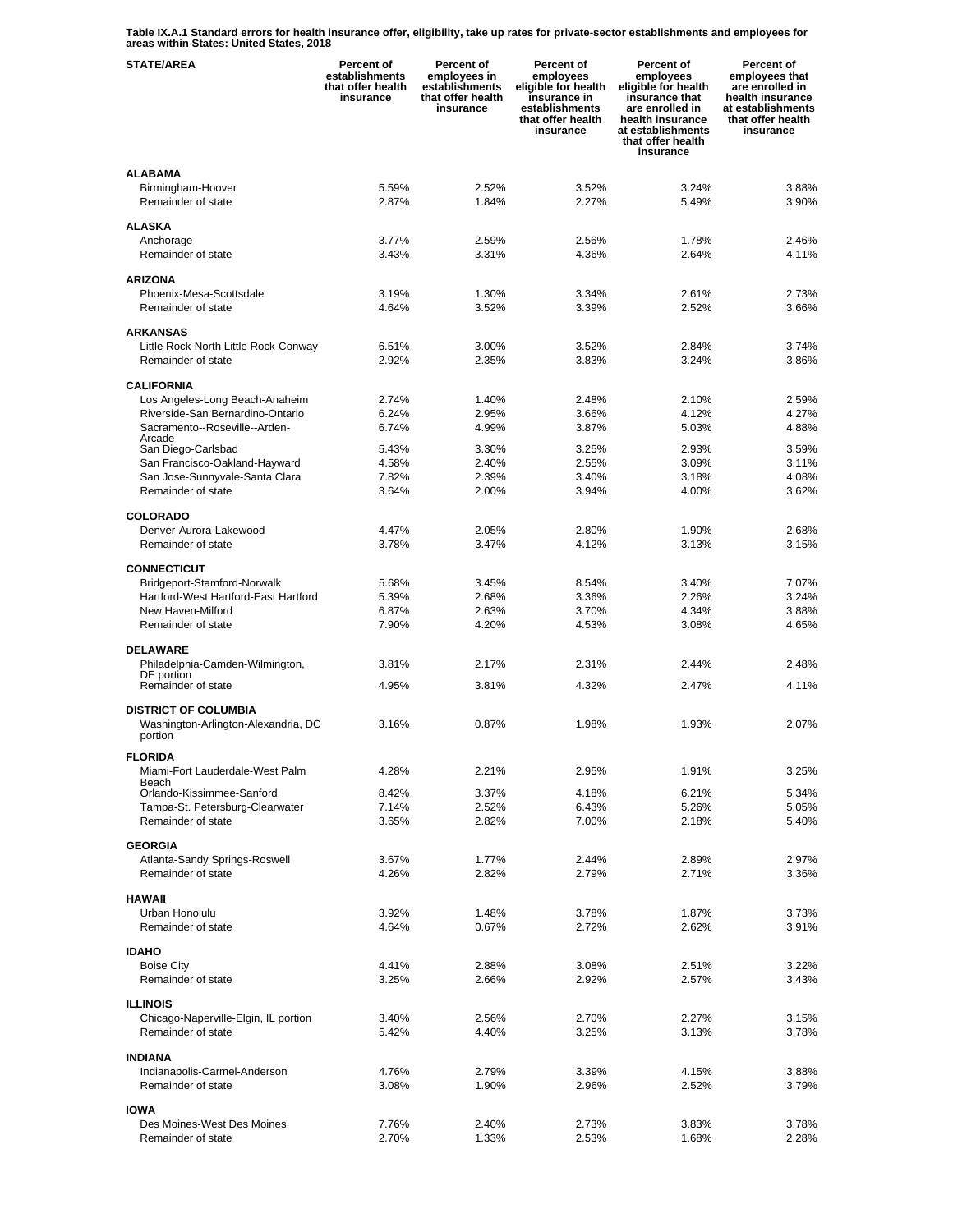**Table IX.A.1 Standard errors for health insurance offer, eligibility, take up rates for private-sector establishments and employees for areas within States: United States, 2018** 

| <b>STATE/AREA</b>                                                  | Percent of<br>establishments<br>that offer health<br>insurance | Percent of<br>employees in<br>establishments<br>that offer health<br>insurance | <b>Percent of</b><br>employees<br>eligible for health<br>insurance in<br>establishments<br>that offer health<br>insurance | <b>Percent of</b><br>employees<br>eligible for health<br>insurance that<br>are enrolled in<br>health insurance<br>at establishments<br>that offer health<br>insurance | Percent of<br>employees that<br>are enrolled in<br>health insurance<br>at establishments<br>that offer health<br>insurance |
|--------------------------------------------------------------------|----------------------------------------------------------------|--------------------------------------------------------------------------------|---------------------------------------------------------------------------------------------------------------------------|-----------------------------------------------------------------------------------------------------------------------------------------------------------------------|----------------------------------------------------------------------------------------------------------------------------|
| <b>ALABAMA</b>                                                     |                                                                |                                                                                |                                                                                                                           |                                                                                                                                                                       |                                                                                                                            |
| Birmingham-Hoover                                                  | 5.59%                                                          | 2.52%                                                                          | 3.52%                                                                                                                     | 3.24%                                                                                                                                                                 | 3.88%                                                                                                                      |
| Remainder of state                                                 | 2.87%                                                          | 1.84%                                                                          | 2.27%                                                                                                                     | 5.49%                                                                                                                                                                 | 3.90%                                                                                                                      |
|                                                                    |                                                                |                                                                                |                                                                                                                           |                                                                                                                                                                       |                                                                                                                            |
| <b>ALASKA</b><br>Anchorage                                         | 3.77%                                                          | 2.59%                                                                          | 2.56%                                                                                                                     | 1.78%                                                                                                                                                                 | 2.46%                                                                                                                      |
| Remainder of state                                                 | 3.43%                                                          | 3.31%                                                                          | 4.36%                                                                                                                     | 2.64%                                                                                                                                                                 | 4.11%                                                                                                                      |
|                                                                    |                                                                |                                                                                |                                                                                                                           |                                                                                                                                                                       |                                                                                                                            |
| <b>ARIZONA</b>                                                     |                                                                |                                                                                |                                                                                                                           |                                                                                                                                                                       |                                                                                                                            |
| Phoenix-Mesa-Scottsdale                                            | 3.19%                                                          | 1.30%                                                                          | 3.34%                                                                                                                     | 2.61%                                                                                                                                                                 | 2.73%                                                                                                                      |
| Remainder of state                                                 | 4.64%                                                          | 3.52%                                                                          | 3.39%                                                                                                                     | 2.52%                                                                                                                                                                 | 3.66%                                                                                                                      |
|                                                                    |                                                                |                                                                                |                                                                                                                           |                                                                                                                                                                       |                                                                                                                            |
| <b>ARKANSAS</b>                                                    | 6.51%                                                          | 3.00%                                                                          | 3.52%                                                                                                                     | 2.84%                                                                                                                                                                 | 3.74%                                                                                                                      |
| Little Rock-North Little Rock-Conway<br>Remainder of state         | 2.92%                                                          | 2.35%                                                                          | 3.83%                                                                                                                     | 3.24%                                                                                                                                                                 | 3.86%                                                                                                                      |
|                                                                    |                                                                |                                                                                |                                                                                                                           |                                                                                                                                                                       |                                                                                                                            |
| <b>CALIFORNIA</b>                                                  |                                                                |                                                                                |                                                                                                                           |                                                                                                                                                                       |                                                                                                                            |
| Los Angeles-Long Beach-Anaheim                                     | 2.74%                                                          | 1.40%                                                                          | 2.48%                                                                                                                     | 2.10%                                                                                                                                                                 | 2.59%                                                                                                                      |
| Riverside-San Bernardino-Ontario                                   | 6.24%                                                          | 2.95%                                                                          | 3.66%                                                                                                                     | 4.12%                                                                                                                                                                 | 4.27%                                                                                                                      |
| Sacramento--Roseville--Arden-                                      | 6.74%                                                          | 4.99%                                                                          | 3.87%                                                                                                                     | 5.03%                                                                                                                                                                 | 4.88%                                                                                                                      |
| Arcade<br>San Diego-Carlsbad                                       | 5.43%                                                          | 3.30%                                                                          | 3.25%                                                                                                                     | 2.93%                                                                                                                                                                 | 3.59%                                                                                                                      |
| San Francisco-Oakland-Hayward                                      | 4.58%                                                          | 2.40%                                                                          | 2.55%                                                                                                                     | 3.09%                                                                                                                                                                 | 3.11%                                                                                                                      |
| San Jose-Sunnyvale-Santa Clara                                     | 7.82%                                                          | 2.39%                                                                          | 3.40%                                                                                                                     | 3.18%                                                                                                                                                                 | 4.08%                                                                                                                      |
| Remainder of state                                                 | 3.64%                                                          | 2.00%                                                                          | 3.94%                                                                                                                     | 4.00%                                                                                                                                                                 | 3.62%                                                                                                                      |
|                                                                    |                                                                |                                                                                |                                                                                                                           |                                                                                                                                                                       |                                                                                                                            |
| <b>COLORADO</b>                                                    |                                                                |                                                                                |                                                                                                                           |                                                                                                                                                                       |                                                                                                                            |
| Denver-Aurora-Lakewood                                             | 4.47%                                                          | 2.05%                                                                          | 2.80%                                                                                                                     | 1.90%                                                                                                                                                                 | 2.68%                                                                                                                      |
| Remainder of state                                                 | 3.78%                                                          | 3.47%                                                                          | 4.12%                                                                                                                     | 3.13%                                                                                                                                                                 | 3.15%                                                                                                                      |
| <b>CONNECTICUT</b>                                                 |                                                                |                                                                                |                                                                                                                           |                                                                                                                                                                       |                                                                                                                            |
| Bridgeport-Stamford-Norwalk                                        | 5.68%                                                          | 3.45%                                                                          | 8.54%                                                                                                                     | 3.40%                                                                                                                                                                 | 7.07%                                                                                                                      |
| Hartford-West Hartford-East Hartford                               | 5.39%                                                          | 2.68%                                                                          | 3.36%                                                                                                                     | 2.26%                                                                                                                                                                 | 3.24%                                                                                                                      |
| New Haven-Milford                                                  | 6.87%                                                          | 2.63%                                                                          | 3.70%                                                                                                                     | 4.34%                                                                                                                                                                 | 3.88%                                                                                                                      |
| Remainder of state                                                 | 7.90%                                                          | 4.20%                                                                          | 4.53%                                                                                                                     | 3.08%                                                                                                                                                                 | 4.65%                                                                                                                      |
|                                                                    |                                                                |                                                                                |                                                                                                                           |                                                                                                                                                                       |                                                                                                                            |
| <b>DELAWARE</b><br>Philadelphia-Camden-Wilmington,                 | 3.81%                                                          | 2.17%                                                                          | 2.31%                                                                                                                     | 2.44%                                                                                                                                                                 | 2.48%                                                                                                                      |
| DE portion                                                         |                                                                |                                                                                |                                                                                                                           |                                                                                                                                                                       |                                                                                                                            |
| Remainder of state                                                 | 4.95%                                                          | 3.81%                                                                          | 4.32%                                                                                                                     | 2.47%                                                                                                                                                                 | 4.11%                                                                                                                      |
|                                                                    |                                                                |                                                                                |                                                                                                                           |                                                                                                                                                                       |                                                                                                                            |
| <b>DISTRICT OF COLUMBIA</b><br>Washington-Arlington-Alexandria, DC | 3.16%                                                          | 0.87%                                                                          | 1.98%                                                                                                                     | 1.93%                                                                                                                                                                 | 2.07%                                                                                                                      |
| portion                                                            |                                                                |                                                                                |                                                                                                                           |                                                                                                                                                                       |                                                                                                                            |
|                                                                    |                                                                |                                                                                |                                                                                                                           |                                                                                                                                                                       |                                                                                                                            |
| <b>FLORIDA</b>                                                     |                                                                | 2.21%                                                                          | 2.95%                                                                                                                     | 1.91%                                                                                                                                                                 | 3.25%                                                                                                                      |
| Miami-Fort Lauderdale-West Palm<br>Beach                           | 4.28%                                                          |                                                                                |                                                                                                                           |                                                                                                                                                                       |                                                                                                                            |
| Orlando-Kissimmee-Sanford                                          | 8.42%                                                          | 3.37%                                                                          | 4.18%                                                                                                                     | 6.21%                                                                                                                                                                 | 5.34%                                                                                                                      |
| Tampa-St. Petersburg-Clearwater                                    | 7.14%                                                          | 2.52%                                                                          | 6.43%                                                                                                                     | 5.26%                                                                                                                                                                 | 5.05%                                                                                                                      |
| Remainder of state                                                 | 3.65%                                                          | 2.82%                                                                          | 7.00%                                                                                                                     | 2.18%                                                                                                                                                                 | 5.40%                                                                                                                      |
| <b>GEORGIA</b>                                                     |                                                                |                                                                                |                                                                                                                           |                                                                                                                                                                       |                                                                                                                            |
| Atlanta-Sandy Springs-Roswell                                      | 3.67%                                                          | 1.77%                                                                          | 2.44%                                                                                                                     | 2.89%                                                                                                                                                                 | 2.97%                                                                                                                      |
| Remainder of state                                                 | 4.26%                                                          | 2.82%                                                                          | 2.79%                                                                                                                     | 2.71%                                                                                                                                                                 | 3.36%                                                                                                                      |
|                                                                    |                                                                |                                                                                |                                                                                                                           |                                                                                                                                                                       |                                                                                                                            |
| <b>HAWAII</b>                                                      |                                                                |                                                                                |                                                                                                                           |                                                                                                                                                                       |                                                                                                                            |
| Urban Honolulu                                                     | 3.92%                                                          | 1.48%                                                                          | 3.78%                                                                                                                     | 1.87%                                                                                                                                                                 | 3.73%                                                                                                                      |
| Remainder of state                                                 | 4.64%                                                          | 0.67%                                                                          | 2.72%                                                                                                                     | 2.62%                                                                                                                                                                 | 3.91%                                                                                                                      |
| <b>IDAHO</b>                                                       |                                                                |                                                                                |                                                                                                                           |                                                                                                                                                                       |                                                                                                                            |
| <b>Boise City</b>                                                  | 4.41%                                                          | 2.88%                                                                          | 3.08%                                                                                                                     | 2.51%                                                                                                                                                                 | 3.22%                                                                                                                      |
| Remainder of state                                                 | 3.25%                                                          | 2.66%                                                                          | 2.92%                                                                                                                     | 2.57%                                                                                                                                                                 | 3.43%                                                                                                                      |
|                                                                    |                                                                |                                                                                |                                                                                                                           |                                                                                                                                                                       |                                                                                                                            |
| <b>ILLINOIS</b>                                                    |                                                                |                                                                                |                                                                                                                           |                                                                                                                                                                       |                                                                                                                            |
| Chicago-Naperville-Elgin, IL portion                               | 3.40%                                                          | 2.56%                                                                          | 2.70%                                                                                                                     | 2.27%                                                                                                                                                                 | 3.15%                                                                                                                      |
| Remainder of state                                                 | 5.42%                                                          | 4.40%                                                                          | 3.25%                                                                                                                     | 3.13%                                                                                                                                                                 | 3.78%                                                                                                                      |
| <b>INDIANA</b>                                                     |                                                                |                                                                                |                                                                                                                           |                                                                                                                                                                       |                                                                                                                            |
| Indianapolis-Carmel-Anderson                                       | 4.76%                                                          | 2.79%                                                                          | 3.39%                                                                                                                     | 4.15%                                                                                                                                                                 | 3.88%                                                                                                                      |
| Remainder of state                                                 | 3.08%                                                          | 1.90%                                                                          | 2.96%                                                                                                                     | 2.52%                                                                                                                                                                 | 3.79%                                                                                                                      |
|                                                                    |                                                                |                                                                                |                                                                                                                           |                                                                                                                                                                       |                                                                                                                            |
| <b>IOWA</b>                                                        |                                                                |                                                                                |                                                                                                                           |                                                                                                                                                                       |                                                                                                                            |
| Des Moines-West Des Moines                                         | 7.76%                                                          | 2.40%                                                                          | 2.73%                                                                                                                     | 3.83%                                                                                                                                                                 | 3.78%                                                                                                                      |
| Remainder of state                                                 | 2.70%                                                          | 1.33%                                                                          | 2.53%                                                                                                                     | 1.68%                                                                                                                                                                 | 2.28%                                                                                                                      |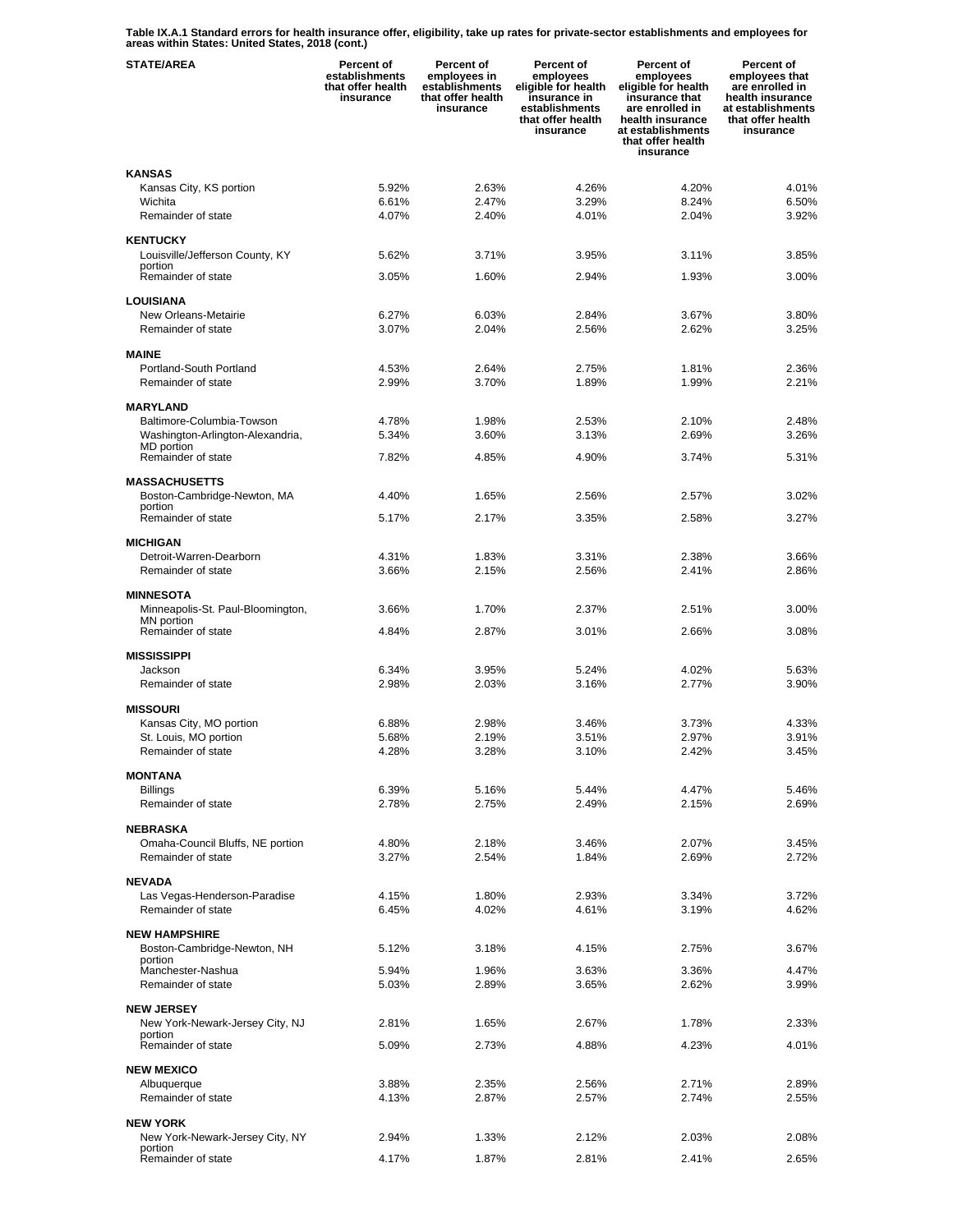**Table IX.A.1 Standard errors for health insurance offer, eligibility, take up rates for private-sector establishments and employees for areas within States: United States, 2018 (cont.)** 

| <b>STATE/AREA</b>                            | <b>Percent of</b><br>establishments<br>that offer health<br>insurance | Percent of<br>employees in<br>establishments<br>that offer health<br>insurance | Percent of<br>employees<br>eligible for health<br>insurance in<br>establishments<br>that offer health<br>insurance | <b>Percent of</b><br>employees<br>eligible for health<br>insurance that<br>are enrolled in<br>health insurance<br>at establishments<br>that offer health<br>insurance | <b>Percent of</b><br>employees that<br>are enrolled in<br>health insurance<br>at establishments<br>that offer health<br>insurance |
|----------------------------------------------|-----------------------------------------------------------------------|--------------------------------------------------------------------------------|--------------------------------------------------------------------------------------------------------------------|-----------------------------------------------------------------------------------------------------------------------------------------------------------------------|-----------------------------------------------------------------------------------------------------------------------------------|
| <b>KANSAS</b>                                |                                                                       |                                                                                |                                                                                                                    |                                                                                                                                                                       |                                                                                                                                   |
| Kansas City, KS portion                      | 5.92%                                                                 | 2.63%                                                                          | 4.26%                                                                                                              | 4.20%                                                                                                                                                                 | 4.01%                                                                                                                             |
| Wichita                                      | 6.61%                                                                 | 2.47%                                                                          | 3.29%                                                                                                              | 8.24%                                                                                                                                                                 | 6.50%                                                                                                                             |
| Remainder of state                           | 4.07%                                                                 | 2.40%                                                                          | 4.01%                                                                                                              | 2.04%                                                                                                                                                                 | 3.92%                                                                                                                             |
| <b>KENTUCKY</b>                              |                                                                       |                                                                                |                                                                                                                    |                                                                                                                                                                       |                                                                                                                                   |
| Louisville/Jefferson County, KY              | 5.62%                                                                 | 3.71%                                                                          | 3.95%                                                                                                              | 3.11%                                                                                                                                                                 | 3.85%                                                                                                                             |
| portion                                      |                                                                       |                                                                                |                                                                                                                    |                                                                                                                                                                       |                                                                                                                                   |
| Remainder of state                           | 3.05%                                                                 | 1.60%                                                                          | 2.94%                                                                                                              | 1.93%                                                                                                                                                                 | 3.00%                                                                                                                             |
| LOUISIANA                                    |                                                                       |                                                                                |                                                                                                                    |                                                                                                                                                                       |                                                                                                                                   |
| New Orleans-Metairie                         | 6.27%                                                                 | 6.03%                                                                          | 2.84%                                                                                                              | 3.67%                                                                                                                                                                 | 3.80%                                                                                                                             |
| Remainder of state                           | 3.07%                                                                 | 2.04%                                                                          | 2.56%                                                                                                              | 2.62%                                                                                                                                                                 | 3.25%                                                                                                                             |
| <b>MAINE</b>                                 |                                                                       |                                                                                |                                                                                                                    |                                                                                                                                                                       |                                                                                                                                   |
| Portland-South Portland                      | 4.53%                                                                 | 2.64%                                                                          | 2.75%                                                                                                              | 1.81%                                                                                                                                                                 | 2.36%                                                                                                                             |
| Remainder of state                           | 2.99%                                                                 | 3.70%                                                                          | 1.89%                                                                                                              | 1.99%                                                                                                                                                                 | 2.21%                                                                                                                             |
|                                              |                                                                       |                                                                                |                                                                                                                    |                                                                                                                                                                       |                                                                                                                                   |
| <b>MARYLAND</b><br>Baltimore-Columbia-Towson | 4.78%                                                                 | 1.98%                                                                          | 2.53%                                                                                                              | 2.10%                                                                                                                                                                 | 2.48%                                                                                                                             |
| Washington-Arlington-Alexandria,             | 5.34%                                                                 | 3.60%                                                                          | 3.13%                                                                                                              | 2.69%                                                                                                                                                                 | 3.26%                                                                                                                             |
| MD portion                                   |                                                                       |                                                                                |                                                                                                                    |                                                                                                                                                                       |                                                                                                                                   |
| Remainder of state                           | 7.82%                                                                 | 4.85%                                                                          | 4.90%                                                                                                              | 3.74%                                                                                                                                                                 | 5.31%                                                                                                                             |
| <b>MASSACHUSETTS</b>                         |                                                                       |                                                                                |                                                                                                                    |                                                                                                                                                                       |                                                                                                                                   |
| Boston-Cambridge-Newton, MA                  | 4.40%                                                                 | 1.65%                                                                          | 2.56%                                                                                                              | 2.57%                                                                                                                                                                 | 3.02%                                                                                                                             |
| portion<br>Remainder of state                | 5.17%                                                                 | 2.17%                                                                          | 3.35%                                                                                                              | 2.58%                                                                                                                                                                 | 3.27%                                                                                                                             |
|                                              |                                                                       |                                                                                |                                                                                                                    |                                                                                                                                                                       |                                                                                                                                   |
| <b>MICHIGAN</b>                              |                                                                       |                                                                                |                                                                                                                    |                                                                                                                                                                       |                                                                                                                                   |
| Detroit-Warren-Dearborn                      | 4.31%                                                                 | 1.83%                                                                          | 3.31%                                                                                                              | 2.38%                                                                                                                                                                 | 3.66%                                                                                                                             |
| Remainder of state                           | 3.66%                                                                 | 2.15%                                                                          | 2.56%                                                                                                              | 2.41%                                                                                                                                                                 | 2.86%                                                                                                                             |
| <b>MINNESOTA</b>                             |                                                                       |                                                                                |                                                                                                                    |                                                                                                                                                                       |                                                                                                                                   |
| Minneapolis-St. Paul-Bloomington,            | 3.66%                                                                 | 1.70%                                                                          | 2.37%                                                                                                              | 2.51%                                                                                                                                                                 | 3.00%                                                                                                                             |
| MN portion<br>Remainder of state             | 4.84%                                                                 | 2.87%                                                                          | 3.01%                                                                                                              | 2.66%                                                                                                                                                                 | 3.08%                                                                                                                             |
|                                              |                                                                       |                                                                                |                                                                                                                    |                                                                                                                                                                       |                                                                                                                                   |
| <b>MISSISSIPPI</b>                           |                                                                       |                                                                                |                                                                                                                    |                                                                                                                                                                       |                                                                                                                                   |
| Jackson<br>Remainder of state                | 6.34%<br>2.98%                                                        | 3.95%<br>2.03%                                                                 | 5.24%<br>3.16%                                                                                                     | 4.02%<br>2.77%                                                                                                                                                        | 5.63%<br>3.90%                                                                                                                    |
|                                              |                                                                       |                                                                                |                                                                                                                    |                                                                                                                                                                       |                                                                                                                                   |
| <b>MISSOURI</b>                              |                                                                       |                                                                                |                                                                                                                    |                                                                                                                                                                       |                                                                                                                                   |
| Kansas City, MO portion                      | 6.88%                                                                 | 2.98%                                                                          | 3.46%                                                                                                              | 3.73%                                                                                                                                                                 | 4.33%                                                                                                                             |
| St. Louis, MO portion<br>Remainder of state  | 5.68%<br>4.28%                                                        | 2.19%<br>3.28%                                                                 | 3.51%<br>3.10%                                                                                                     | 2.97%<br>2.42%                                                                                                                                                        | 3.91%<br>3.45%                                                                                                                    |
|                                              |                                                                       |                                                                                |                                                                                                                    |                                                                                                                                                                       |                                                                                                                                   |
| <b>MONTANA</b>                               |                                                                       |                                                                                |                                                                                                                    |                                                                                                                                                                       |                                                                                                                                   |
| <b>Billings</b>                              | 6.39%                                                                 | 5.16%                                                                          | 5.44%                                                                                                              | 4.47%                                                                                                                                                                 | 5.46%                                                                                                                             |
| Remainder of state                           | 2.78%                                                                 | 2.75%                                                                          | 2.49%                                                                                                              | 2.15%                                                                                                                                                                 | 2.69%                                                                                                                             |
| NEBRASKA                                     |                                                                       |                                                                                |                                                                                                                    |                                                                                                                                                                       |                                                                                                                                   |
| Omaha-Council Bluffs, NE portion             | 4.80%                                                                 | 2.18%                                                                          | 3.46%                                                                                                              | 2.07%                                                                                                                                                                 | 3.45%                                                                                                                             |
| Remainder of state                           | 3.27%                                                                 | 2.54%                                                                          | 1.84%                                                                                                              | 2.69%                                                                                                                                                                 | 2.72%                                                                                                                             |
| <b>NEVADA</b>                                |                                                                       |                                                                                |                                                                                                                    |                                                                                                                                                                       |                                                                                                                                   |
| Las Vegas-Henderson-Paradise                 | 4.15%                                                                 | 1.80%                                                                          | 2.93%                                                                                                              | 3.34%                                                                                                                                                                 | 3.72%                                                                                                                             |
| Remainder of state                           | 6.45%                                                                 | 4.02%                                                                          | 4.61%                                                                                                              | 3.19%                                                                                                                                                                 | 4.62%                                                                                                                             |
| <b>NEW HAMPSHIRE</b>                         |                                                                       |                                                                                |                                                                                                                    |                                                                                                                                                                       |                                                                                                                                   |
| Boston-Cambridge-Newton, NH                  | 5.12%                                                                 | 3.18%                                                                          | 4.15%                                                                                                              | 2.75%                                                                                                                                                                 | 3.67%                                                                                                                             |
| portion                                      |                                                                       |                                                                                |                                                                                                                    |                                                                                                                                                                       |                                                                                                                                   |
| Manchester-Nashua<br>Remainder of state      | 5.94%<br>5.03%                                                        | 1.96%<br>2.89%                                                                 | 3.63%<br>3.65%                                                                                                     | 3.36%<br>2.62%                                                                                                                                                        | 4.47%<br>3.99%                                                                                                                    |
|                                              |                                                                       |                                                                                |                                                                                                                    |                                                                                                                                                                       |                                                                                                                                   |
| <b>NEW JERSEY</b>                            |                                                                       |                                                                                |                                                                                                                    |                                                                                                                                                                       |                                                                                                                                   |
| New York-Newark-Jersey City, NJ<br>portion   | 2.81%                                                                 | 1.65%                                                                          | 2.67%                                                                                                              | 1.78%                                                                                                                                                                 | 2.33%                                                                                                                             |
| Remainder of state                           | 5.09%                                                                 | 2.73%                                                                          | 4.88%                                                                                                              | 4.23%                                                                                                                                                                 | 4.01%                                                                                                                             |
|                                              |                                                                       |                                                                                |                                                                                                                    |                                                                                                                                                                       |                                                                                                                                   |
| <b>NEW MEXICO</b><br>Albuquerque             | 3.88%                                                                 | 2.35%                                                                          | 2.56%                                                                                                              | 2.71%                                                                                                                                                                 | 2.89%                                                                                                                             |
| Remainder of state                           | 4.13%                                                                 | 2.87%                                                                          | 2.57%                                                                                                              | 2.74%                                                                                                                                                                 | 2.55%                                                                                                                             |
|                                              |                                                                       |                                                                                |                                                                                                                    |                                                                                                                                                                       |                                                                                                                                   |
| <b>NEW YORK</b>                              | 2.94%                                                                 | 1.33%                                                                          | 2.12%                                                                                                              | 2.03%                                                                                                                                                                 | 2.08%                                                                                                                             |
| New York-Newark-Jersey City, NY<br>portion   |                                                                       |                                                                                |                                                                                                                    |                                                                                                                                                                       |                                                                                                                                   |
| Remainder of state                           | 4.17%                                                                 | 1.87%                                                                          | 2.81%                                                                                                              | 2.41%                                                                                                                                                                 | 2.65%                                                                                                                             |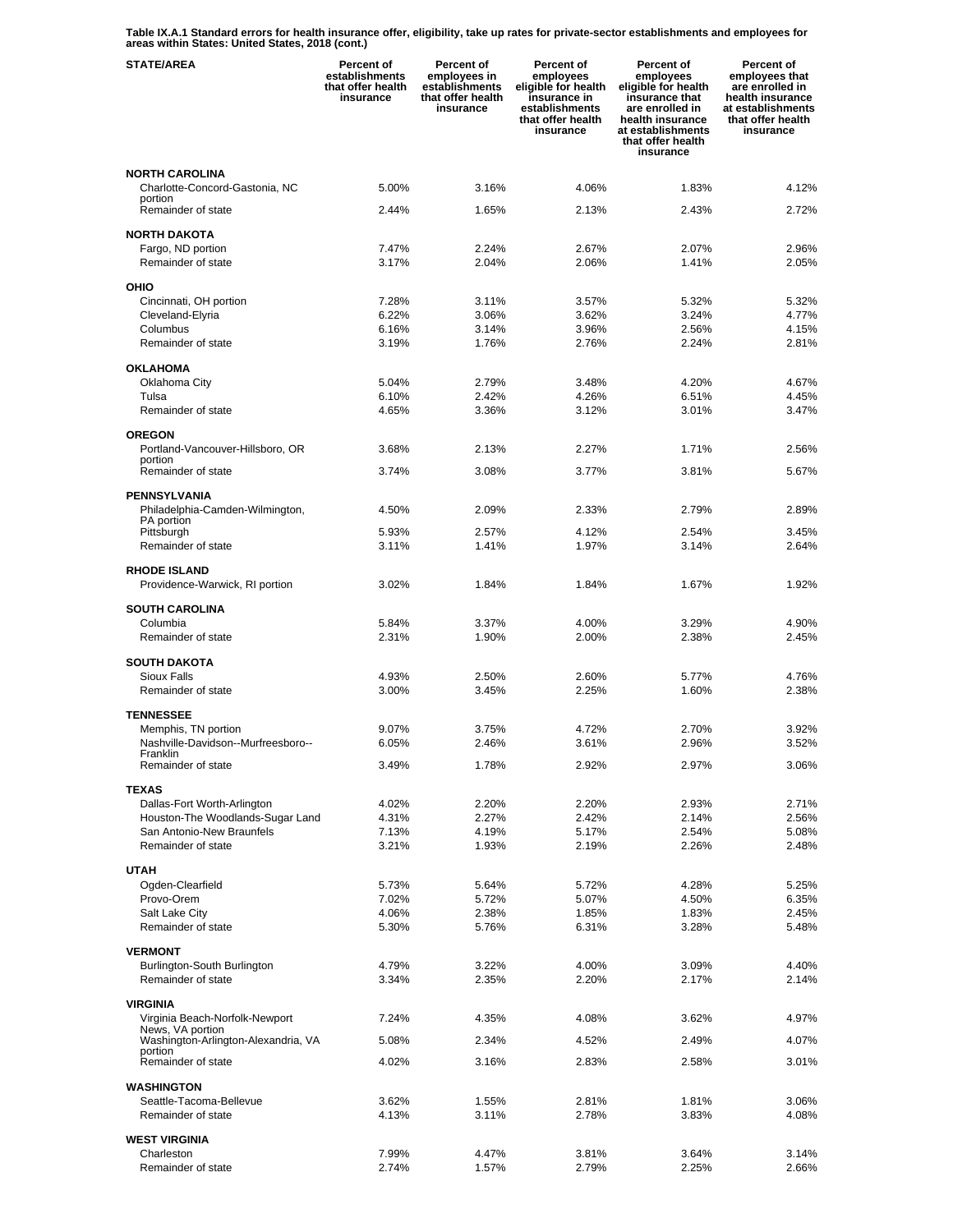**Table IX.A.1 Standard errors for health insurance offer, eligibility, take up rates for private-sector establishments and employees for areas within States: United States, 2018 (cont.)** 

| <b>STATE/AREA</b>                                       | <b>Percent of</b><br>establishments<br>that offer health<br>insurance | Percent of<br>employees in<br>establishments<br>that offer health<br>insurance | Percent of<br>employees<br>eligible for health<br>insurance in<br>establishments<br>that offer health<br>insurance | Percent of<br>employees<br>eligible for health<br>insurance that<br>are enrolled in<br>health insurance<br>at establishments<br>that offer health<br>insurance | Percent of<br>employees that<br>are enrolled in<br>health insurance<br>at establishments<br>that offer health<br>insurance |
|---------------------------------------------------------|-----------------------------------------------------------------------|--------------------------------------------------------------------------------|--------------------------------------------------------------------------------------------------------------------|----------------------------------------------------------------------------------------------------------------------------------------------------------------|----------------------------------------------------------------------------------------------------------------------------|
| <b>NORTH CAROLINA</b>                                   |                                                                       |                                                                                |                                                                                                                    |                                                                                                                                                                |                                                                                                                            |
| Charlotte-Concord-Gastonia, NC<br>portion               | 5.00%                                                                 | 3.16%                                                                          | 4.06%                                                                                                              | 1.83%                                                                                                                                                          | 4.12%                                                                                                                      |
| Remainder of state                                      | 2.44%                                                                 | 1.65%                                                                          | 2.13%                                                                                                              | 2.43%                                                                                                                                                          | 2.72%                                                                                                                      |
| <b>NORTH DAKOTA</b>                                     |                                                                       |                                                                                |                                                                                                                    |                                                                                                                                                                |                                                                                                                            |
| Fargo, ND portion<br>Remainder of state                 | 7.47%<br>3.17%                                                        | 2.24%<br>2.04%                                                                 | 2.67%<br>2.06%                                                                                                     | 2.07%<br>1.41%                                                                                                                                                 | 2.96%<br>2.05%                                                                                                             |
| OHIO                                                    |                                                                       |                                                                                |                                                                                                                    |                                                                                                                                                                |                                                                                                                            |
| Cincinnati, OH portion                                  | 7.28%                                                                 | 3.11%                                                                          | 3.57%                                                                                                              | 5.32%                                                                                                                                                          | 5.32%                                                                                                                      |
| Cleveland-Elyria                                        | 6.22%                                                                 | 3.06%                                                                          | 3.62%                                                                                                              | 3.24%                                                                                                                                                          | 4.77%                                                                                                                      |
| Columbus                                                | 6.16%                                                                 | 3.14%                                                                          | 3.96%                                                                                                              | 2.56%                                                                                                                                                          | 4.15%                                                                                                                      |
| Remainder of state                                      | 3.19%                                                                 | 1.76%                                                                          | 2.76%                                                                                                              | 2.24%                                                                                                                                                          | 2.81%                                                                                                                      |
| <b>OKLAHOMA</b>                                         |                                                                       |                                                                                |                                                                                                                    |                                                                                                                                                                |                                                                                                                            |
| Oklahoma City<br>Tulsa                                  | 5.04%<br>6.10%                                                        | 2.79%<br>2.42%                                                                 | 3.48%<br>4.26%                                                                                                     | 4.20%<br>6.51%                                                                                                                                                 | 4.67%<br>4.45%                                                                                                             |
| Remainder of state                                      | 4.65%                                                                 | 3.36%                                                                          | 3.12%                                                                                                              | 3.01%                                                                                                                                                          | 3.47%                                                                                                                      |
| <b>OREGON</b>                                           |                                                                       |                                                                                |                                                                                                                    |                                                                                                                                                                |                                                                                                                            |
| Portland-Vancouver-Hillsboro, OR                        | 3.68%                                                                 | 2.13%                                                                          | 2.27%                                                                                                              | 1.71%                                                                                                                                                          | 2.56%                                                                                                                      |
| portion<br>Remainder of state                           | 3.74%                                                                 | 3.08%                                                                          | 3.77%                                                                                                              | 3.81%                                                                                                                                                          | 5.67%                                                                                                                      |
| PENNSYLVANIA                                            |                                                                       |                                                                                |                                                                                                                    |                                                                                                                                                                |                                                                                                                            |
| Philadelphia-Camden-Wilmington,                         | 4.50%                                                                 | 2.09%                                                                          | 2.33%                                                                                                              | 2.79%                                                                                                                                                          | 2.89%                                                                                                                      |
| PA portion<br>Pittsburgh                                | 5.93%                                                                 | 2.57%                                                                          | 4.12%                                                                                                              | 2.54%                                                                                                                                                          | 3.45%                                                                                                                      |
| Remainder of state                                      | 3.11%                                                                 | 1.41%                                                                          | 1.97%                                                                                                              | 3.14%                                                                                                                                                          | 2.64%                                                                                                                      |
| <b>RHODE ISLAND</b><br>Providence-Warwick, RI portion   | 3.02%                                                                 | 1.84%                                                                          | 1.84%                                                                                                              | 1.67%                                                                                                                                                          | 1.92%                                                                                                                      |
| <b>SOUTH CAROLINA</b>                                   |                                                                       |                                                                                |                                                                                                                    |                                                                                                                                                                |                                                                                                                            |
| Columbia                                                | 5.84%                                                                 | 3.37%                                                                          | 4.00%                                                                                                              | 3.29%                                                                                                                                                          | 4.90%                                                                                                                      |
| Remainder of state                                      | 2.31%                                                                 | 1.90%                                                                          | 2.00%                                                                                                              | 2.38%                                                                                                                                                          | 2.45%                                                                                                                      |
| <b>SOUTH DAKOTA</b>                                     |                                                                       |                                                                                |                                                                                                                    |                                                                                                                                                                |                                                                                                                            |
| Sioux Falls<br>Remainder of state                       | 4.93%<br>3.00%                                                        | 2.50%<br>3.45%                                                                 | 2.60%<br>2.25%                                                                                                     | 5.77%<br>1.60%                                                                                                                                                 | 4.76%<br>2.38%                                                                                                             |
| <b>TENNESSEE</b>                                        |                                                                       |                                                                                |                                                                                                                    |                                                                                                                                                                |                                                                                                                            |
| Memphis, TN portion                                     | 9.07%                                                                 | 3.75%                                                                          | 4.72%                                                                                                              | 2.70%                                                                                                                                                          | 3.92%                                                                                                                      |
| Nashville-Davidson--Murfreesboro--                      | 6.05%                                                                 | 2.46%                                                                          | 3.61%                                                                                                              | 2.96%                                                                                                                                                          | 3.52%                                                                                                                      |
| Franklin<br>Remainder of state                          | 3.49%                                                                 | 1.78%                                                                          | 2.92%                                                                                                              | 2.97%                                                                                                                                                          | 3.06%                                                                                                                      |
| <b>TEXAS</b>                                            |                                                                       |                                                                                |                                                                                                                    |                                                                                                                                                                |                                                                                                                            |
| Dallas-Fort Worth-Arlington                             | 4.02%                                                                 | 2.20%                                                                          | 2.20%                                                                                                              | 2.93%                                                                                                                                                          | 2.71%                                                                                                                      |
| Houston-The Woodlands-Sugar Land                        | 4.31%                                                                 | 2.27%                                                                          | 2.42%                                                                                                              | 2.14%                                                                                                                                                          | 2.56%                                                                                                                      |
| San Antonio-New Braunfels<br>Remainder of state         | 7.13%<br>3.21%                                                        | 4.19%<br>1.93%                                                                 | 5.17%<br>2.19%                                                                                                     | 2.54%<br>2.26%                                                                                                                                                 | 5.08%<br>2.48%                                                                                                             |
|                                                         |                                                                       |                                                                                |                                                                                                                    |                                                                                                                                                                |                                                                                                                            |
| <b>UTAH</b><br>Ogden-Clearfield                         | 5.73%                                                                 | 5.64%                                                                          | 5.72%                                                                                                              | 4.28%                                                                                                                                                          | 5.25%                                                                                                                      |
| Provo-Orem                                              | 7.02%                                                                 | 5.72%                                                                          | 5.07%                                                                                                              | 4.50%                                                                                                                                                          | 6.35%                                                                                                                      |
| Salt Lake City                                          | 4.06%                                                                 | 2.38%                                                                          | 1.85%                                                                                                              | 1.83%                                                                                                                                                          | 2.45%                                                                                                                      |
| Remainder of state                                      | 5.30%                                                                 | 5.76%                                                                          | 6.31%                                                                                                              | 3.28%                                                                                                                                                          | 5.48%                                                                                                                      |
| <b>VERMONT</b>                                          | 4.79%                                                                 | 3.22%                                                                          | 4.00%                                                                                                              | 3.09%                                                                                                                                                          | 4.40%                                                                                                                      |
| Burlington-South Burlington<br>Remainder of state       | 3.34%                                                                 | 2.35%                                                                          | 2.20%                                                                                                              | 2.17%                                                                                                                                                          | 2.14%                                                                                                                      |
|                                                         |                                                                       |                                                                                |                                                                                                                    |                                                                                                                                                                |                                                                                                                            |
| <b>VIRGINIA</b><br>Virginia Beach-Norfolk-Newport       | 7.24%                                                                 | 4.35%                                                                          | 4.08%                                                                                                              | 3.62%                                                                                                                                                          | 4.97%                                                                                                                      |
| News, VA portion<br>Washington-Arlington-Alexandria, VA | 5.08%                                                                 | 2.34%                                                                          | 4.52%                                                                                                              | 2.49%                                                                                                                                                          | 4.07%                                                                                                                      |
| portion<br>Remainder of state                           | 4.02%                                                                 | 3.16%                                                                          | 2.83%                                                                                                              | 2.58%                                                                                                                                                          | 3.01%                                                                                                                      |
|                                                         |                                                                       |                                                                                |                                                                                                                    |                                                                                                                                                                |                                                                                                                            |
| WASHINGTON<br>Seattle-Tacoma-Bellevue                   | 3.62%                                                                 | 1.55%                                                                          | 2.81%                                                                                                              | 1.81%                                                                                                                                                          | 3.06%                                                                                                                      |
| Remainder of state                                      | 4.13%                                                                 | 3.11%                                                                          | 2.78%                                                                                                              | 3.83%                                                                                                                                                          | 4.08%                                                                                                                      |
| <b>WEST VIRGINIA</b>                                    |                                                                       |                                                                                |                                                                                                                    |                                                                                                                                                                |                                                                                                                            |
| Charleston                                              | 7.99%                                                                 | 4.47%                                                                          | 3.81%                                                                                                              | 3.64%                                                                                                                                                          | 3.14%                                                                                                                      |
| Remainder of state                                      | 2.74%                                                                 | 1.57%                                                                          | 2.79%                                                                                                              | 2.25%                                                                                                                                                          | 2.66%                                                                                                                      |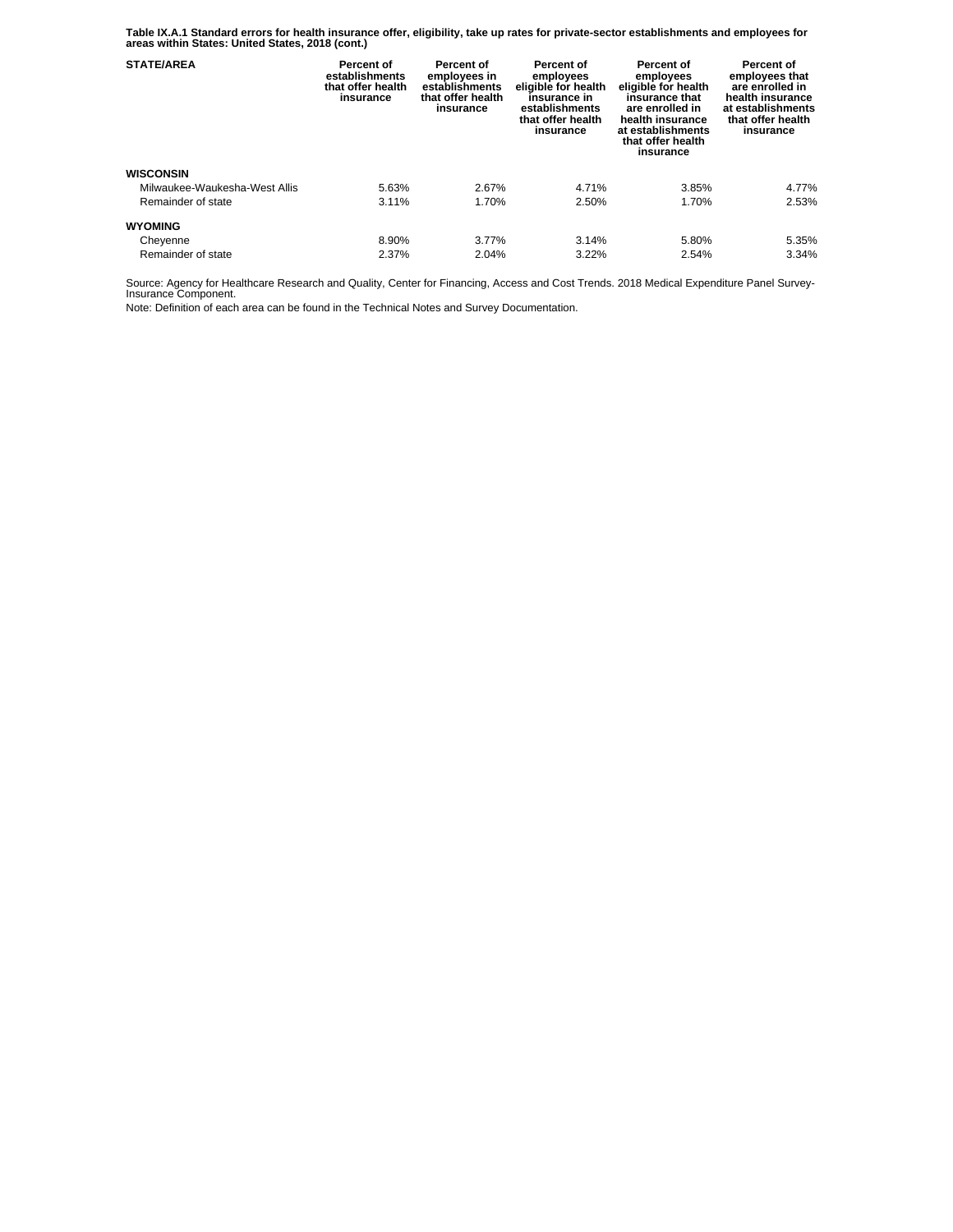**Table IX.A.1 Standard errors for health insurance offer, eligibility, take up rates for private-sector establishments and employees for areas within States: United States, 2018 (cont.)** 

| <b>STATE/AREA</b>             | Percent of<br>establishments<br>that offer health<br>insurance | Percent of<br>employees in<br>establishments<br>that offer health<br>insurance | Percent of<br>employees<br>eligible for health<br>insurance in<br>establishments<br>that offer health<br>insurance | Percent of<br>employees<br>eligible for health<br>insurance that<br>are enrolled in<br>health insurance<br>at establishments<br>that offer health<br>insurance | Percent of<br>employees that<br>are enrolled in<br>health insurance<br>at establishments<br>that offer health<br>insurance |
|-------------------------------|----------------------------------------------------------------|--------------------------------------------------------------------------------|--------------------------------------------------------------------------------------------------------------------|----------------------------------------------------------------------------------------------------------------------------------------------------------------|----------------------------------------------------------------------------------------------------------------------------|
| <b>WISCONSIN</b>              |                                                                |                                                                                |                                                                                                                    |                                                                                                                                                                |                                                                                                                            |
| Milwaukee-Waukesha-West Allis | 5.63%                                                          | 2.67%                                                                          | 4.71%                                                                                                              | 3.85%                                                                                                                                                          | 4.77%                                                                                                                      |
| Remainder of state            | 3.11%                                                          | 1.70%                                                                          | 2.50%                                                                                                              | 1.70%                                                                                                                                                          | 2.53%                                                                                                                      |
| <b>WYOMING</b>                |                                                                |                                                                                |                                                                                                                    |                                                                                                                                                                |                                                                                                                            |
| Cheyenne                      | 8.90%                                                          | 3.77%                                                                          | 3.14%                                                                                                              | 5.80%                                                                                                                                                          | 5.35%                                                                                                                      |
| Remainder of state            | 2.37%                                                          | 2.04%                                                                          | 3.22%                                                                                                              | 2.54%                                                                                                                                                          | 3.34%                                                                                                                      |

Source: Agency for Healthcare Research and Quality, Center for Financing, Access and Cost Trends. 2018 Medical Expenditure Panel Survey-Insurance Component.

Note: Definition of each area can be found in the Technical Notes and Survey Documentation.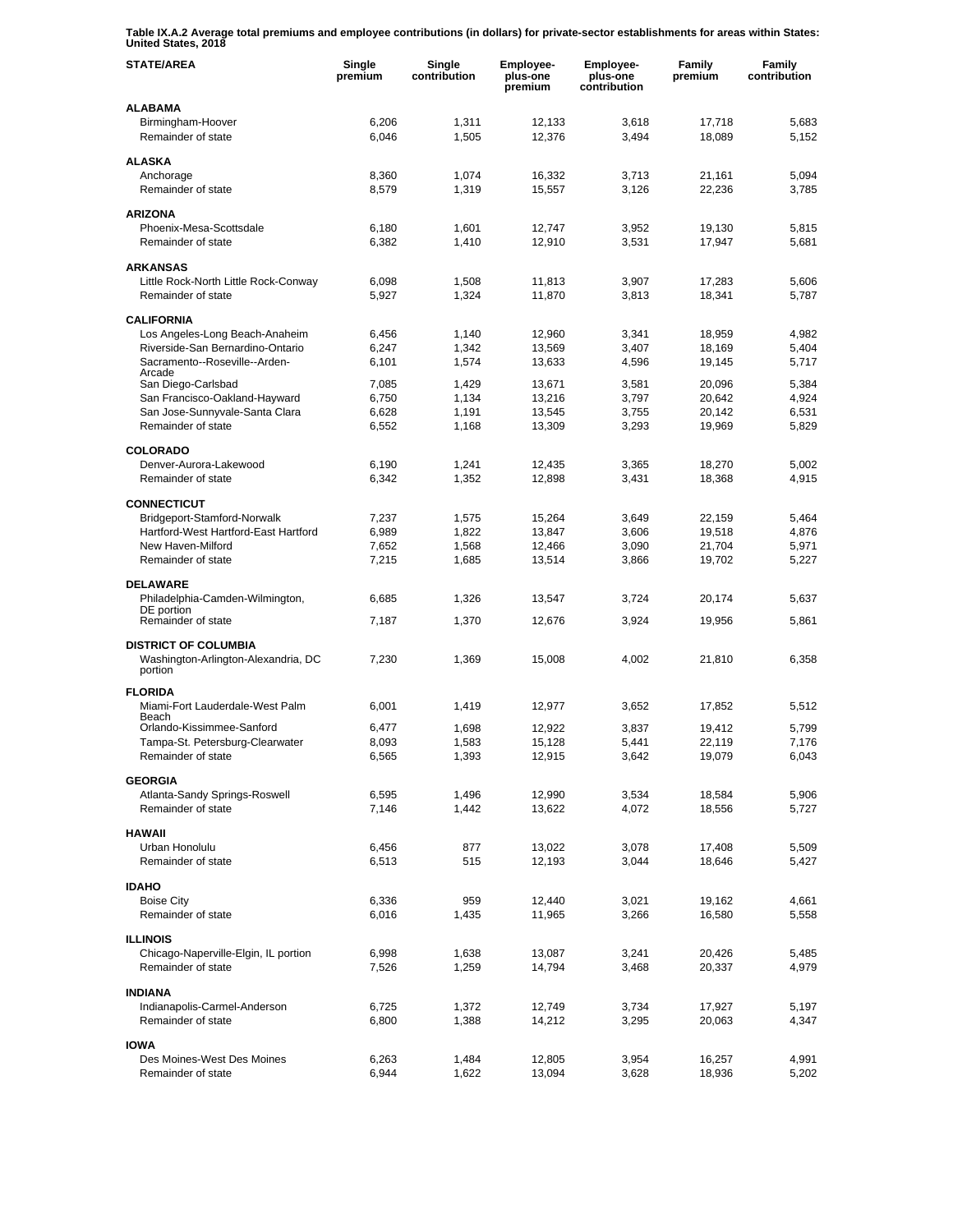**Table IX.A.2 Average total premiums and employee contributions (in dollars) for private-sector establishments for areas within States: United States, 2018** 

| <b>STATE/AREA</b>                                                             | Single<br>premium | Single<br>contribution | Employee-<br>plus-one<br>premium | Employee-<br>plus-one<br>contribution | Family<br>premium | Family<br>contribution |
|-------------------------------------------------------------------------------|-------------------|------------------------|----------------------------------|---------------------------------------|-------------------|------------------------|
| <b>ALABAMA</b>                                                                |                   |                        |                                  |                                       |                   |                        |
| Birmingham-Hoover<br>Remainder of state                                       | 6,206<br>6,046    | 1,311<br>1,505         | 12,133<br>12,376                 | 3,618<br>3,494                        | 17,718<br>18,089  | 5,683<br>5,152         |
| <b>ALASKA</b>                                                                 |                   |                        |                                  |                                       |                   |                        |
| Anchorage                                                                     | 8,360             | 1,074                  | 16,332                           | 3,713                                 | 21,161            | 5,094                  |
| Remainder of state                                                            | 8,579             | 1,319                  | 15,557                           | 3,126                                 | 22,236            | 3,785                  |
| <b>ARIZONA</b>                                                                |                   |                        |                                  |                                       |                   |                        |
| Phoenix-Mesa-Scottsdale                                                       | 6,180             | 1,601                  | 12,747                           | 3,952                                 | 19,130            | 5,815                  |
| Remainder of state                                                            | 6,382             | 1,410                  | 12,910                           | 3,531                                 | 17,947            | 5,681                  |
| <b>ARKANSAS</b>                                                               |                   |                        |                                  |                                       |                   |                        |
| Little Rock-North Little Rock-Conway                                          | 6,098             | 1,508                  | 11,813                           | 3,907                                 | 17,283            | 5,606                  |
| Remainder of state                                                            | 5,927             | 1,324                  | 11,870                           | 3,813                                 | 18,341            | 5,787                  |
| <b>CALIFORNIA</b>                                                             |                   |                        |                                  |                                       |                   |                        |
| Los Angeles-Long Beach-Anaheim                                                | 6,456             | 1,140                  | 12,960                           | 3,341                                 | 18,959            | 4,982                  |
| Riverside-San Bernardino-Ontario<br>Sacramento--Roseville--Arden-             | 6,247<br>6,101    | 1,342<br>1,574         | 13,569<br>13,633                 | 3,407<br>4,596                        | 18,169<br>19,145  | 5,404<br>5,717         |
| Arcade                                                                        |                   |                        |                                  |                                       |                   |                        |
| San Diego-Carlsbad<br>San Francisco-Oakland-Hayward                           | 7,085<br>6,750    | 1,429<br>1,134         | 13,671<br>13,216                 | 3,581<br>3,797                        | 20,096<br>20,642  | 5,384<br>4,924         |
| San Jose-Sunnyvale-Santa Clara                                                | 6,628             | 1,191                  | 13,545                           | 3,755                                 | 20,142            | 6,531                  |
| Remainder of state                                                            | 6,552             | 1,168                  | 13,309                           | 3,293                                 | 19,969            | 5,829                  |
|                                                                               |                   |                        |                                  |                                       |                   |                        |
| <b>COLORADO</b><br>Denver-Aurora-Lakewood                                     | 6,190             | 1,241                  | 12,435                           | 3,365                                 | 18,270            | 5,002                  |
| Remainder of state                                                            | 6,342             | 1,352                  | 12,898                           | 3,431                                 | 18,368            | 4,915                  |
|                                                                               |                   |                        |                                  |                                       |                   |                        |
| <b>CONNECTICUT</b>                                                            | 7,237             |                        |                                  | 3,649                                 | 22,159            | 5,464                  |
| Bridgeport-Stamford-Norwalk<br>Hartford-West Hartford-East Hartford           | 6,989             | 1,575<br>1,822         | 15,264<br>13,847                 | 3,606                                 | 19,518            | 4,876                  |
| New Haven-Milford                                                             | 7,652             | 1,568                  | 12,466                           | 3,090                                 | 21,704            | 5,971                  |
| Remainder of state                                                            | 7,215             | 1,685                  | 13,514                           | 3,866                                 | 19,702            | 5,227                  |
| <b>DELAWARE</b>                                                               |                   |                        |                                  |                                       |                   |                        |
| Philadelphia-Camden-Wilmington,                                               | 6,685             | 1,326                  | 13,547                           | 3,724                                 | 20,174            | 5,637                  |
| DE portion                                                                    |                   |                        |                                  |                                       |                   |                        |
| Remainder of state                                                            | 7,187             | 1,370                  | 12,676                           | 3,924                                 | 19,956            | 5,861                  |
| <b>DISTRICT OF COLUMBIA</b><br>Washington-Arlington-Alexandria, DC<br>portion | 7,230             | 1,369                  | 15,008                           | 4,002                                 | 21,810            | 6,358                  |
| <b>FLORIDA</b>                                                                |                   |                        |                                  |                                       |                   |                        |
| Miami-Fort Lauderdale-West Palm                                               | 6,001             | 1,419                  | 12,977                           | 3,652                                 | 17,852            | 5,512                  |
| Beach                                                                         |                   |                        |                                  |                                       |                   |                        |
| Orlando-Kissimmee-Sanford<br>Tampa-St. Petersburg-Clearwater                  | 6,477<br>8,093    | 1,698<br>1,583         | 12,922<br>15,128                 | 3,837<br>5,441                        | 19,412<br>22,119  | 5,799<br>7,176         |
| Remainder of state                                                            | 6,565             | 1,393                  | 12,915                           | 3,642                                 | 19,079            | 6,043                  |
|                                                                               |                   |                        |                                  |                                       |                   |                        |
| <b>GEORGIA</b><br>Atlanta-Sandy Springs-Roswell                               | 6,595             | 1,496                  | 12,990                           | 3,534                                 | 18,584            | 5,906                  |
| Remainder of state                                                            | 7,146             | 1,442                  | 13,622                           | 4,072                                 | 18,556            | 5,727                  |
|                                                                               |                   |                        |                                  |                                       |                   |                        |
| <b>HAWAII</b><br>Urban Honolulu                                               | 6,456             | 877                    | 13,022                           | 3,078                                 | 17,408            | 5,509                  |
| Remainder of state                                                            | 6,513             | 515                    | 12,193                           | 3,044                                 | 18,646            | 5,427                  |
|                                                                               |                   |                        |                                  |                                       |                   |                        |
| <b>IDAHO</b>                                                                  |                   |                        |                                  |                                       |                   |                        |
| <b>Boise City</b><br>Remainder of state                                       | 6,336<br>6,016    | 959<br>1,435           | 12,440<br>11,965                 | 3,021<br>3,266                        | 19,162<br>16,580  | 4,661<br>5,558         |
|                                                                               |                   |                        |                                  |                                       |                   |                        |
| <b>ILLINOIS</b>                                                               |                   |                        |                                  |                                       |                   |                        |
| Chicago-Naperville-Elgin, IL portion<br>Remainder of state                    | 6,998<br>7,526    | 1,638<br>1,259         | 13,087<br>14,794                 | 3,241<br>3,468                        | 20,426<br>20,337  | 5,485<br>4,979         |
|                                                                               |                   |                        |                                  |                                       |                   |                        |
| <b>INDIANA</b>                                                                |                   |                        |                                  |                                       |                   |                        |
| Indianapolis-Carmel-Anderson<br>Remainder of state                            | 6,725             | 1,372                  | 12,749                           | 3,734                                 | 17,927            | 5,197                  |
|                                                                               | 6,800             | 1,388                  | 14,212                           | 3,295                                 | 20,063            | 4,347                  |
| <b>IOWA</b>                                                                   |                   |                        |                                  |                                       |                   |                        |
| Des Moines-West Des Moines                                                    | 6,263             | 1,484                  | 12,805                           | 3,954                                 | 16,257            | 4,991                  |
| Remainder of state                                                            | 6,944             | 1,622                  | 13,094                           | 3,628                                 | 18,936            | 5,202                  |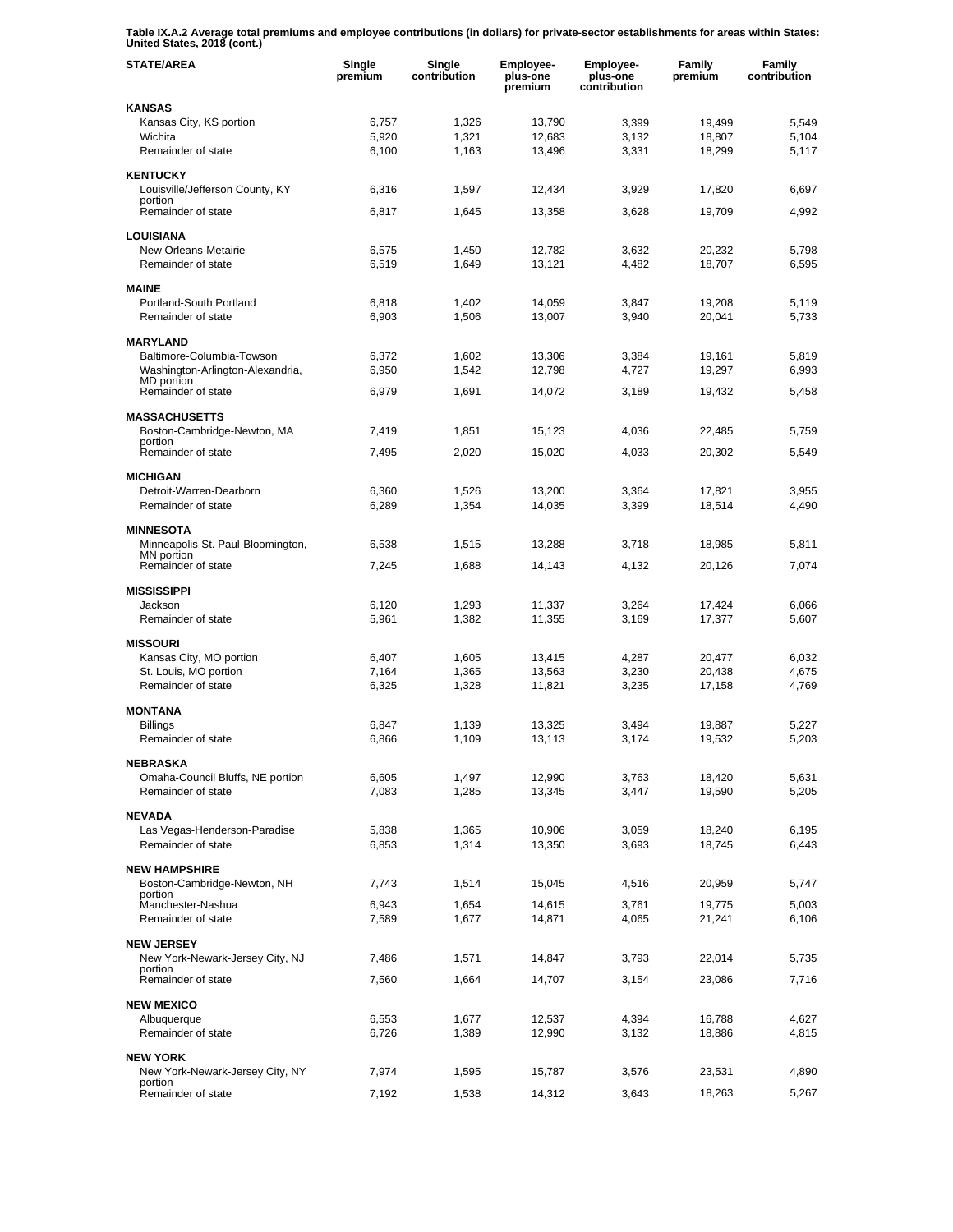**Table IX.A.2 Average total premiums and employee contributions (in dollars) for private-sector establishments for areas within States: United States, 2018 (cont.)** 

| <b>STATE/AREA</b>                                             | Single<br>premium | Single<br>contribution | Employee-<br>plus-one<br>premium | <b>Employee-</b><br>plus-one<br>contribution | Family<br>premium | Family<br>contribution |
|---------------------------------------------------------------|-------------------|------------------------|----------------------------------|----------------------------------------------|-------------------|------------------------|
| <b>KANSAS</b>                                                 |                   |                        |                                  |                                              |                   |                        |
| Kansas City, KS portion                                       | 6,757             | 1,326                  | 13,790                           | 3,399                                        | 19,499            | 5,549                  |
| Wichita                                                       | 5,920             | 1,321                  | 12,683                           | 3,132                                        | 18,807            | 5,104                  |
| Remainder of state                                            | 6,100             | 1,163                  | 13,496                           | 3,331                                        | 18,299            | 5,117                  |
| <b>KENTUCKY</b>                                               |                   |                        |                                  |                                              |                   |                        |
| Louisville/Jefferson County, KY                               | 6,316             | 1,597                  | 12,434                           | 3,929                                        | 17,820            | 6,697                  |
| portion<br>Remainder of state                                 | 6,817             | 1,645                  | 13,358                           | 3,628                                        | 19,709            | 4,992                  |
|                                                               |                   |                        |                                  |                                              |                   |                        |
| <b>LOUISIANA</b>                                              |                   |                        |                                  |                                              |                   |                        |
| New Orleans-Metairie                                          | 6,575             | 1,450                  | 12.782                           | 3.632                                        | 20.232            | 5,798                  |
| Remainder of state                                            | 6,519             | 1,649                  | 13,121                           | 4,482                                        | 18,707            | 6,595                  |
| <b>MAINE</b>                                                  |                   |                        |                                  |                                              |                   |                        |
| Portland-South Portland                                       | 6,818             | 1,402                  | 14,059                           | 3,847                                        | 19,208            | 5,119                  |
| Remainder of state                                            | 6,903             | 1,506                  | 13,007                           | 3,940                                        | 20,041            | 5,733                  |
|                                                               |                   |                        |                                  |                                              |                   |                        |
| <b>MARYLAND</b>                                               | 6.372             |                        |                                  |                                              |                   |                        |
| Baltimore-Columbia-Towson<br>Washington-Arlington-Alexandria, | 6,950             | 1,602<br>1,542         | 13,306<br>12,798                 | 3,384<br>4,727                               | 19,161<br>19,297  | 5,819<br>6,993         |
| <b>MD</b> portion                                             |                   |                        |                                  |                                              |                   |                        |
| Remainder of state                                            | 6,979             | 1,691                  | 14,072                           | 3,189                                        | 19,432            | 5,458                  |
| <b>MASSACHUSETTS</b>                                          |                   |                        |                                  |                                              |                   |                        |
| Boston-Cambridge-Newton, MA                                   | 7,419             | 1,851                  | 15,123                           | 4,036                                        | 22,485            | 5,759                  |
| portion                                                       |                   |                        |                                  |                                              |                   |                        |
| Remainder of state                                            | 7,495             | 2,020                  | 15,020                           | 4,033                                        | 20,302            | 5,549                  |
| <b>MICHIGAN</b>                                               |                   |                        |                                  |                                              |                   |                        |
| Detroit-Warren-Dearborn                                       | 6,360             | 1,526                  | 13,200                           | 3,364                                        | 17,821            | 3,955                  |
| Remainder of state                                            | 6,289             | 1,354                  | 14,035                           | 3,399                                        | 18,514            | 4,490                  |
| <b>MINNESOTA</b>                                              |                   |                        |                                  |                                              |                   |                        |
| Minneapolis-St. Paul-Bloomington,                             | 6,538             | 1,515                  | 13,288                           | 3,718                                        | 18,985            | 5,811                  |
| MN portion                                                    |                   |                        |                                  |                                              |                   |                        |
| Remainder of state                                            | 7,245             | 1,688                  | 14,143                           | 4,132                                        | 20,126            | 7,074                  |
| <b>MISSISSIPPI</b>                                            |                   |                        |                                  |                                              |                   |                        |
| Jackson                                                       | 6,120             | 1,293                  | 11,337                           | 3,264                                        | 17,424            | 6,066                  |
| Remainder of state                                            | 5,961             | 1,382                  | 11,355                           | 3,169                                        | 17,377            | 5,607                  |
|                                                               |                   |                        |                                  |                                              |                   |                        |
| <b>MISSOURI</b><br>Kansas City, MO portion                    | 6,407             | 1,605                  | 13,415                           | 4,287                                        | 20,477            | 6.032                  |
| St. Louis, MO portion                                         | 7,164             | 1,365                  | 13,563                           | 3,230                                        | 20,438            | 4,675                  |
| Remainder of state                                            | 6,325             | 1,328                  | 11,821                           | 3,235                                        | 17,158            | 4,769                  |
|                                                               |                   |                        |                                  |                                              |                   |                        |
| <b>MONTANA</b>                                                |                   |                        |                                  |                                              |                   |                        |
| <b>Billings</b><br>Remainder of state                         | 6,847             | 1,139                  | 13,325                           | 3,494                                        | 19,887            | 5,227                  |
|                                                               | 6,866             | 1,109                  | 13,113                           | 3,174                                        | 19,532            | 5,203                  |
| <b>NEBRASKA</b>                                               |                   |                        |                                  |                                              |                   |                        |
| Omaha-Council Bluffs, NE portion                              | 6,605             | 1,497                  | 12,990                           | 3,763                                        | 18,420            | 5,631                  |
| Remainder of state                                            | 7,083             | 1,285                  | 13,345                           | 3,447                                        | 19,590            | 5,205                  |
| <b>NEVADA</b>                                                 |                   |                        |                                  |                                              |                   |                        |
| Las Vegas-Henderson-Paradise                                  | 5,838             | 1,365                  | 10,906                           | 3,059                                        | 18,240            | 6,195                  |
| Remainder of state                                            | 6,853             | 1,314                  | 13,350                           | 3,693                                        | 18,745            | 6,443                  |
|                                                               |                   |                        |                                  |                                              |                   |                        |
| <b>NEW HAMPSHIRE</b>                                          |                   |                        |                                  |                                              |                   |                        |
| Boston-Cambridge-Newton, NH<br>portion                        | 7,743             | 1,514                  | 15,045                           | 4,516                                        | 20,959            | 5,747                  |
| Manchester-Nashua                                             | 6,943             | 1,654                  | 14,615                           | 3,761                                        | 19,775            | 5,003                  |
| Remainder of state                                            | 7,589             | 1,677                  | 14,871                           | 4,065                                        | 21,241            | 6,106                  |
| <b>NEW JERSEY</b>                                             |                   |                        |                                  |                                              |                   |                        |
| New York-Newark-Jersey City, NJ                               | 7,486             | 1,571                  | 14,847                           | 3,793                                        | 22,014            | 5,735                  |
| portion                                                       |                   |                        |                                  |                                              |                   |                        |
| Remainder of state                                            | 7,560             | 1,664                  | 14,707                           | 3,154                                        | 23,086            | 7,716                  |
| <b>NEW MEXICO</b>                                             |                   |                        |                                  |                                              |                   |                        |
| Albuquerque                                                   | 6,553             | 1,677                  | 12,537                           | 4,394                                        | 16,788            | 4,627                  |
| Remainder of state                                            | 6,726             | 1,389                  | 12,990                           | 3,132                                        | 18,886            | 4,815                  |
|                                                               |                   |                        |                                  |                                              |                   |                        |
| <b>NEW YORK</b><br>New York-Newark-Jersey City, NY            | 7,974             | 1,595                  | 15,787                           | 3,576                                        | 23,531            | 4,890                  |
| portion                                                       |                   |                        |                                  |                                              |                   |                        |
| Remainder of state                                            | 7,192             | 1,538                  | 14,312                           | 3,643                                        | 18,263            | 5,267                  |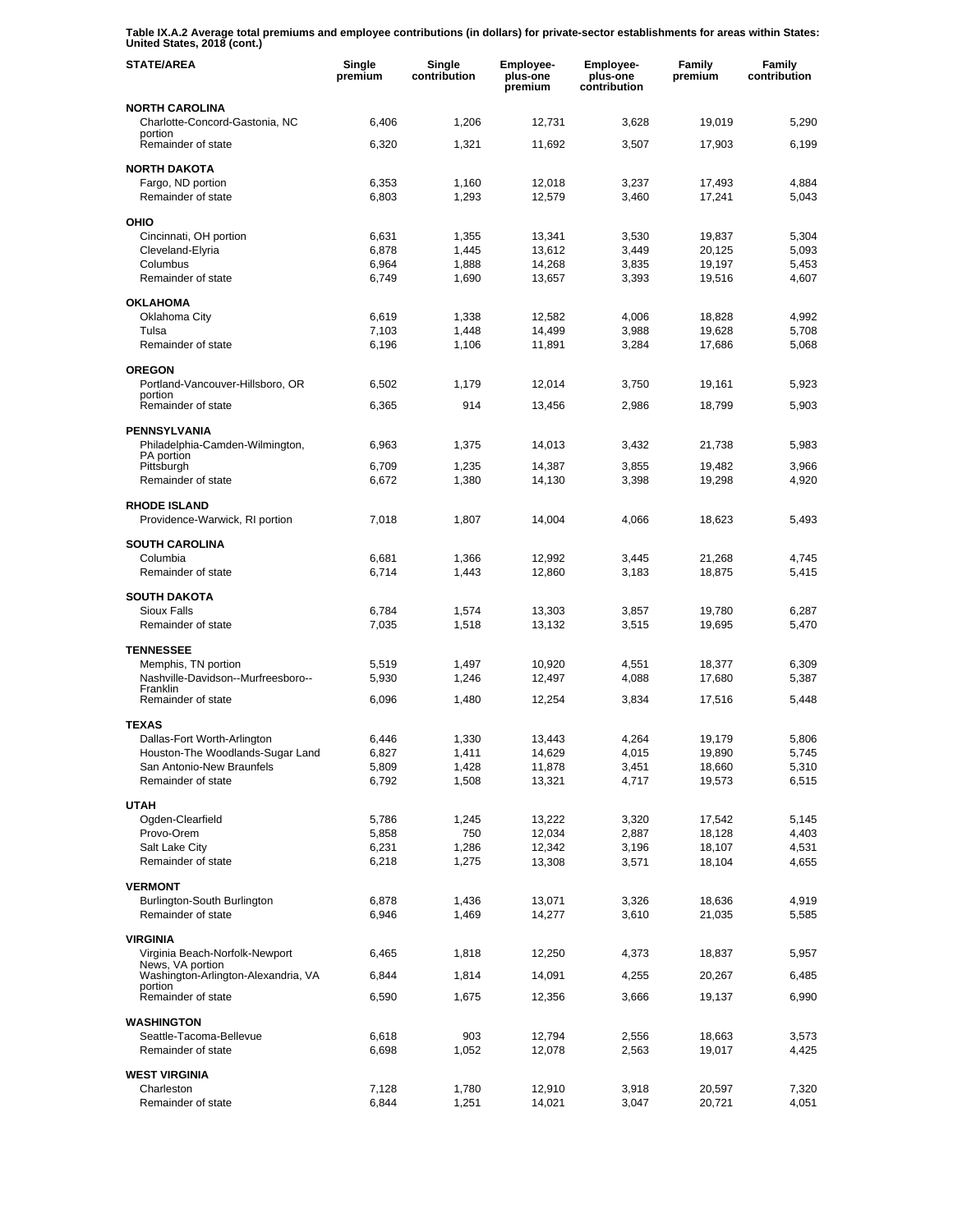**Table IX.A.2 Average total premiums and employee contributions (in dollars) for private-sector establishments for areas within States: United States, 2018 (cont.)** 

| <b>STATE/AREA</b>                                                    | Single<br>premium | Single<br>contribution | Employee-<br>plus-one<br>premium | Employee-<br>plus-one<br>contribution | Family<br>premium | Family<br>contribution |
|----------------------------------------------------------------------|-------------------|------------------------|----------------------------------|---------------------------------------|-------------------|------------------------|
| <b>NORTH CAROLINA</b><br>Charlotte-Concord-Gastonia, NC              | 6,406             | 1,206                  | 12,731                           | 3,628                                 | 19,019            | 5,290                  |
| portion<br>Remainder of state                                        | 6,320             | 1,321                  | 11,692                           | 3,507                                 | 17,903            | 6,199                  |
| <b>NORTH DAKOTA</b>                                                  |                   |                        |                                  |                                       |                   |                        |
| Fargo, ND portion<br>Remainder of state                              | 6,353<br>6,803    | 1,160<br>1,293         | 12,018<br>12,579                 | 3,237<br>3,460                        | 17,493<br>17,241  | 4,884<br>5,043         |
| OHIO                                                                 |                   |                        |                                  |                                       |                   |                        |
| Cincinnati, OH portion                                               | 6,631             | 1,355                  | 13,341                           | 3,530                                 | 19,837            | 5,304                  |
| Cleveland-Elyria                                                     | 6,878             | 1,445                  | 13,612                           | 3,449                                 | 20,125            | 5,093                  |
| Columbus<br>Remainder of state                                       | 6,964<br>6,749    | 1,888<br>1,690         | 14,268<br>13,657                 | 3,835<br>3,393                        | 19,197<br>19,516  | 5,453<br>4,607         |
| <b>OKLAHOMA</b>                                                      |                   |                        |                                  |                                       |                   |                        |
| Oklahoma City                                                        | 6,619             | 1,338                  | 12,582                           | 4,006                                 | 18,828            | 4,992                  |
| Tulsa                                                                | 7,103             | 1,448                  | 14,499                           | 3,988                                 | 19,628            | 5,708                  |
| Remainder of state                                                   | 6,196             | 1,106                  | 11,891                           | 3,284                                 | 17,686            | 5,068                  |
| <b>OREGON</b>                                                        |                   |                        |                                  |                                       |                   |                        |
| Portland-Vancouver-Hillsboro, OR<br>portion                          | 6,502             | 1,179                  | 12,014                           | 3,750                                 | 19,161            | 5,923                  |
| Remainder of state                                                   | 6,365             | 914                    | 13,456                           | 2,986                                 | 18,799            | 5,903                  |
| <b>PENNSYLVANIA</b><br>Philadelphia-Camden-Wilmington,               | 6,963             | 1,375                  | 14,013                           | 3,432                                 | 21,738            | 5,983                  |
| PA portion                                                           |                   |                        |                                  |                                       |                   |                        |
| Pittsburgh<br>Remainder of state                                     | 6,709<br>6,672    | 1,235<br>1,380         | 14,387<br>14,130                 | 3,855<br>3,398                        | 19,482<br>19,298  | 3,966<br>4,920         |
| <b>RHODE ISLAND</b>                                                  |                   |                        |                                  |                                       |                   |                        |
| Providence-Warwick, RI portion                                       | 7,018             | 1,807                  | 14,004                           | 4,066                                 | 18,623            | 5,493                  |
| <b>SOUTH CAROLINA</b>                                                |                   |                        |                                  |                                       |                   |                        |
| Columbia                                                             | 6,681             | 1,366                  | 12,992                           | 3,445                                 | 21,268            | 4,745                  |
| Remainder of state                                                   | 6,714             | 1,443                  | 12,860                           | 3,183                                 | 18,875            | 5,415                  |
| <b>SOUTH DAKOTA</b>                                                  |                   |                        |                                  |                                       |                   |                        |
| <b>Sioux Falls</b><br>Remainder of state                             | 6,784<br>7,035    | 1,574<br>1,518         | 13,303<br>13,132                 | 3,857<br>3,515                        | 19,780<br>19,695  | 6,287<br>5,470         |
|                                                                      |                   |                        |                                  |                                       |                   |                        |
| <b>TENNESSEE</b><br>Memphis, TN portion                              | 5,519             | 1,497                  | 10,920                           | 4,551                                 | 18,377            | 6,309                  |
| Nashville-Davidson--Murfreesboro--                                   | 5,930             | 1,246                  | 12,497                           | 4,088                                 | 17,680            | 5,387                  |
| Franklin<br>Remainder of state                                       | 6,096             | 1,480                  | 12,254                           | 3,834                                 | 17,516            | 5,448                  |
| <b>TEXAS</b>                                                         |                   |                        |                                  |                                       |                   |                        |
| Dallas-Fort Worth-Arlington                                          | 6,446             | 1,330                  | 13,443                           | 4,264                                 | 19,179            | 5,806                  |
| Houston-The Woodlands-Sugar Land                                     | 6,827             | 1,411                  | 14,629                           | 4,015                                 | 19,890            | 5,745                  |
| San Antonio-New Braunfels                                            | 5,809             | 1,428                  | 11,878                           | 3,451                                 | 18,660            | 5,310                  |
| Remainder of state                                                   | 6,792             | 1,508                  | 13,321                           | 4,717                                 | 19,573            | 6,515                  |
| <b>UTAH</b>                                                          |                   |                        |                                  | 3,320                                 |                   |                        |
| Ogden-Clearfield<br>Provo-Orem                                       | 5,786<br>5,858    | 1,245<br>750           | 13,222<br>12,034                 | 2,887                                 | 17,542<br>18,128  | 5,145<br>4,403         |
| Salt Lake City                                                       | 6,231             | 1,286                  | 12,342                           | 3,196                                 | 18,107            | 4,531                  |
| Remainder of state                                                   | 6,218             | 1,275                  | 13,308                           | 3,571                                 | 18,104            | 4,655                  |
| <b>VERMONT</b>                                                       |                   |                        |                                  |                                       |                   |                        |
| Burlington-South Burlington                                          | 6,878             | 1,436                  | 13,071                           | 3,326                                 | 18,636            | 4,919                  |
| Remainder of state                                                   | 6,946             | 1,469                  | 14,277                           | 3,610                                 | 21,035            | 5,585                  |
| <b>VIRGINIA</b>                                                      |                   |                        |                                  |                                       |                   |                        |
| Virginia Beach-Norfolk-Newport<br>News, VA portion                   | 6,465             | 1,818                  | 12,250                           | 4,373                                 | 18,837            | 5,957                  |
| Washington-Arlington-Alexandria, VA<br>portion<br>Remainder of state | 6,844<br>6,590    | 1,814<br>1,675         | 14,091                           | 4,255<br>3,666                        | 20,267<br>19,137  | 6,485<br>6,990         |
|                                                                      |                   |                        | 12,356                           |                                       |                   |                        |
| <b>WASHINGTON</b><br>Seattle-Tacoma-Bellevue                         | 6,618             | 903                    | 12,794                           | 2,556                                 | 18,663            | 3,573                  |
| Remainder of state                                                   | 6,698             | 1,052                  | 12,078                           | 2,563                                 | 19,017            | 4,425                  |
| <b>WEST VIRGINIA</b>                                                 |                   |                        |                                  |                                       |                   |                        |
| Charleston                                                           | 7,128             | 1,780                  | 12,910                           | 3,918                                 | 20,597            | 7,320                  |
| Remainder of state                                                   | 6,844             | 1,251                  | 14,021                           | 3,047                                 | 20,721            | 4,051                  |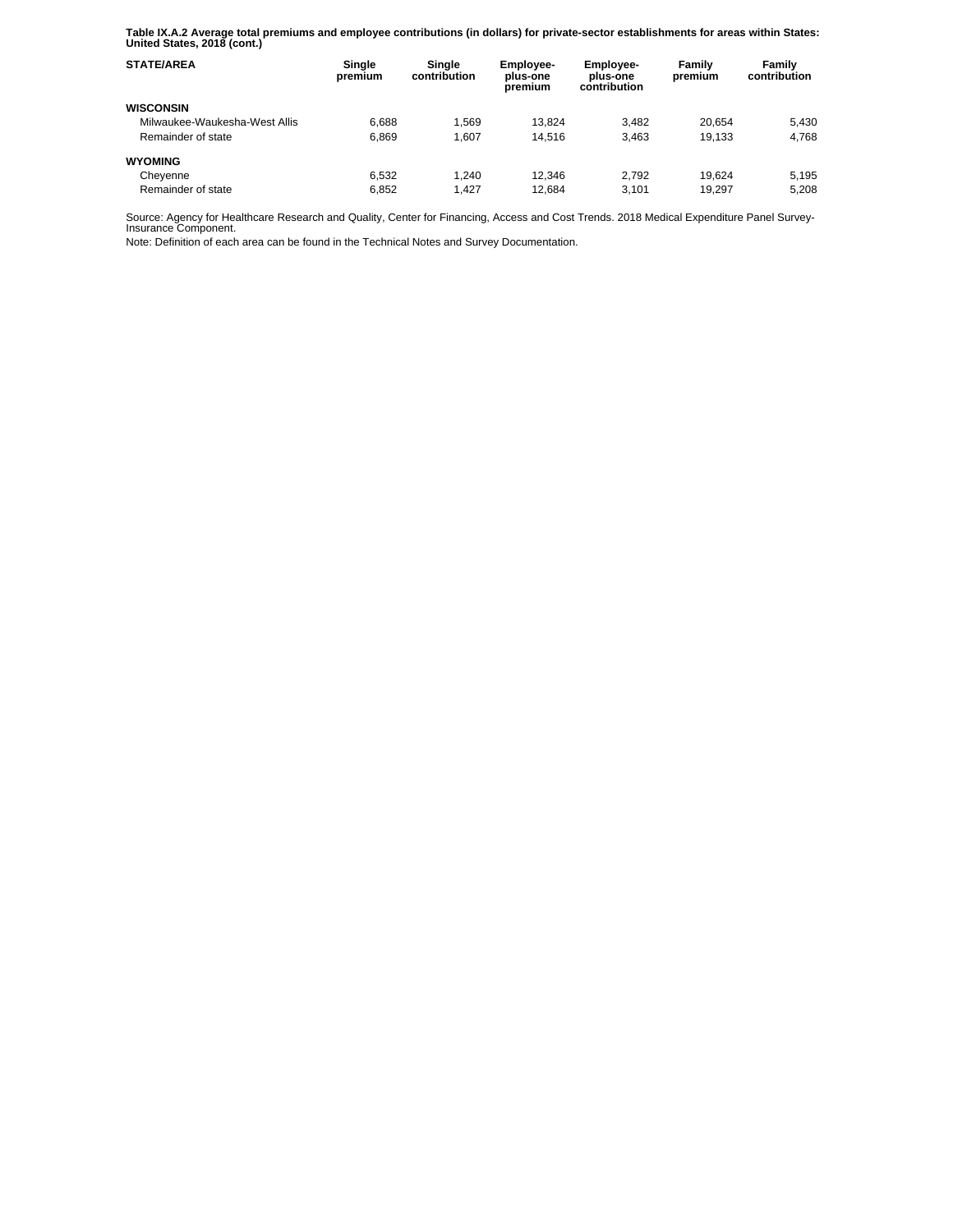**Table IX.A.2 Average total premiums and employee contributions (in dollars) for private-sector establishments for areas within States: United States, 2018 (cont.)** 

| <b>STATE/AREA</b>             | Single<br>premium | Single<br>contribution | <b>Employee-</b><br>plus-one<br>premium | <b>Employee-</b><br>plus-one<br>contribution | Family<br>premium | Family<br>contribution |
|-------------------------------|-------------------|------------------------|-----------------------------------------|----------------------------------------------|-------------------|------------------------|
| <b>WISCONSIN</b>              |                   |                        |                                         |                                              |                   |                        |
| Milwaukee-Waukesha-West Allis | 6.688             | 1.569                  | 13.824                                  | 3.482                                        | 20.654            | 5.430                  |
| Remainder of state            | 6.869             | 1.607                  | 14.516                                  | 3.463                                        | 19.133            | 4.768                  |
| <b>WYOMING</b>                |                   |                        |                                         |                                              |                   |                        |
| Cheyenne                      | 6.532             | 1.240                  | 12.346                                  | 2.792                                        | 19.624            | 5.195                  |
| Remainder of state            | 6.852             | 1.427                  | 12.684                                  | 3.101                                        | 19.297            | 5.208                  |

Source: Agency for Healthcare Research and Quality, Center for Financing, Access and Cost Trends. 2018 Medical Expenditure Panel Survey-Insurance Component.

Note: Definition of each area can be found in the Technical Notes and Survey Documentation.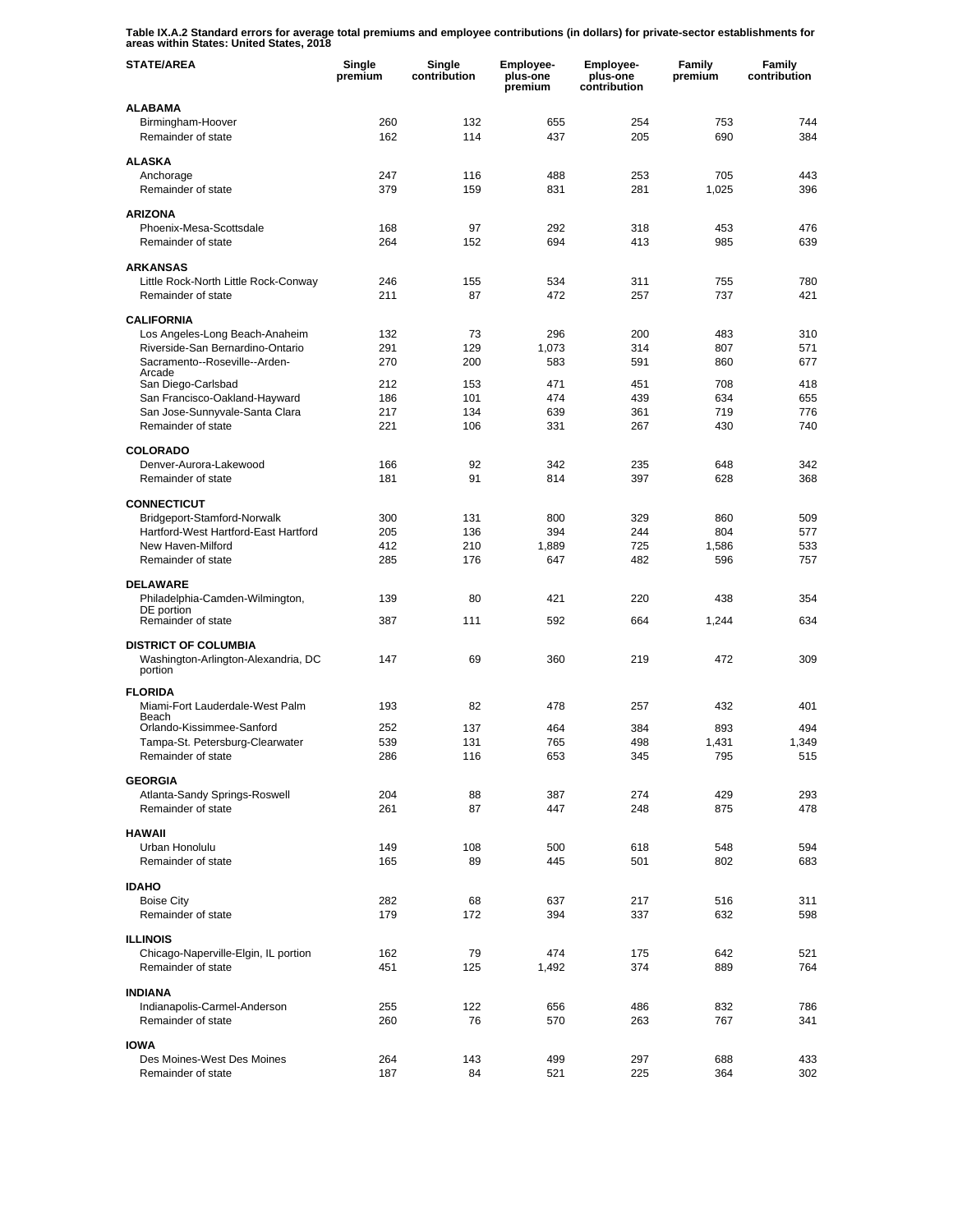**Table IX.A.2 Standard errors for average total premiums and employee contributions (in dollars) for private-sector establishments for areas within States: United States, 2018** 

| <b>STATE/AREA</b>                                          | Single<br>premium | Single<br>contribution | Employee-<br>plus-one<br>premium | Employee-<br>plus-one<br>contribution | Family<br>premium | Family<br>contribution |
|------------------------------------------------------------|-------------------|------------------------|----------------------------------|---------------------------------------|-------------------|------------------------|
| <b>ALABAMA</b>                                             |                   |                        |                                  |                                       |                   |                        |
| Birmingham-Hoover<br>Remainder of state                    | 260<br>162        | 132<br>114             | 655<br>437                       | 254<br>205                            | 753<br>690        | 744<br>384             |
| <b>ALASKA</b>                                              |                   |                        |                                  |                                       |                   |                        |
| Anchorage                                                  | 247               | 116                    | 488                              | 253                                   | 705               | 443                    |
| Remainder of state                                         | 379               | 159                    | 831                              | 281                                   | 1,025             | 396                    |
| <b>ARIZONA</b>                                             |                   |                        |                                  |                                       |                   |                        |
| Phoenix-Mesa-Scottsdale                                    | 168               | 97                     | 292                              | 318                                   | 453               | 476                    |
| Remainder of state                                         | 264               | 152                    | 694                              | 413                                   | 985               | 639                    |
| <b>ARKANSAS</b>                                            |                   |                        |                                  |                                       |                   |                        |
| Little Rock-North Little Rock-Conway                       | 246               | 155                    | 534                              | 311                                   | 755               | 780                    |
| Remainder of state                                         | 211               | 87                     | 472                              | 257                                   | 737               | 421                    |
| <b>CALIFORNIA</b>                                          |                   |                        |                                  |                                       |                   |                        |
| Los Angeles-Long Beach-Anaheim                             | 132               | 73                     | 296                              | 200                                   | 483               | 310                    |
| Riverside-San Bernardino-Ontario                           | 291               | 129                    | 1,073                            | 314                                   | 807               | 571                    |
| Sacramento--Roseville--Arden-<br>Arcade                    | 270               | 200                    | 583                              | 591                                   | 860               | 677                    |
| San Diego-Carlsbad                                         | 212               | 153                    | 471                              | 451                                   | 708               | 418                    |
| San Francisco-Oakland-Hayward                              | 186               | 101                    | 474                              | 439                                   | 634               | 655                    |
| San Jose-Sunnyvale-Santa Clara<br>Remainder of state       | 217<br>221        | 134<br>106             | 639<br>331                       | 361<br>267                            | 719<br>430        | 776<br>740             |
|                                                            |                   |                        |                                  |                                       |                   |                        |
| <b>COLORADO</b>                                            |                   |                        |                                  |                                       |                   |                        |
| Denver-Aurora-Lakewood                                     | 166               | 92                     | 342                              | 235                                   | 648               | 342                    |
| Remainder of state                                         | 181               | 91                     | 814                              | 397                                   | 628               | 368                    |
| <b>CONNECTICUT</b>                                         |                   |                        |                                  |                                       |                   |                        |
| Bridgeport-Stamford-Norwalk                                | 300               | 131                    | 800                              | 329                                   | 860               | 509                    |
| Hartford-West Hartford-East Hartford                       | 205               | 136                    | 394                              | 244                                   | 804               | 577                    |
| New Haven-Milford<br>Remainder of state                    | 412<br>285        | 210<br>176             | 1,889<br>647                     | 725<br>482                            | 1,586<br>596      | 533<br>757             |
|                                                            |                   |                        |                                  |                                       |                   |                        |
| <b>DELAWARE</b>                                            |                   |                        |                                  |                                       |                   |                        |
| Philadelphia-Camden-Wilmington,<br>DE portion              | 139               | 80                     | 421                              | 220                                   | 438               | 354                    |
| Remainder of state                                         | 387               | 111                    | 592                              | 664                                   | 1,244             | 634                    |
| <b>DISTRICT OF COLUMBIA</b>                                |                   |                        |                                  |                                       |                   |                        |
| Washington-Arlington-Alexandria, DC<br>portion             | 147               | 69                     | 360                              | 219                                   | 472               | 309                    |
| <b>FLORIDA</b>                                             |                   |                        |                                  |                                       |                   |                        |
| Miami-Fort Lauderdale-West Palm                            | 193               | 82                     | 478                              | 257                                   | 432               | 401                    |
| Beach<br>Orlando-Kissimmee-Sanford                         |                   |                        |                                  |                                       |                   |                        |
| Tampa-St. Petersburg-Clearwater                            | 252<br>539        | 137<br>131             | 464<br>765                       | 384<br>498                            | 893<br>1,431      | 494<br>1,349           |
| Remainder of state                                         | 286               | 116                    | 653                              | 345                                   | 795               | 515                    |
|                                                            |                   |                        |                                  |                                       |                   |                        |
| <b>GEORGIA</b><br>Atlanta-Sandy Springs-Roswell            | 204               | 88                     | 387                              | 274                                   | 429               | 293                    |
| Remainder of state                                         | 261               | 87                     | 447                              | 248                                   | 875               | 478                    |
|                                                            |                   |                        |                                  |                                       |                   |                        |
| <b>HAWAII</b><br>Urban Honolulu                            | 149               | 108                    | 500                              | 618                                   | 548               | 594                    |
| Remainder of state                                         | 165               | 89                     | 445                              | 501                                   | 802               | 683                    |
|                                                            |                   |                        |                                  |                                       |                   |                        |
| <b>IDAHO</b>                                               |                   |                        |                                  |                                       |                   |                        |
| <b>Boise City</b><br>Remainder of state                    | 282<br>179        | 68<br>172              | 637<br>394                       | 217<br>337                            | 516<br>632        | 311<br>598             |
|                                                            |                   |                        |                                  |                                       |                   |                        |
| <b>ILLINOIS</b>                                            |                   |                        |                                  |                                       |                   |                        |
| Chicago-Naperville-Elgin, IL portion<br>Remainder of state | 162<br>451        | 79<br>125              | 474<br>1,492                     | 175<br>374                            | 642<br>889        | 521<br>764             |
|                                                            |                   |                        |                                  |                                       |                   |                        |
| <b>INDIANA</b>                                             |                   |                        |                                  |                                       |                   |                        |
| Indianapolis-Carmel-Anderson                               | 255               | 122                    | 656                              | 486                                   | 832               | 786                    |
| Remainder of state                                         | 260               | 76                     | 570                              | 263                                   | 767               | 341                    |
| <b>IOWA</b>                                                |                   |                        |                                  |                                       |                   |                        |
| Des Moines-West Des Moines                                 | 264               | 143                    | 499                              | 297                                   | 688               | 433                    |
| Remainder of state                                         | 187               | 84                     | 521                              | 225                                   | 364               | 302                    |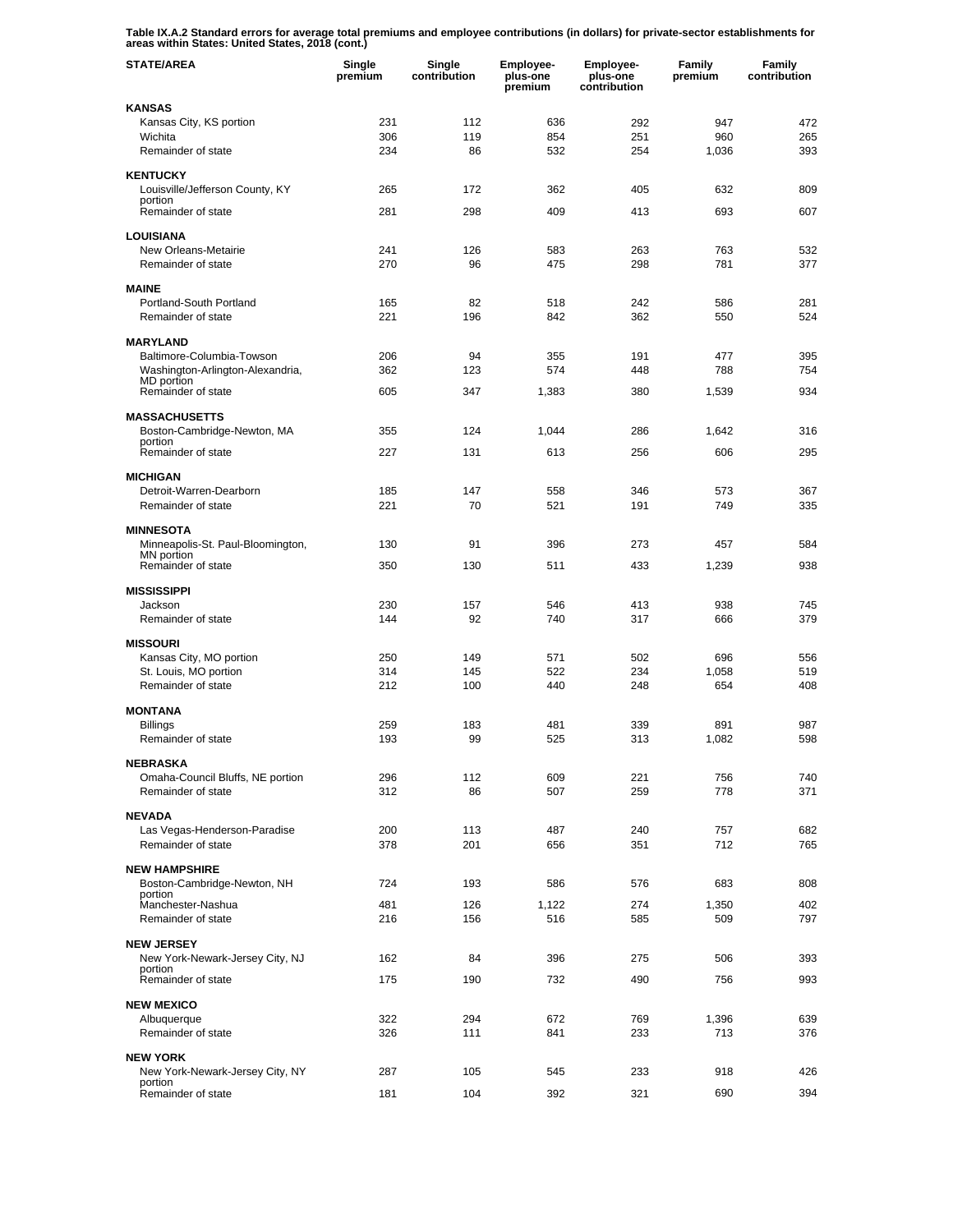**Table IX.A.2 Standard errors for average total premiums and employee contributions (in dollars) for private-sector establishments for areas within States: United States, 2018 (cont.)** 

| <b>STATE/AREA</b>                                   | Single<br>premium | Single<br>contribution | Employee-<br>plus-one<br>premium | Employee-<br>plus-one<br>contribution | Family<br>premium | Family<br>contribution |
|-----------------------------------------------------|-------------------|------------------------|----------------------------------|---------------------------------------|-------------------|------------------------|
| <b>KANSAS</b>                                       |                   |                        |                                  |                                       |                   |                        |
| Kansas City, KS portion                             | 231               | 112                    | 636                              | 292                                   | 947               | 472                    |
| Wichita<br>Remainder of state                       | 306<br>234        | 119<br>86              | 854<br>532                       | 251<br>254                            | 960<br>1,036      | 265<br>393             |
|                                                     |                   |                        |                                  |                                       |                   |                        |
| <b>KENTUCKY</b>                                     | 265               | 172                    | 362                              | 405                                   | 632               | 809                    |
| Louisville/Jefferson County, KY<br>portion          |                   |                        |                                  |                                       |                   |                        |
| Remainder of state                                  | 281               | 298                    | 409                              | 413                                   | 693               | 607                    |
| <b>LOUISIANA</b>                                    |                   |                        |                                  |                                       |                   |                        |
| New Orleans-Metairie                                | 241               | 126                    | 583                              | 263                                   | 763               | 532                    |
| Remainder of state                                  | 270               | 96                     | 475                              | 298                                   | 781               | 377                    |
| <b>MAINE</b>                                        |                   |                        |                                  |                                       |                   |                        |
| Portland-South Portland<br>Remainder of state       | 165<br>221        | 82<br>196              | 518<br>842                       | 242<br>362                            | 586<br>550        | 281<br>524             |
|                                                     |                   |                        |                                  |                                       |                   |                        |
| <b>MARYLAND</b><br>Baltimore-Columbia-Towson        | 206               | 94                     | 355                              | 191                                   | 477               | 395                    |
| Washington-Arlington-Alexandria,                    | 362               | 123                    | 574                              | 448                                   | 788               | 754                    |
| MD portion<br>Remainder of state                    | 605               | 347                    | 1,383                            | 380                                   | 1,539             | 934                    |
|                                                     |                   |                        |                                  |                                       |                   |                        |
| <b>MASSACHUSETTS</b>                                |                   |                        |                                  |                                       |                   |                        |
| Boston-Cambridge-Newton, MA<br>portion              | 355               | 124                    | 1,044                            | 286                                   | 1,642             | 316                    |
| Remainder of state                                  | 227               | 131                    | 613                              | 256                                   | 606               | 295                    |
| <b>MICHIGAN</b>                                     |                   |                        |                                  |                                       |                   |                        |
| Detroit-Warren-Dearborn                             | 185               | 147                    | 558                              | 346                                   | 573               | 367                    |
| Remainder of state                                  | 221               | 70                     | 521                              | 191                                   | 749               | 335                    |
| <b>MINNESOTA</b>                                    |                   |                        |                                  |                                       |                   |                        |
| Minneapolis-St. Paul-Bloomington,<br>MN portion     | 130               | 91                     | 396                              | 273                                   | 457               | 584                    |
| Remainder of state                                  | 350               | 130                    | 511                              | 433                                   | 1,239             | 938                    |
| <b>MISSISSIPPI</b>                                  |                   |                        |                                  |                                       |                   |                        |
| Jackson                                             | 230               | 157                    | 546                              | 413                                   | 938               | 745                    |
| Remainder of state                                  | 144               | 92                     | 740                              | 317                                   | 666               | 379                    |
| <b>MISSOURI</b>                                     |                   |                        |                                  |                                       |                   |                        |
| Kansas City, MO portion                             | 250               | 149                    | 571                              | 502                                   | 696               | 556                    |
| St. Louis, MO portion<br>Remainder of state         | 314<br>212        | 145<br>100             | 522<br>440                       | 234<br>248                            | 1,058<br>654      | 519<br>408             |
|                                                     |                   |                        |                                  |                                       |                   |                        |
| <b>MONTANA</b>                                      |                   |                        |                                  |                                       |                   |                        |
| Billings<br>Remainder of state                      | 259<br>193        | 183<br>99              | 481<br>525                       | 339<br>313                            | 891<br>1,082      | 987<br>598             |
|                                                     |                   |                        |                                  |                                       |                   |                        |
| <b>NEBRASKA</b><br>Omaha-Council Bluffs, NE portion | 296               | 112                    | 609                              | 221                                   | 756               | 740                    |
| Remainder of state                                  | 312               | 86                     | 507                              | 259                                   | 778               | 371                    |
| <b>NEVADA</b>                                       |                   |                        |                                  |                                       |                   |                        |
| Las Vegas-Henderson-Paradise                        | 200               | 113                    | 487                              | 240                                   | 757               | 682                    |
| Remainder of state                                  | 378               | 201                    | 656                              | 351                                   | 712               | 765                    |
| <b>NEW HAMPSHIRE</b>                                |                   |                        |                                  |                                       |                   |                        |
| Boston-Cambridge-Newton, NH                         | 724               | 193                    | 586                              | 576                                   | 683               | 808                    |
| portion<br>Manchester-Nashua                        | 481               | 126                    | 1,122                            | 274                                   | 1,350             | 402                    |
| Remainder of state                                  | 216               | 156                    | 516                              | 585                                   | 509               | 797                    |
| <b>NEW JERSEY</b>                                   |                   |                        |                                  |                                       |                   |                        |
| New York-Newark-Jersey City, NJ                     | 162               | 84                     | 396                              | 275                                   | 506               | 393                    |
| portion<br>Remainder of state                       | 175               | 190                    | 732                              | 490                                   | 756               | 993                    |
|                                                     |                   |                        |                                  |                                       |                   |                        |
| <b>NEW MEXICO</b><br>Albuquerque                    | 322               | 294                    | 672                              | 769                                   | 1,396             | 639                    |
| Remainder of state                                  | 326               | 111                    | 841                              | 233                                   | 713               | 376                    |
|                                                     |                   |                        |                                  |                                       |                   |                        |
| <b>NEW YORK</b><br>New York-Newark-Jersey City, NY  | 287               | 105                    | 545                              | 233                                   | 918               | 426                    |
| portion<br>Remainder of state                       | 181               | 104                    | 392                              | 321                                   | 690               | 394                    |
|                                                     |                   |                        |                                  |                                       |                   |                        |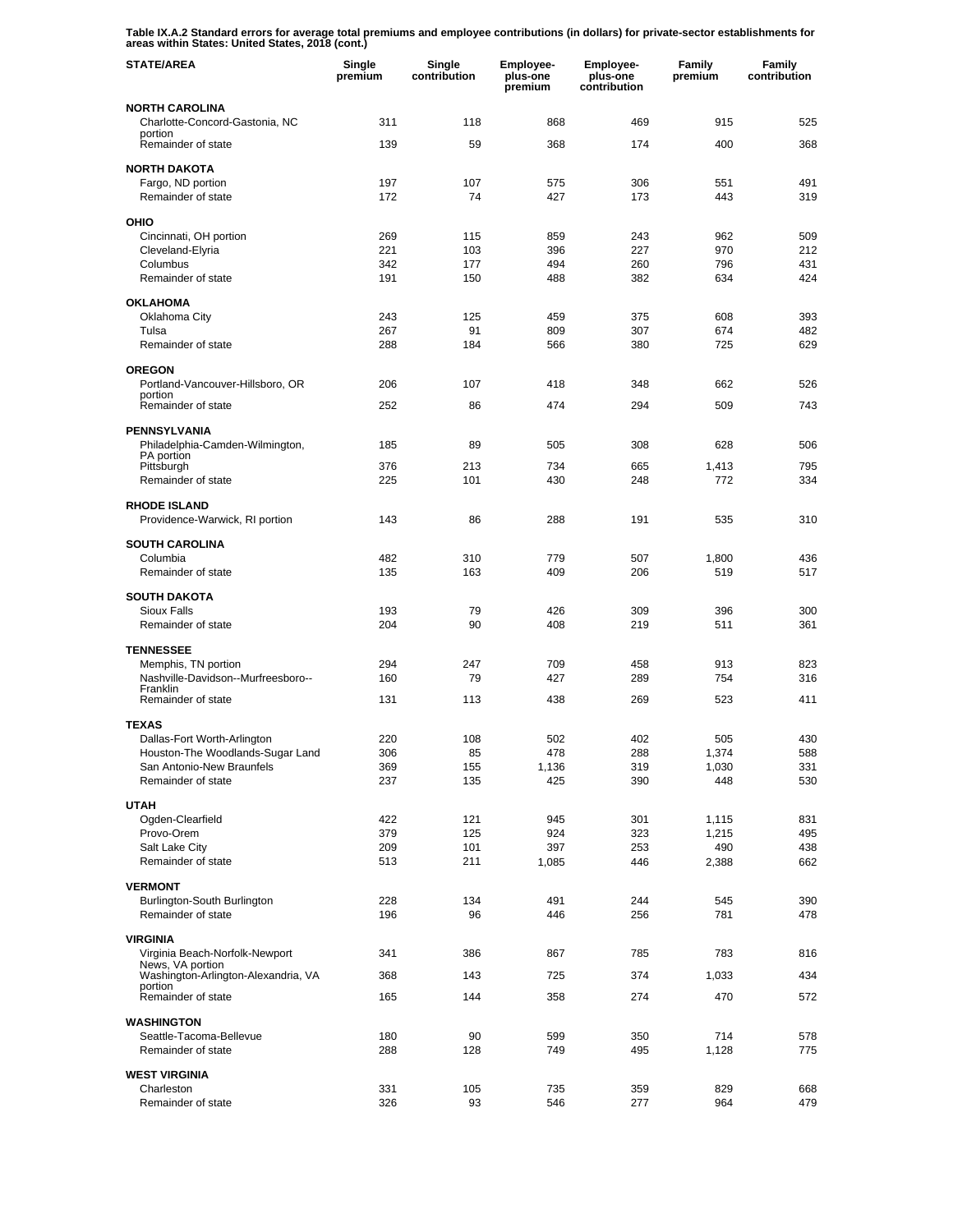**Table IX.A.2 Standard errors for average total premiums and employee contributions (in dollars) for private-sector establishments for areas within States: United States, 2018 (cont.)** 

| <b>STATE/AREA</b>                                               | Single<br>premium | Single<br>contribution | <b>Employee-</b><br>plus-one<br>premium | <b>Employee-</b><br>plus-one<br>contribution | Family<br>premium | Family<br>contribution |
|-----------------------------------------------------------------|-------------------|------------------------|-----------------------------------------|----------------------------------------------|-------------------|------------------------|
| <b>NORTH CAROLINA</b>                                           |                   |                        |                                         |                                              |                   |                        |
| Charlotte-Concord-Gastonia, NC<br>portion                       | 311               | 118                    | 868                                     | 469                                          | 915               | 525                    |
| Remainder of state                                              | 139               | 59                     | 368                                     | 174                                          | 400               | 368                    |
| <b>NORTH DAKOTA</b>                                             |                   |                        |                                         |                                              |                   |                        |
| Fargo, ND portion                                               | 197               | 107                    | 575                                     | 306                                          | 551               | 491                    |
| Remainder of state                                              | 172               | 74                     | 427                                     | 173                                          | 443               | 319                    |
| OHIO                                                            |                   |                        |                                         |                                              |                   |                        |
| Cincinnati, OH portion<br>Cleveland-Elyria                      | 269<br>221        | 115<br>103             | 859<br>396                              | 243<br>227                                   | 962<br>970        | 509<br>212             |
| Columbus                                                        | 342               | 177                    | 494                                     | 260                                          | 796               | 431                    |
| Remainder of state                                              | 191               | 150                    | 488                                     | 382                                          | 634               | 424                    |
| <b>OKLAHOMA</b>                                                 |                   |                        |                                         |                                              |                   |                        |
| Oklahoma City                                                   | 243               | 125                    | 459                                     | 375                                          | 608               | 393                    |
| Tulsa                                                           | 267               | 91                     | 809                                     | 307                                          | 674               | 482                    |
| Remainder of state                                              | 288               | 184                    | 566                                     | 380                                          | 725               | 629                    |
| <b>OREGON</b>                                                   |                   |                        |                                         |                                              |                   |                        |
| Portland-Vancouver-Hillsboro, OR<br>portion                     | 206               | 107                    | 418                                     | 348                                          | 662               | 526                    |
| Remainder of state                                              | 252               | 86                     | 474                                     | 294                                          | 509               | 743                    |
| <b>PENNSYLVANIA</b>                                             |                   |                        |                                         |                                              |                   |                        |
| Philadelphia-Camden-Wilmington,                                 | 185               | 89                     | 505                                     | 308                                          | 628               | 506                    |
| PA portion<br>Pittsburgh                                        | 376               | 213                    | 734                                     | 665                                          | 1,413             | 795                    |
| Remainder of state                                              | 225               | 101                    | 430                                     | 248                                          | 772               | 334                    |
| <b>RHODE ISLAND</b>                                             |                   |                        |                                         |                                              |                   |                        |
| Providence-Warwick, RI portion                                  | 143               | 86                     | 288                                     | 191                                          | 535               | 310                    |
| <b>SOUTH CAROLINA</b>                                           |                   |                        |                                         |                                              |                   |                        |
| Columbia                                                        | 482               | 310                    | 779                                     | 507                                          | 1,800             | 436                    |
| Remainder of state                                              | 135               | 163                    | 409                                     | 206                                          | 519               | 517                    |
| <b>SOUTH DAKOTA</b>                                             |                   |                        |                                         |                                              |                   |                        |
| Sioux Falls<br>Remainder of state                               | 193<br>204        | 79<br>90               | 426<br>408                              | 309<br>219                                   | 396<br>511        | 300<br>361             |
|                                                                 |                   |                        |                                         |                                              |                   |                        |
| <b>TENNESSEE</b>                                                |                   |                        |                                         |                                              |                   |                        |
| Memphis, TN portion<br>Nashville-Davidson--Murfreesboro--       | 294<br>160        | 247<br>79              | 709<br>427                              | 458<br>289                                   | 913<br>754        | 823<br>316             |
| Franklin<br>Remainder of state                                  | 131               | 113                    | 438                                     | 269                                          | 523               | 411                    |
|                                                                 |                   |                        |                                         |                                              |                   |                        |
| <b>TEXAS</b>                                                    |                   |                        |                                         |                                              |                   |                        |
| Dallas-Fort Worth-Arlington<br>Houston-The Woodlands-Sugar Land | 220<br>306        | 108<br>85              | 502<br>478                              | 402<br>288                                   | 505<br>1,374      | 430<br>588             |
| San Antonio-New Braunfels                                       | 369               | 155                    | 1,136                                   | 319                                          | 1,030             | 331                    |
| Remainder of state                                              | 237               | 135                    | 425                                     | 390                                          | 448               | 530                    |
| <b>UTAH</b>                                                     |                   |                        |                                         |                                              |                   |                        |
| Ogden-Clearfield                                                | 422               | 121                    | 945                                     | 301                                          | 1,115             | 831                    |
| Provo-Orem<br>Salt Lake City                                    | 379<br>209        | 125<br>101             | 924<br>397                              | 323<br>253                                   | 1,215<br>490      | 495<br>438             |
| Remainder of state                                              | 513               | 211                    | 1,085                                   | 446                                          | 2,388             | 662                    |
|                                                                 |                   |                        |                                         |                                              |                   |                        |
| <b>VERMONT</b><br>Burlington-South Burlington                   | 228               | 134                    | 491                                     | 244                                          | 545               | 390                    |
| Remainder of state                                              | 196               | 96                     | 446                                     | 256                                          | 781               | 478                    |
| <b>VIRGINIA</b>                                                 |                   |                        |                                         |                                              |                   |                        |
| Virginia Beach-Norfolk-Newport                                  | 341               | 386                    | 867                                     | 785                                          | 783               | 816                    |
| News, VA portion<br>Washington-Arlington-Alexandria, VA         | 368               | 143                    | 725                                     | 374                                          | 1,033             | 434                    |
| portion<br>Remainder of state                                   | 165               | 144                    | 358                                     | 274                                          | 470               | 572                    |
|                                                                 |                   |                        |                                         |                                              |                   |                        |
| <b>WASHINGTON</b><br>Seattle-Tacoma-Bellevue                    | 180               | 90                     | 599                                     | 350                                          | 714               | 578                    |
| Remainder of state                                              | 288               | 128                    | 749                                     | 495                                          | 1,128             | 775                    |
| <b>WEST VIRGINIA</b>                                            |                   |                        |                                         |                                              |                   |                        |
| Charleston                                                      | 331               | 105                    | 735                                     | 359                                          | 829               | 668                    |
| Remainder of state                                              | 326               | 93                     | 546                                     | 277                                          | 964               | 479                    |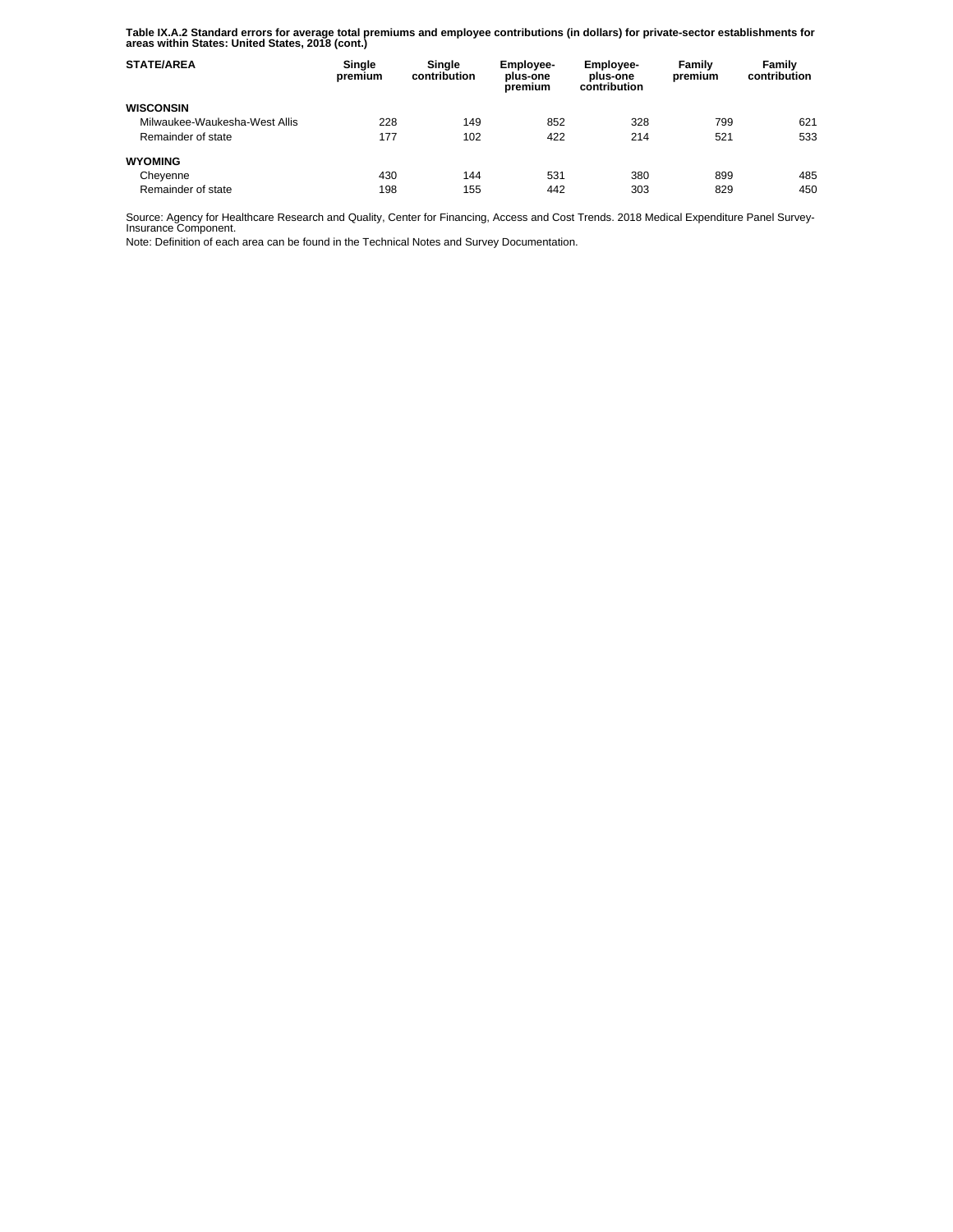**Table IX.A.2 Standard errors for average total premiums and employee contributions (in dollars) for private-sector establishments for areas within States: United States, 2018 (cont.)** 

| <b>STATE/AREA</b>             | Single<br>premium | Single<br>contribution | <b>Employee-</b><br>plus-one<br>premium | <b>Employee-</b><br>plus-one<br>contribution | Family<br>premium | Family<br>contribution |
|-------------------------------|-------------------|------------------------|-----------------------------------------|----------------------------------------------|-------------------|------------------------|
| <b>WISCONSIN</b>              |                   |                        |                                         |                                              |                   |                        |
| Milwaukee-Waukesha-West Allis | 228               | 149                    | 852                                     | 328                                          | 799               | 621                    |
| Remainder of state            | 177               | 102                    | 422                                     | 214                                          | 521               | 533                    |
| <b>WYOMING</b>                |                   |                        |                                         |                                              |                   |                        |
| Cheyenne                      | 430               | 144                    | 531                                     | 380                                          | 899               | 485                    |
| Remainder of state            | 198               | 155                    | 442                                     | 303                                          | 829               | 450                    |

Source: Agency for Healthcare Research and Quality, Center for Financing, Access and Cost Trends. 2018 Medical Expenditure Panel Survey-Insurance Component.

Note: Definition of each area can be found in the Technical Notes and Survey Documentation.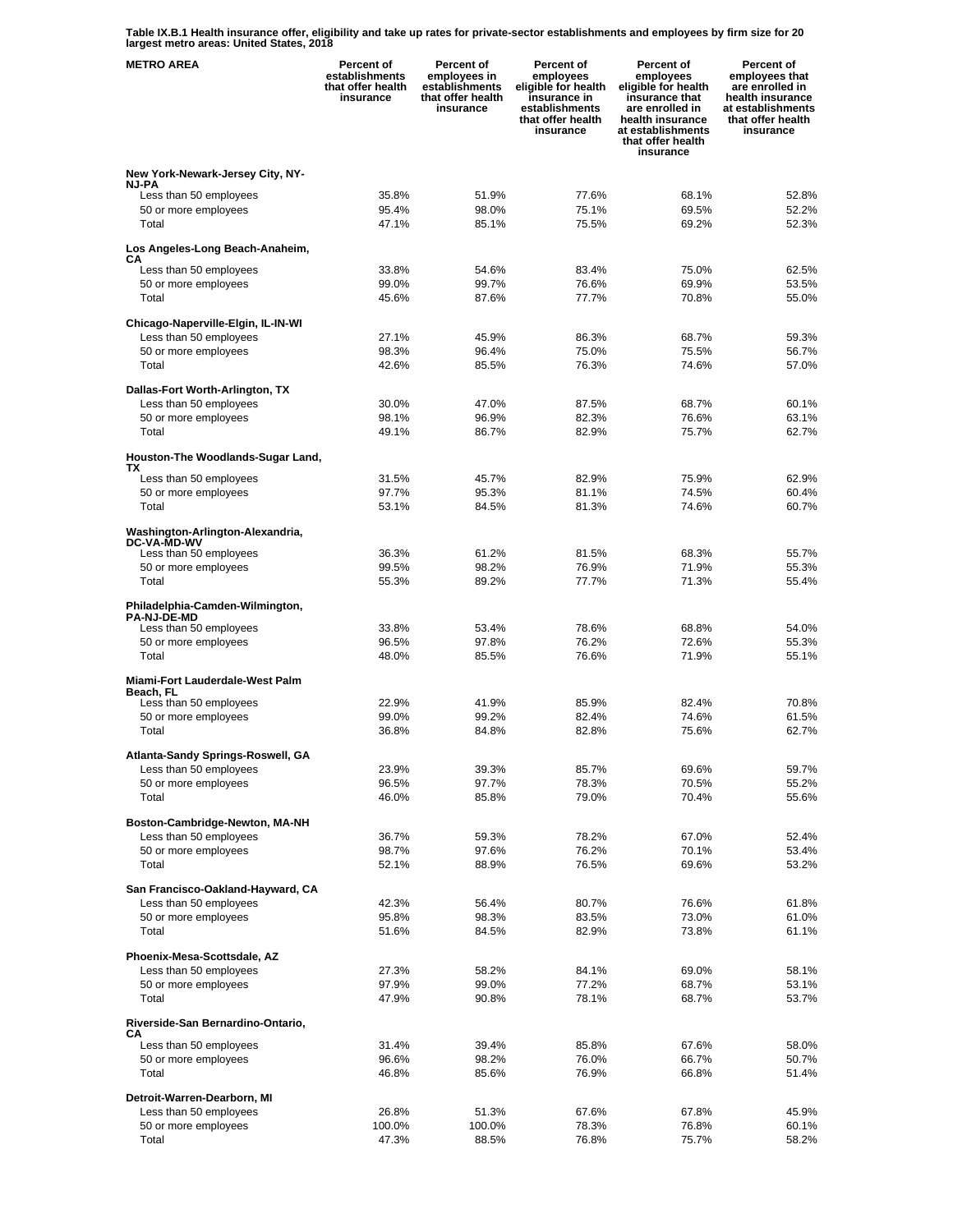**Table IX.B.1 Health insurance offer, eligibility and take up rates for private-sector establishments and employees by firm size for 20 largest metro areas: United States, 2018** 

| <b>METRO AREA</b>                                         | Percent of<br>establishments<br>that offer health<br>insurance | Percent of<br>employees in<br>establishments<br>that offer health<br>insurance | Percent of<br>employees<br>eligible for health<br>insurance in<br>establishments<br>that offer health<br>insurance | Percent of<br>employees<br>eligible for health<br>insurance that<br>are enrolled in<br>health insurance<br>at establishments<br>that offer health<br>insurance | <b>Percent of</b><br>employees that<br>are enrolled in<br>health insurance<br>at establishments<br>that offer health<br>insurance |
|-----------------------------------------------------------|----------------------------------------------------------------|--------------------------------------------------------------------------------|--------------------------------------------------------------------------------------------------------------------|----------------------------------------------------------------------------------------------------------------------------------------------------------------|-----------------------------------------------------------------------------------------------------------------------------------|
| New York-Newark-Jersey City, NY-                          |                                                                |                                                                                |                                                                                                                    |                                                                                                                                                                |                                                                                                                                   |
| <b>NJ-PA</b><br>Less than 50 employees                    | 35.8%                                                          | 51.9%                                                                          | 77.6%                                                                                                              | 68.1%                                                                                                                                                          | 52.8%                                                                                                                             |
| 50 or more employees                                      | 95.4%                                                          | 98.0%                                                                          | 75.1%                                                                                                              | 69.5%                                                                                                                                                          | 52.2%                                                                                                                             |
| Total                                                     | 47.1%                                                          | 85.1%                                                                          | 75.5%                                                                                                              | 69.2%                                                                                                                                                          | 52.3%                                                                                                                             |
| Los Angeles-Long Beach-Anaheim,<br>CА                     |                                                                |                                                                                |                                                                                                                    |                                                                                                                                                                |                                                                                                                                   |
| Less than 50 employees                                    | 33.8%                                                          | 54.6%                                                                          | 83.4%                                                                                                              | 75.0%                                                                                                                                                          | 62.5%                                                                                                                             |
| 50 or more employees<br>Total                             | 99.0%<br>45.6%                                                 | 99.7%<br>87.6%                                                                 | 76.6%<br>77.7%                                                                                                     | 69.9%<br>70.8%                                                                                                                                                 | 53.5%<br>55.0%                                                                                                                    |
|                                                           |                                                                |                                                                                |                                                                                                                    |                                                                                                                                                                |                                                                                                                                   |
| Chicago-Naperville-Elgin, IL-IN-WI                        |                                                                |                                                                                |                                                                                                                    |                                                                                                                                                                |                                                                                                                                   |
| Less than 50 employees<br>50 or more employees            | 27.1%<br>98.3%                                                 | 45.9%<br>96.4%                                                                 | 86.3%<br>75.0%                                                                                                     | 68.7%<br>75.5%                                                                                                                                                 | 59.3%<br>56.7%                                                                                                                    |
| Total                                                     | 42.6%                                                          | 85.5%                                                                          | 76.3%                                                                                                              | 74.6%                                                                                                                                                          | 57.0%                                                                                                                             |
|                                                           |                                                                |                                                                                |                                                                                                                    |                                                                                                                                                                |                                                                                                                                   |
| Dallas-Fort Worth-Arlington, TX<br>Less than 50 employees | 30.0%                                                          | 47.0%                                                                          | 87.5%                                                                                                              | 68.7%                                                                                                                                                          | 60.1%                                                                                                                             |
| 50 or more employees                                      | 98.1%                                                          | 96.9%                                                                          | 82.3%                                                                                                              | 76.6%                                                                                                                                                          | 63.1%                                                                                                                             |
| Total                                                     | 49.1%                                                          | 86.7%                                                                          | 82.9%                                                                                                              | 75.7%                                                                                                                                                          | 62.7%                                                                                                                             |
| Houston-The Woodlands-Sugar Land,<br>ТX                   |                                                                |                                                                                |                                                                                                                    |                                                                                                                                                                |                                                                                                                                   |
| Less than 50 employees                                    | 31.5%                                                          | 45.7%                                                                          | 82.9%                                                                                                              | 75.9%                                                                                                                                                          | 62.9%                                                                                                                             |
| 50 or more employees                                      | 97.7%                                                          | 95.3%                                                                          | 81.1%                                                                                                              | 74.5%                                                                                                                                                          | 60.4%                                                                                                                             |
| Total                                                     | 53.1%                                                          | 84.5%                                                                          | 81.3%                                                                                                              | 74.6%                                                                                                                                                          | 60.7%                                                                                                                             |
| Washington-Arlington-Alexandria,<br><b>DC-VA-MD-WV</b>    |                                                                |                                                                                |                                                                                                                    |                                                                                                                                                                |                                                                                                                                   |
| Less than 50 employees<br>50 or more employees            | 36.3%<br>99.5%                                                 | 61.2%<br>98.2%                                                                 | 81.5%<br>76.9%                                                                                                     | 68.3%<br>71.9%                                                                                                                                                 | 55.7%<br>55.3%                                                                                                                    |
| Total                                                     | 55.3%                                                          | 89.2%                                                                          | 77.7%                                                                                                              | 71.3%                                                                                                                                                          | 55.4%                                                                                                                             |
|                                                           |                                                                |                                                                                |                                                                                                                    |                                                                                                                                                                |                                                                                                                                   |
| Philadelphia-Camden-Wilmington,<br><b>PA-NJ-DE-MD</b>     |                                                                |                                                                                |                                                                                                                    |                                                                                                                                                                |                                                                                                                                   |
| Less than 50 employees                                    | 33.8%                                                          | 53.4%                                                                          | 78.6%                                                                                                              | 68.8%                                                                                                                                                          | 54.0%                                                                                                                             |
| 50 or more employees<br>Total                             | 96.5%<br>48.0%                                                 | 97.8%<br>85.5%                                                                 | 76.2%<br>76.6%                                                                                                     | 72.6%<br>71.9%                                                                                                                                                 | 55.3%<br>55.1%                                                                                                                    |
|                                                           |                                                                |                                                                                |                                                                                                                    |                                                                                                                                                                |                                                                                                                                   |
| Miami-Fort Lauderdale-West Palm<br>Beach. FL              |                                                                |                                                                                |                                                                                                                    |                                                                                                                                                                |                                                                                                                                   |
| Less than 50 employees                                    | 22.9%                                                          | 41.9%                                                                          | 85.9%                                                                                                              | 82.4%                                                                                                                                                          | 70.8%                                                                                                                             |
| 50 or more employees<br>Total                             | 99.0%<br>36.8%                                                 | 99.2%<br>84.8%                                                                 | 82.4%<br>82.8%                                                                                                     | 74.6%<br>75.6%                                                                                                                                                 | 61.5%<br>62.7%                                                                                                                    |
|                                                           |                                                                |                                                                                |                                                                                                                    |                                                                                                                                                                |                                                                                                                                   |
| Atlanta-Sandy Springs-Roswell, GA                         |                                                                |                                                                                |                                                                                                                    |                                                                                                                                                                |                                                                                                                                   |
| Less than 50 employees                                    | 23.9%                                                          | 39.3%                                                                          | 85.7%                                                                                                              | 69.6%                                                                                                                                                          | 59.7%                                                                                                                             |
| 50 or more employees<br>Total                             | 96.5%<br>46.0%                                                 | 97.7%<br>85.8%                                                                 | 78.3%<br>79.0%                                                                                                     | 70.5%<br>70.4%                                                                                                                                                 | 55.2%<br>55.6%                                                                                                                    |
|                                                           |                                                                |                                                                                |                                                                                                                    |                                                                                                                                                                |                                                                                                                                   |
| Boston-Cambridge-Newton, MA-NH<br>Less than 50 employees  | 36.7%                                                          | 59.3%                                                                          | 78.2%                                                                                                              | 67.0%                                                                                                                                                          | 52.4%                                                                                                                             |
| 50 or more employees                                      | 98.7%                                                          | 97.6%                                                                          | 76.2%                                                                                                              | 70.1%                                                                                                                                                          | 53.4%                                                                                                                             |
| Total                                                     | 52.1%                                                          | 88.9%                                                                          | 76.5%                                                                                                              | 69.6%                                                                                                                                                          | 53.2%                                                                                                                             |
| San Francisco-Oakland-Hayward, CA                         |                                                                |                                                                                |                                                                                                                    |                                                                                                                                                                |                                                                                                                                   |
| Less than 50 employees                                    | 42.3%                                                          | 56.4%                                                                          | 80.7%                                                                                                              | 76.6%                                                                                                                                                          | 61.8%                                                                                                                             |
| 50 or more employees                                      | 95.8%                                                          | 98.3%                                                                          | 83.5%                                                                                                              | 73.0%                                                                                                                                                          | 61.0%                                                                                                                             |
| Total                                                     | 51.6%                                                          | 84.5%                                                                          | 82.9%                                                                                                              | 73.8%                                                                                                                                                          | 61.1%                                                                                                                             |
| Phoenix-Mesa-Scottsdale, AZ                               |                                                                |                                                                                |                                                                                                                    |                                                                                                                                                                |                                                                                                                                   |
| Less than 50 employees                                    | 27.3%                                                          | 58.2%                                                                          | 84.1%                                                                                                              | 69.0%                                                                                                                                                          | 58.1%                                                                                                                             |
| 50 or more employees                                      | 97.9%                                                          | 99.0%                                                                          | 77.2%                                                                                                              | 68.7%                                                                                                                                                          | 53.1%                                                                                                                             |
| Total                                                     | 47.9%                                                          | 90.8%                                                                          | 78.1%                                                                                                              | 68.7%                                                                                                                                                          | 53.7%                                                                                                                             |
| Riverside-San Bernardino-Ontario,<br>CА                   |                                                                |                                                                                |                                                                                                                    |                                                                                                                                                                |                                                                                                                                   |
| Less than 50 employees<br>50 or more employees            | 31.4%<br>96.6%                                                 | 39.4%<br>98.2%                                                                 | 85.8%<br>76.0%                                                                                                     | 67.6%<br>66.7%                                                                                                                                                 | 58.0%<br>50.7%                                                                                                                    |
| Total                                                     | 46.8%                                                          | 85.6%                                                                          | 76.9%                                                                                                              | 66.8%                                                                                                                                                          | 51.4%                                                                                                                             |
|                                                           |                                                                |                                                                                |                                                                                                                    |                                                                                                                                                                |                                                                                                                                   |
| Detroit-Warren-Dearborn, MI<br>Less than 50 employees     | 26.8%                                                          | 51.3%                                                                          | 67.6%                                                                                                              | 67.8%                                                                                                                                                          | 45.9%                                                                                                                             |
| 50 or more employees                                      | 100.0%                                                         | 100.0%                                                                         | 78.3%                                                                                                              | 76.8%                                                                                                                                                          | 60.1%                                                                                                                             |
| Total                                                     | 47.3%                                                          | 88.5%                                                                          | 76.8%                                                                                                              | 75.7%                                                                                                                                                          | 58.2%                                                                                                                             |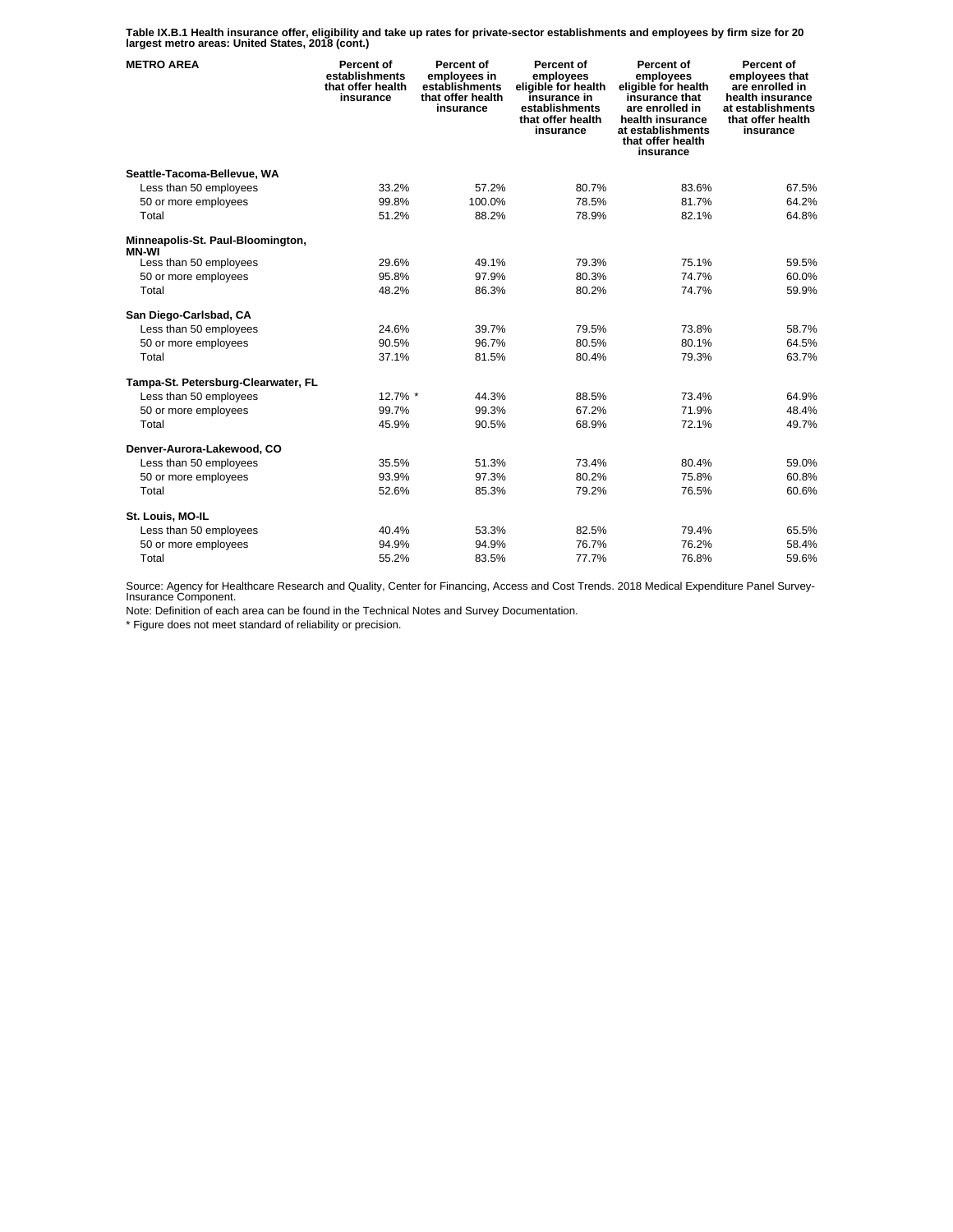**Table IX.B.1 Health insurance offer, eligibility and take up rates for private-sector establishments and employees by firm size for 20 largest metro areas: United States, 2018 (cont.)** 

| <b>METRO AREA</b>                                 | Percent of<br>establishments<br>that offer health<br>insurance | Percent of<br>employees in<br>establishments<br>that offer health<br>insurance | Percent of<br>employees<br>eligible for health<br>insurance in<br>establishments<br>that offer health<br>insurance | Percent of<br>employees<br>eligible for health<br>insurance that<br>are enrolled in<br>health insurance<br>at establishments<br>that offer health<br>insurance | Percent of<br>employees that<br>are enrolled in<br>health insurance<br>at establishments<br>that offer health<br>insurance |
|---------------------------------------------------|----------------------------------------------------------------|--------------------------------------------------------------------------------|--------------------------------------------------------------------------------------------------------------------|----------------------------------------------------------------------------------------------------------------------------------------------------------------|----------------------------------------------------------------------------------------------------------------------------|
| Seattle-Tacoma-Bellevue, WA                       |                                                                |                                                                                |                                                                                                                    |                                                                                                                                                                |                                                                                                                            |
| Less than 50 employees                            | 33.2%                                                          | 57.2%                                                                          | 80.7%                                                                                                              | 83.6%                                                                                                                                                          | 67.5%                                                                                                                      |
| 50 or more employees                              | 99.8%                                                          | 100.0%                                                                         | 78.5%                                                                                                              | 81.7%                                                                                                                                                          | 64.2%                                                                                                                      |
| Total                                             | 51.2%                                                          | 88.2%                                                                          | 78.9%                                                                                                              | 82.1%                                                                                                                                                          | 64.8%                                                                                                                      |
| Minneapolis-St. Paul-Bloomington,<br><b>MN-WI</b> |                                                                |                                                                                |                                                                                                                    |                                                                                                                                                                |                                                                                                                            |
| Less than 50 employees                            | 29.6%                                                          | 49.1%                                                                          | 79.3%                                                                                                              | 75.1%                                                                                                                                                          | 59.5%                                                                                                                      |
| 50 or more employees                              | 95.8%                                                          | 97.9%                                                                          | 80.3%                                                                                                              | 74.7%                                                                                                                                                          | 60.0%                                                                                                                      |
| Total                                             | 48.2%                                                          | 86.3%                                                                          | 80.2%                                                                                                              | 74.7%                                                                                                                                                          | 59.9%                                                                                                                      |
| San Diego-Carlsbad, CA                            |                                                                |                                                                                |                                                                                                                    |                                                                                                                                                                |                                                                                                                            |
| Less than 50 employees                            | 24.6%                                                          | 39.7%                                                                          | 79.5%                                                                                                              | 73.8%                                                                                                                                                          | 58.7%                                                                                                                      |
| 50 or more employees                              | 90.5%                                                          | 96.7%                                                                          | 80.5%                                                                                                              | 80.1%                                                                                                                                                          | 64.5%                                                                                                                      |
| Total                                             | 37.1%                                                          | 81.5%                                                                          | 80.4%                                                                                                              | 79.3%                                                                                                                                                          | 63.7%                                                                                                                      |
| Tampa-St. Petersburg-Clearwater, FL               |                                                                |                                                                                |                                                                                                                    |                                                                                                                                                                |                                                                                                                            |
| Less than 50 employees                            | 12.7% *                                                        | 44.3%                                                                          | 88.5%                                                                                                              | 73.4%                                                                                                                                                          | 64.9%                                                                                                                      |
| 50 or more employees                              | 99.7%                                                          | 99.3%                                                                          | 67.2%                                                                                                              | 71.9%                                                                                                                                                          | 48.4%                                                                                                                      |
| Total                                             | 45.9%                                                          | 90.5%                                                                          | 68.9%                                                                                                              | 72.1%                                                                                                                                                          | 49.7%                                                                                                                      |
| Denver-Aurora-Lakewood, CO                        |                                                                |                                                                                |                                                                                                                    |                                                                                                                                                                |                                                                                                                            |
| Less than 50 employees                            | 35.5%                                                          | 51.3%                                                                          | 73.4%                                                                                                              | 80.4%                                                                                                                                                          | 59.0%                                                                                                                      |
| 50 or more employees                              | 93.9%                                                          | 97.3%                                                                          | 80.2%                                                                                                              | 75.8%                                                                                                                                                          | 60.8%                                                                                                                      |
| Total                                             | 52.6%                                                          | 85.3%                                                                          | 79.2%                                                                                                              | 76.5%                                                                                                                                                          | 60.6%                                                                                                                      |
| St. Louis, MO-IL                                  |                                                                |                                                                                |                                                                                                                    |                                                                                                                                                                |                                                                                                                            |
| Less than 50 employees                            | 40.4%                                                          | 53.3%                                                                          | 82.5%                                                                                                              | 79.4%                                                                                                                                                          | 65.5%                                                                                                                      |
| 50 or more employees                              | 94.9%                                                          | 94.9%                                                                          | 76.7%                                                                                                              | 76.2%                                                                                                                                                          | 58.4%                                                                                                                      |
| Total                                             | 55.2%                                                          | 83.5%                                                                          | 77.7%                                                                                                              | 76.8%                                                                                                                                                          | 59.6%                                                                                                                      |

Source: Agency for Healthcare Research and Quality, Center for Financing, Access and Cost Trends. 2018 Medical Expenditure Panel Survey-Insurance Component.

Note: Definition of each area can be found in the Technical Notes and Survey Documentation.

\* Figure does not meet standard of reliability or precision.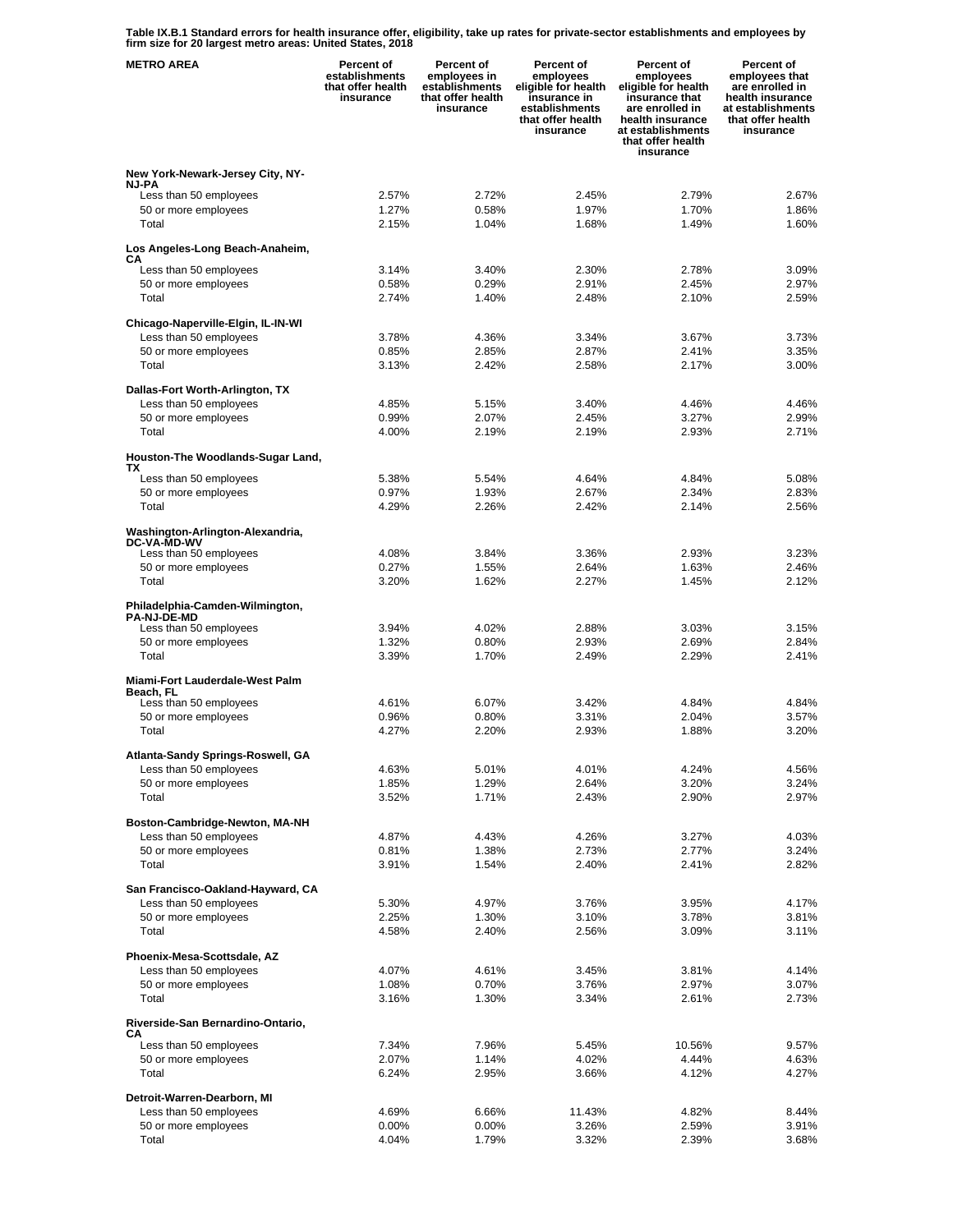**Table IX.B.1 Standard errors for health insurance offer, eligibility, take up rates for private-sector establishments and employees by firm size for 20 largest metro areas: United States, 2018** 

| <b>METRO AREA</b>                                         | Percent of<br>establishments<br>that offer health<br>insurance | Percent of<br>employees in<br>establishments<br>that offer health<br>insurance | Percent of<br>employees<br>eligible for health<br>insurance in<br>establishments<br>that offer health<br>insurance | Percent of<br>employees<br>eligible for health<br>insurance that<br>are enrolled in<br>health insurance<br>at establishments<br>that offer health<br>insurance | <b>Percent of</b><br>employees that<br>are enrolled in<br>health insurance<br>at establishments<br>that offer health<br>insurance |
|-----------------------------------------------------------|----------------------------------------------------------------|--------------------------------------------------------------------------------|--------------------------------------------------------------------------------------------------------------------|----------------------------------------------------------------------------------------------------------------------------------------------------------------|-----------------------------------------------------------------------------------------------------------------------------------|
| New York-Newark-Jersey City, NY-                          |                                                                |                                                                                |                                                                                                                    |                                                                                                                                                                |                                                                                                                                   |
| <b>NJ-PA</b><br>Less than 50 employees                    | 2.57%                                                          | 2.72%                                                                          | 2.45%                                                                                                              | 2.79%                                                                                                                                                          | 2.67%                                                                                                                             |
| 50 or more employees                                      | 1.27%                                                          | 0.58%                                                                          | 1.97%                                                                                                              | 1.70%                                                                                                                                                          | 1.86%                                                                                                                             |
| Total                                                     | 2.15%                                                          | 1.04%                                                                          | 1.68%                                                                                                              | 1.49%                                                                                                                                                          | 1.60%                                                                                                                             |
| Los Angeles-Long Beach-Anaheim,<br>CА                     |                                                                |                                                                                |                                                                                                                    |                                                                                                                                                                |                                                                                                                                   |
| Less than 50 employees                                    | 3.14%                                                          | 3.40%                                                                          | 2.30%                                                                                                              | 2.78%                                                                                                                                                          | 3.09%                                                                                                                             |
| 50 or more employees<br>Total                             | 0.58%<br>2.74%                                                 | 0.29%<br>1.40%                                                                 | 2.91%<br>2.48%                                                                                                     | 2.45%<br>2.10%                                                                                                                                                 | 2.97%<br>2.59%                                                                                                                    |
|                                                           |                                                                |                                                                                |                                                                                                                    |                                                                                                                                                                |                                                                                                                                   |
| Chicago-Naperville-Elgin, IL-IN-WI                        |                                                                |                                                                                |                                                                                                                    |                                                                                                                                                                |                                                                                                                                   |
| Less than 50 employees<br>50 or more employees            | 3.78%<br>0.85%                                                 | 4.36%<br>2.85%                                                                 | 3.34%<br>2.87%                                                                                                     | 3.67%<br>2.41%                                                                                                                                                 | 3.73%<br>3.35%                                                                                                                    |
| Total                                                     | 3.13%                                                          | 2.42%                                                                          | 2.58%                                                                                                              | 2.17%                                                                                                                                                          | 3.00%                                                                                                                             |
|                                                           |                                                                |                                                                                |                                                                                                                    |                                                                                                                                                                |                                                                                                                                   |
| Dallas-Fort Worth-Arlington, TX<br>Less than 50 employees | 4.85%                                                          | 5.15%                                                                          | 3.40%                                                                                                              | 4.46%                                                                                                                                                          | 4.46%                                                                                                                             |
| 50 or more employees                                      | 0.99%                                                          | 2.07%                                                                          | 2.45%                                                                                                              | 3.27%                                                                                                                                                          | 2.99%                                                                                                                             |
| Total                                                     | 4.00%                                                          | 2.19%                                                                          | 2.19%                                                                                                              | 2.93%                                                                                                                                                          | 2.71%                                                                                                                             |
| Houston-The Woodlands-Sugar Land,<br>ТX                   |                                                                |                                                                                |                                                                                                                    |                                                                                                                                                                |                                                                                                                                   |
| Less than 50 employees                                    | 5.38%                                                          | 5.54%                                                                          | 4.64%                                                                                                              | 4.84%                                                                                                                                                          | 5.08%                                                                                                                             |
| 50 or more employees                                      | 0.97%                                                          | 1.93%                                                                          | 2.67%                                                                                                              | 2.34%                                                                                                                                                          | 2.83%                                                                                                                             |
| Total                                                     | 4.29%                                                          | 2.26%                                                                          | 2.42%                                                                                                              | 2.14%                                                                                                                                                          | 2.56%                                                                                                                             |
| Washington-Arlington-Alexandria,<br><b>DC-VA-MD-WV</b>    |                                                                |                                                                                |                                                                                                                    |                                                                                                                                                                |                                                                                                                                   |
| Less than 50 employees                                    | 4.08%                                                          | 3.84%                                                                          | 3.36%                                                                                                              | 2.93%                                                                                                                                                          | 3.23%<br>2.46%                                                                                                                    |
| 50 or more employees<br>Total                             | 0.27%<br>3.20%                                                 | 1.55%<br>1.62%                                                                 | 2.64%<br>2.27%                                                                                                     | 1.63%<br>1.45%                                                                                                                                                 | 2.12%                                                                                                                             |
|                                                           |                                                                |                                                                                |                                                                                                                    |                                                                                                                                                                |                                                                                                                                   |
| Philadelphia-Camden-Wilmington,<br><b>PA-NJ-DE-MD</b>     |                                                                |                                                                                |                                                                                                                    |                                                                                                                                                                |                                                                                                                                   |
| Less than 50 employees                                    | 3.94%                                                          | 4.02%                                                                          | 2.88%                                                                                                              | 3.03%                                                                                                                                                          | 3.15%                                                                                                                             |
| 50 or more employees<br>Total                             | 1.32%<br>3.39%                                                 | 0.80%<br>1.70%                                                                 | 2.93%<br>2.49%                                                                                                     | 2.69%<br>2.29%                                                                                                                                                 | 2.84%<br>2.41%                                                                                                                    |
|                                                           |                                                                |                                                                                |                                                                                                                    |                                                                                                                                                                |                                                                                                                                   |
| Miami-Fort Lauderdale-West Palm<br>Beach. FL              |                                                                |                                                                                |                                                                                                                    |                                                                                                                                                                |                                                                                                                                   |
| Less than 50 employees                                    | 4.61%                                                          | 6.07%                                                                          | 3.42%                                                                                                              | 4.84%                                                                                                                                                          | 4.84%                                                                                                                             |
| 50 or more employees                                      | 0.96%                                                          | 0.80%                                                                          | 3.31%                                                                                                              | 2.04%                                                                                                                                                          | 3.57%                                                                                                                             |
| Total                                                     | 4.27%                                                          | 2.20%                                                                          | 2.93%                                                                                                              | 1.88%                                                                                                                                                          | 3.20%                                                                                                                             |
| Atlanta-Sandy Springs-Roswell, GA                         |                                                                |                                                                                |                                                                                                                    |                                                                                                                                                                |                                                                                                                                   |
| Less than 50 employees                                    | 4.63%                                                          | 5.01%                                                                          | 4.01%                                                                                                              | 4.24%                                                                                                                                                          | 4.56%                                                                                                                             |
| 50 or more employees<br>Total                             | 1.85%<br>3.52%                                                 | 1.29%<br>1.71%                                                                 | 2.64%<br>2.43%                                                                                                     | 3.20%<br>2.90%                                                                                                                                                 | 3.24%<br>2.97%                                                                                                                    |
|                                                           |                                                                |                                                                                |                                                                                                                    |                                                                                                                                                                |                                                                                                                                   |
| Boston-Cambridge-Newton, MA-NH<br>Less than 50 employees  | 4.87%                                                          | 4.43%                                                                          | 4.26%                                                                                                              | 3.27%                                                                                                                                                          | 4.03%                                                                                                                             |
| 50 or more employees                                      | 0.81%                                                          | 1.38%                                                                          | 2.73%                                                                                                              | 2.77%                                                                                                                                                          | 3.24%                                                                                                                             |
| Total                                                     | 3.91%                                                          | 1.54%                                                                          | 2.40%                                                                                                              | 2.41%                                                                                                                                                          | 2.82%                                                                                                                             |
| San Francisco-Oakland-Hayward, CA                         |                                                                |                                                                                |                                                                                                                    |                                                                                                                                                                |                                                                                                                                   |
| Less than 50 employees                                    | 5.30%                                                          | 4.97%                                                                          | 3.76%                                                                                                              | 3.95%                                                                                                                                                          | 4.17%                                                                                                                             |
| 50 or more employees                                      | 2.25%                                                          | 1.30%                                                                          | 3.10%                                                                                                              | 3.78%                                                                                                                                                          | 3.81%                                                                                                                             |
| Total                                                     | 4.58%                                                          | 2.40%                                                                          | 2.56%                                                                                                              | 3.09%                                                                                                                                                          | 3.11%                                                                                                                             |
| Phoenix-Mesa-Scottsdale, AZ                               |                                                                |                                                                                |                                                                                                                    |                                                                                                                                                                |                                                                                                                                   |
| Less than 50 employees                                    | 4.07%                                                          | 4.61%                                                                          | 3.45%                                                                                                              | 3.81%                                                                                                                                                          | 4.14%                                                                                                                             |
| 50 or more employees                                      | 1.08%                                                          | 0.70%                                                                          | 3.76%                                                                                                              | 2.97%                                                                                                                                                          | 3.07%                                                                                                                             |
| Total                                                     | 3.16%                                                          | 1.30%                                                                          | 3.34%                                                                                                              | 2.61%                                                                                                                                                          | 2.73%                                                                                                                             |
| Riverside-San Bernardino-Ontario,<br>CА                   |                                                                |                                                                                |                                                                                                                    |                                                                                                                                                                |                                                                                                                                   |
| Less than 50 employees<br>50 or more employees            | 7.34%<br>2.07%                                                 | 7.96%<br>1.14%                                                                 | 5.45%<br>4.02%                                                                                                     | 10.56%<br>4.44%                                                                                                                                                | 9.57%<br>4.63%                                                                                                                    |
| Total                                                     | 6.24%                                                          | 2.95%                                                                          | 3.66%                                                                                                              | 4.12%                                                                                                                                                          | 4.27%                                                                                                                             |
|                                                           |                                                                |                                                                                |                                                                                                                    |                                                                                                                                                                |                                                                                                                                   |
| Detroit-Warren-Dearborn, MI<br>Less than 50 employees     | 4.69%                                                          | 6.66%                                                                          | 11.43%                                                                                                             | 4.82%                                                                                                                                                          | 8.44%                                                                                                                             |
| 50 or more employees                                      | 0.00%                                                          | 0.00%                                                                          | 3.26%                                                                                                              | 2.59%                                                                                                                                                          | 3.91%                                                                                                                             |
| Total                                                     | 4.04%                                                          | 1.79%                                                                          | 3.32%                                                                                                              | 2.39%                                                                                                                                                          | 3.68%                                                                                                                             |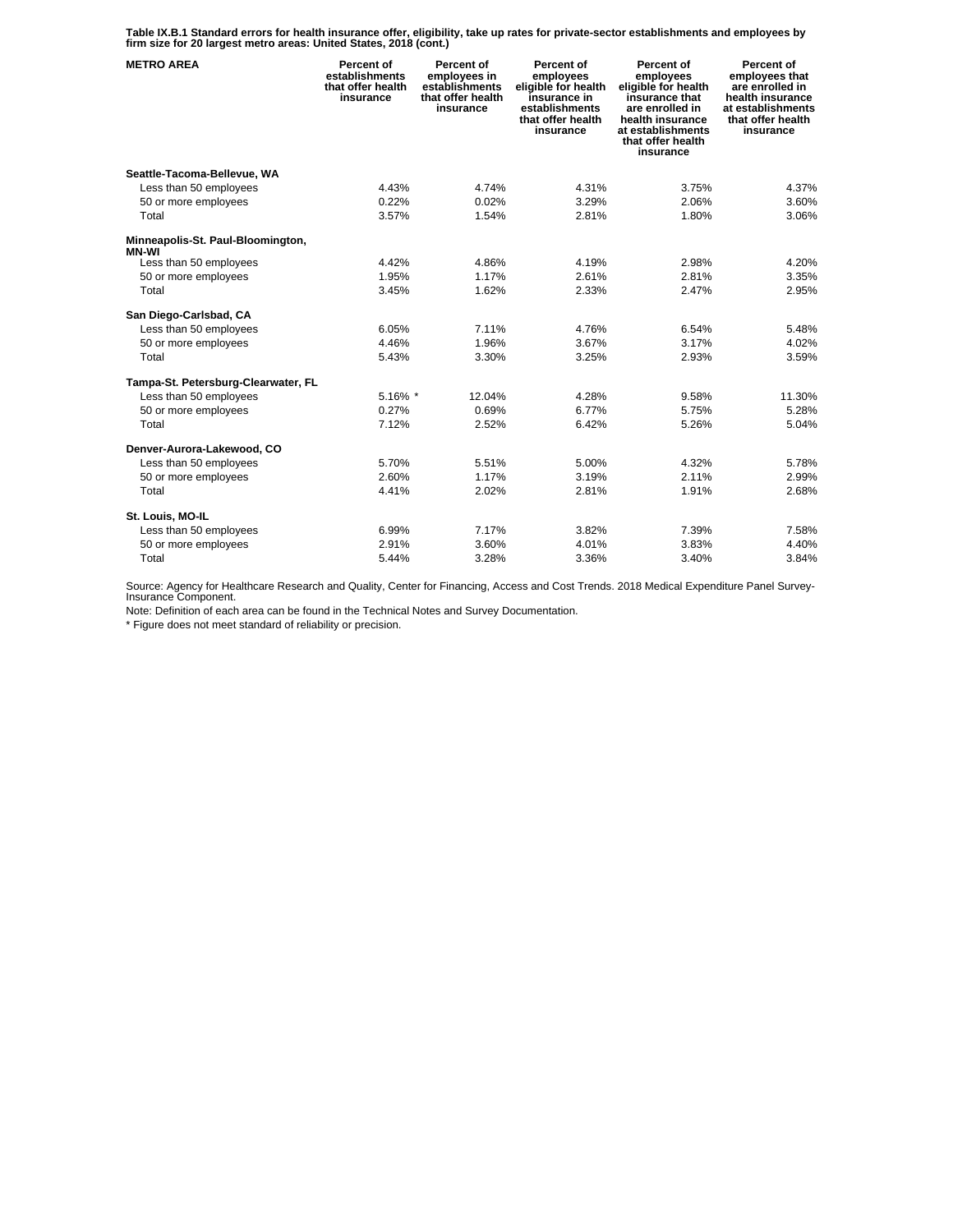**Table IX.B.1 Standard errors for health insurance offer, eligibility, take up rates for private-sector establishments and employees by firm size for 20 largest metro areas: United States, 2018 (cont.)** 

| <b>METRO AREA</b>                          | Percent of<br>establishments<br>that offer health<br>insurance | Percent of<br>employees in<br>establishments<br>that offer health<br>insurance | Percent of<br>employees<br>eligible for health<br>insurance in<br>establishments<br>that offer health<br>insurance | Percent of<br>employees<br>eligible for health<br>insurance that<br>are enrolled in<br>health insurance<br>at establishments<br>that offer health<br>insurance | <b>Percent of</b><br>employees that<br>are enrolled in<br>health insurance<br>at establishments<br>that offer health<br>insurance |
|--------------------------------------------|----------------------------------------------------------------|--------------------------------------------------------------------------------|--------------------------------------------------------------------------------------------------------------------|----------------------------------------------------------------------------------------------------------------------------------------------------------------|-----------------------------------------------------------------------------------------------------------------------------------|
| Seattle-Tacoma-Bellevue, WA                |                                                                |                                                                                |                                                                                                                    |                                                                                                                                                                |                                                                                                                                   |
| Less than 50 employees                     | 4.43%                                                          | 4.74%                                                                          | 4.31%                                                                                                              | 3.75%                                                                                                                                                          | 4.37%                                                                                                                             |
| 50 or more employees                       | 0.22%                                                          | 0.02%                                                                          | 3.29%                                                                                                              | 2.06%                                                                                                                                                          | 3.60%                                                                                                                             |
| Total                                      | 3.57%                                                          | 1.54%                                                                          | 2.81%                                                                                                              | 1.80%                                                                                                                                                          | 3.06%                                                                                                                             |
| Minneapolis-St. Paul-Bloomington,<br>MN-WI |                                                                |                                                                                |                                                                                                                    |                                                                                                                                                                |                                                                                                                                   |
| Less than 50 employees                     | 4.42%                                                          | 4.86%                                                                          | 4.19%                                                                                                              | 2.98%                                                                                                                                                          | 4.20%                                                                                                                             |
| 50 or more employees                       | 1.95%                                                          | 1.17%                                                                          | 2.61%                                                                                                              | 2.81%                                                                                                                                                          | 3.35%                                                                                                                             |
| Total                                      | 3.45%                                                          | 1.62%                                                                          | 2.33%                                                                                                              | 2.47%                                                                                                                                                          | 2.95%                                                                                                                             |
| San Diego-Carlsbad, CA                     |                                                                |                                                                                |                                                                                                                    |                                                                                                                                                                |                                                                                                                                   |
| Less than 50 employees                     | 6.05%                                                          | 7.11%                                                                          | 4.76%                                                                                                              | 6.54%                                                                                                                                                          | 5.48%                                                                                                                             |
| 50 or more employees                       | 4.46%                                                          | 1.96%                                                                          | 3.67%                                                                                                              | 3.17%                                                                                                                                                          | 4.02%                                                                                                                             |
| Total                                      | 5.43%                                                          | 3.30%                                                                          | 3.25%                                                                                                              | 2.93%                                                                                                                                                          | 3.59%                                                                                                                             |
| Tampa-St. Petersburg-Clearwater, FL        |                                                                |                                                                                |                                                                                                                    |                                                                                                                                                                |                                                                                                                                   |
| Less than 50 employees                     | 5.16% *                                                        | 12.04%                                                                         | 4.28%                                                                                                              | 9.58%                                                                                                                                                          | 11.30%                                                                                                                            |
| 50 or more employees                       | 0.27%                                                          | 0.69%                                                                          | 6.77%                                                                                                              | 5.75%                                                                                                                                                          | 5.28%                                                                                                                             |
| Total                                      | 7.12%                                                          | 2.52%                                                                          | 6.42%                                                                                                              | 5.26%                                                                                                                                                          | 5.04%                                                                                                                             |
| Denver-Aurora-Lakewood, CO                 |                                                                |                                                                                |                                                                                                                    |                                                                                                                                                                |                                                                                                                                   |
| Less than 50 employees                     | 5.70%                                                          | 5.51%                                                                          | 5.00%                                                                                                              | 4.32%                                                                                                                                                          | 5.78%                                                                                                                             |
| 50 or more employees                       | 2.60%                                                          | 1.17%                                                                          | 3.19%                                                                                                              | 2.11%                                                                                                                                                          | 2.99%                                                                                                                             |
| Total                                      | 4.41%                                                          | 2.02%                                                                          | 2.81%                                                                                                              | 1.91%                                                                                                                                                          | 2.68%                                                                                                                             |
| St. Louis, MO-IL                           |                                                                |                                                                                |                                                                                                                    |                                                                                                                                                                |                                                                                                                                   |
| Less than 50 employees                     | 6.99%                                                          | 7.17%                                                                          | 3.82%                                                                                                              | 7.39%                                                                                                                                                          | 7.58%                                                                                                                             |
| 50 or more employees                       | 2.91%                                                          | 3.60%                                                                          | 4.01%                                                                                                              | 3.83%                                                                                                                                                          | 4.40%                                                                                                                             |
| Total                                      | 5.44%                                                          | 3.28%                                                                          | 3.36%                                                                                                              | 3.40%                                                                                                                                                          | 3.84%                                                                                                                             |

Source: Agency for Healthcare Research and Quality, Center for Financing, Access and Cost Trends. 2018 Medical Expenditure Panel Survey-Insurance Component.

Note: Definition of each area can be found in the Technical Notes and Survey Documentation.

\* Figure does not meet standard of reliability or precision.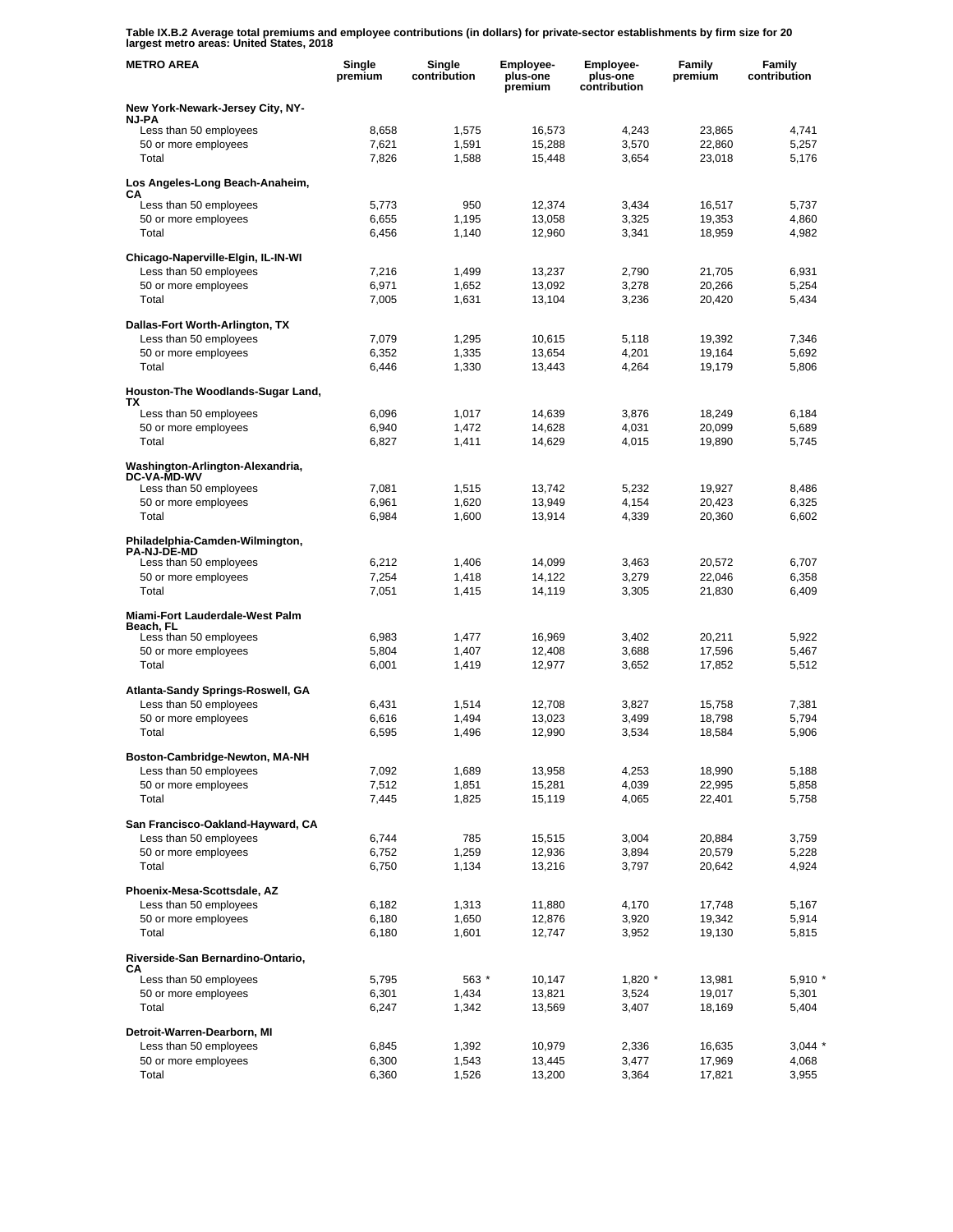**Table IX.B.2 Average total premiums and employee contributions (in dollars) for private-sector establishments by firm size for 20 largest metro areas: United States, 2018** 

| <b>METRO AREA</b>                                         | Single<br>premium | Single<br>contribution | <b>Employee-</b><br>plus-one<br>premium | <b>Employee-</b><br>plus-one<br>contribution | Family<br>premium | Family<br>contribution |
|-----------------------------------------------------------|-------------------|------------------------|-----------------------------------------|----------------------------------------------|-------------------|------------------------|
| New York-Newark-Jersey City, NY-                          |                   |                        |                                         |                                              |                   |                        |
| NJ-PA<br>Less than 50 employees                           | 8,658             | 1,575                  | 16,573                                  | 4,243                                        | 23,865            | 4,741                  |
| 50 or more employees                                      | 7,621             | 1,591                  | 15,288                                  | 3.570                                        | 22,860            | 5,257                  |
| Total                                                     | 7,826             | 1,588                  | 15,448                                  | 3,654                                        | 23,018            | 5,176                  |
| Los Angeles-Long Beach-Anaheim,<br>CА                     |                   |                        |                                         |                                              |                   |                        |
| Less than 50 employees                                    | 5,773             | 950                    | 12,374                                  | 3,434                                        | 16,517            | 5,737                  |
| 50 or more employees                                      | 6,655             | 1,195                  | 13,058                                  | 3,325                                        | 19,353            | 4,860                  |
| Total                                                     | 6,456             | 1,140                  | 12,960                                  | 3,341                                        | 18,959            | 4,982                  |
| Chicago-Naperville-Elgin, IL-IN-WI                        |                   |                        |                                         |                                              |                   |                        |
| Less than 50 employees                                    | 7,216             | 1,499                  | 13,237                                  | 2,790                                        | 21,705            | 6,931                  |
| 50 or more employees<br>Total                             | 6,971<br>7,005    | 1,652<br>1,631         | 13,092<br>13,104                        | 3,278<br>3,236                               | 20,266<br>20,420  | 5,254<br>5,434         |
|                                                           |                   |                        |                                         |                                              |                   |                        |
| Dallas-Fort Worth-Arlington, TX<br>Less than 50 employees |                   |                        |                                         |                                              |                   | 7,346                  |
| 50 or more employees                                      | 7,079<br>6,352    | 1,295<br>1,335         | 10,615<br>13,654                        | 5,118<br>4,201                               | 19,392<br>19,164  | 5,692                  |
| Total                                                     | 6,446             | 1,330                  | 13,443                                  | 4,264                                        | 19,179            | 5,806                  |
| Houston-The Woodlands-Sugar Land,                         |                   |                        |                                         |                                              |                   |                        |
| TХ                                                        |                   |                        |                                         |                                              |                   |                        |
| Less than 50 employees<br>50 or more employees            | 6,096<br>6,940    | 1,017<br>1,472         | 14,639<br>14,628                        | 3,876<br>4,031                               | 18,249<br>20,099  | 6,184<br>5,689         |
| Total                                                     | 6,827             | 1,411                  | 14,629                                  | 4,015                                        | 19,890            | 5,745                  |
| Washington-Arlington-Alexandria,                          |                   |                        |                                         |                                              |                   |                        |
| <b>DC-VA-MD-WV</b><br>Less than 50 employees              | 7,081             | 1,515                  | 13,742                                  | 5,232                                        | 19,927            | 8,486                  |
| 50 or more employees                                      | 6,961             | 1,620                  | 13,949                                  | 4,154                                        | 20,423            | 6,325                  |
| Total                                                     | 6,984             | 1,600                  | 13,914                                  | 4,339                                        | 20,360            | 6,602                  |
| Philadelphia-Camden-Wilmington,<br><b>PA-NJ-DE-MD</b>     |                   |                        |                                         |                                              |                   |                        |
| Less than 50 employees                                    | 6,212             | 1,406                  | 14,099                                  | 3,463                                        | 20,572            | 6,707                  |
| 50 or more employees                                      | 7,254             | 1,418                  | 14,122                                  | 3,279                                        | 22,046            | 6,358                  |
| Total                                                     | 7,051             | 1,415                  | 14,119                                  | 3,305                                        | 21,830            | 6,409                  |
| Miami-Fort Lauderdale-West Palm<br>Beach, FL              |                   |                        |                                         |                                              |                   |                        |
| Less than 50 employees                                    | 6,983             | 1,477                  | 16,969                                  | 3,402                                        | 20,211            | 5,922                  |
| 50 or more employees                                      | 5,804             | 1,407                  | 12,408                                  | 3,688                                        | 17,596            | 5,467                  |
| Total                                                     | 6,001             | 1,419                  | 12,977                                  | 3,652                                        | 17,852            | 5,512                  |
| Atlanta-Sandy Springs-Roswell, GA                         |                   |                        |                                         |                                              |                   |                        |
| Less than 50 employees                                    | 6,431             | 1,514                  | 12,708                                  | 3.827                                        | 15,758<br>18,798  | 7,381<br>5,794         |
| 50 or more employees<br>Total                             | 6,616<br>6,595    | 1,494<br>1,496         | 13,023<br>12,990                        | 3,499<br>3,534                               | 18,584            | 5,906                  |
|                                                           |                   |                        |                                         |                                              |                   |                        |
| Boston-Cambridge-Newton, MA-NH<br>Less than 50 employees  | 7,092             | 1,689                  | 13,958                                  | 4,253                                        | 18,990            | 5,188                  |
| 50 or more employees                                      | 7,512             | 1,851                  | 15,281                                  | 4,039                                        | 22,995            | 5,858                  |
| Total                                                     | 7,445             | 1,825                  | 15,119                                  | 4,065                                        | 22,401            | 5,758                  |
| San Francisco-Oakland-Hayward, CA                         |                   |                        |                                         |                                              |                   |                        |
| Less than 50 employees                                    | 6,744             | 785                    | 15,515                                  | 3,004                                        | 20,884            | 3,759                  |
| 50 or more employees<br>Total                             | 6,752<br>6,750    | 1,259<br>1,134         | 12,936<br>13,216                        | 3,894<br>3,797                               | 20,579<br>20,642  | 5,228<br>4,924         |
| Phoenix-Mesa-Scottsdale, AZ                               |                   |                        |                                         |                                              |                   |                        |
| Less than 50 employees                                    | 6,182             | 1,313                  | 11,880                                  | 4,170                                        | 17,748            | 5,167                  |
| 50 or more employees                                      | 6,180             | 1,650                  | 12,876                                  | 3,920                                        | 19,342            | 5,914                  |
| Total                                                     | 6,180             | 1,601                  | 12,747                                  | 3,952                                        | 19,130            | 5,815                  |
| Riverside-San Bernardino-Ontario,<br>СA                   |                   |                        |                                         |                                              |                   |                        |
| Less than 50 employees                                    | 5,795             | 563 *                  | 10,147                                  | $1,820$ *                                    | 13,981            | $5,910*$               |
| 50 or more employees<br>Total                             | 6,301<br>6,247    | 1,434<br>1,342         | 13,821<br>13,569                        | 3,524<br>3,407                               | 19,017<br>18,169  | 5,301<br>5,404         |
|                                                           |                   |                        |                                         |                                              |                   |                        |
| Detroit-Warren-Dearborn, MI<br>Less than 50 employees     | 6,845             | 1,392                  | 10,979                                  | 2,336                                        | 16,635            | $3,044$ *              |
| 50 or more employees                                      | 6,300             | 1,543                  | 13,445                                  | 3,477                                        | 17,969            | 4,068                  |
| Total                                                     | 6,360             | 1,526                  | 13,200                                  | 3,364                                        | 17,821            | 3,955                  |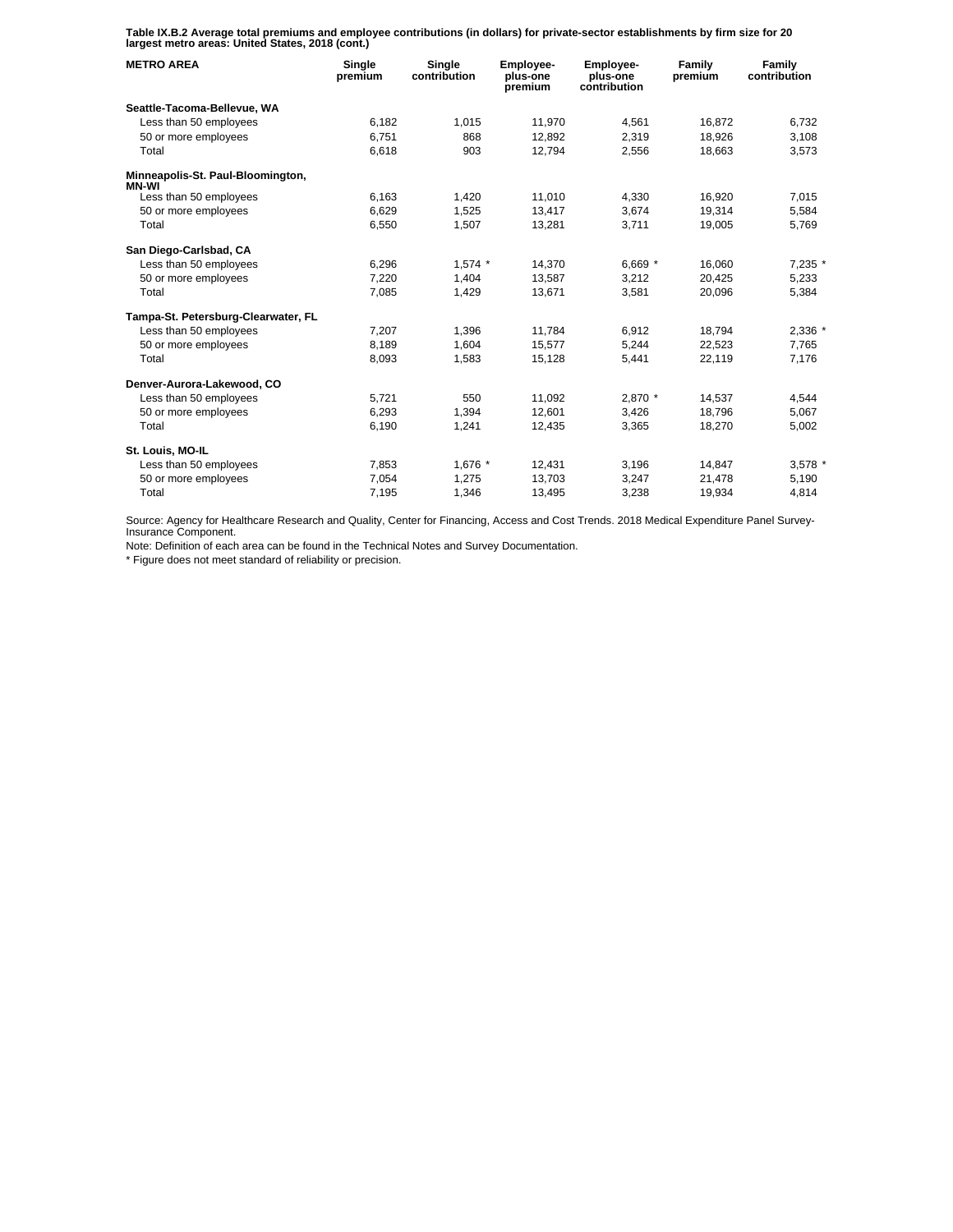**Table IX.B.2 Average total premiums and employee contributions (in dollars) for private-sector establishments by firm size for 20 largest metro areas: United States, 2018 (cont.)** 

| <b>METRO AREA</b>                          | Single<br>premium | Single<br>contribution | <b>Employee-</b><br>plus-one<br>premium | <b>Employee-</b><br>plus-one<br>contribution | Family<br>premium | Family<br>contribution |
|--------------------------------------------|-------------------|------------------------|-----------------------------------------|----------------------------------------------|-------------------|------------------------|
| Seattle-Tacoma-Bellevue, WA                |                   |                        |                                         |                                              |                   |                        |
| Less than 50 employees                     | 6.182             | 1.015                  | 11.970                                  | 4.561                                        | 16.872            | 6.732                  |
| 50 or more employees                       | 6,751             | 868                    | 12.892                                  | 2,319                                        | 18.926            | 3,108                  |
| Total                                      | 6,618             | 903                    | 12,794                                  | 2,556                                        | 18,663            | 3,573                  |
| Minneapolis-St. Paul-Bloomington,<br>MN-WI |                   |                        |                                         |                                              |                   |                        |
| Less than 50 employees                     | 6.163             | 1,420                  | 11,010                                  | 4.330                                        | 16.920            | 7.015                  |
| 50 or more employees                       | 6,629             | 1,525                  | 13,417                                  | 3,674                                        | 19,314            | 5,584                  |
| Total                                      | 6,550             | 1,507                  | 13,281                                  | 3.711                                        | 19,005            | 5.769                  |
| San Diego-Carlsbad, CA                     |                   |                        |                                         |                                              |                   |                        |
| Less than 50 employees                     | 6,296             | $1,574$ *              | 14,370                                  | 6,669 $*$                                    | 16,060            | 7,235 *                |
| 50 or more employees                       | 7.220             | 1.404                  | 13.587                                  | 3.212                                        | 20.425            | 5,233                  |
| Total                                      | 7,085             | 1,429                  | 13,671                                  | 3.581                                        | 20,096            | 5,384                  |
| Tampa-St. Petersburg-Clearwater, FL        |                   |                        |                                         |                                              |                   |                        |
| Less than 50 employees                     | 7,207             | 1,396                  | 11,784                                  | 6,912                                        | 18,794            | 2,336 *                |
| 50 or more employees                       | 8.189             | 1.604                  | 15.577                                  | 5.244                                        | 22.523            | 7.765                  |
| Total                                      | 8,093             | 1,583                  | 15,128                                  | 5,441                                        | 22,119            | 7,176                  |
| Denver-Aurora-Lakewood, CO                 |                   |                        |                                         |                                              |                   |                        |
| Less than 50 employees                     | 5,721             | 550                    | 11,092                                  | 2,870 *                                      | 14,537            | 4,544                  |
| 50 or more employees                       | 6,293             | 1,394                  | 12.601                                  | 3.426                                        | 18.796            | 5.067                  |
| Total                                      | 6,190             | 1,241                  | 12,435                                  | 3,365                                        | 18,270            | 5,002                  |
| St. Louis, MO-IL                           |                   |                        |                                         |                                              |                   |                        |
| Less than 50 employees                     | 7,853             | 1,676 *                | 12,431                                  | 3,196                                        | 14,847            | 3,578 *                |
| 50 or more employees                       | 7,054             | 1,275                  | 13,703                                  | 3,247                                        | 21,478            | 5,190                  |
| Total                                      | 7,195             | 1,346                  | 13,495                                  | 3,238                                        | 19,934            | 4,814                  |

Source: Agency for Healthcare Research and Quality, Center for Financing, Access and Cost Trends. 2018 Medical Expenditure Panel Survey-Insurance Component.

Note: Definition of each area can be found in the Technical Notes and Survey Documentation.

\* Figure does not meet standard of reliability or precision.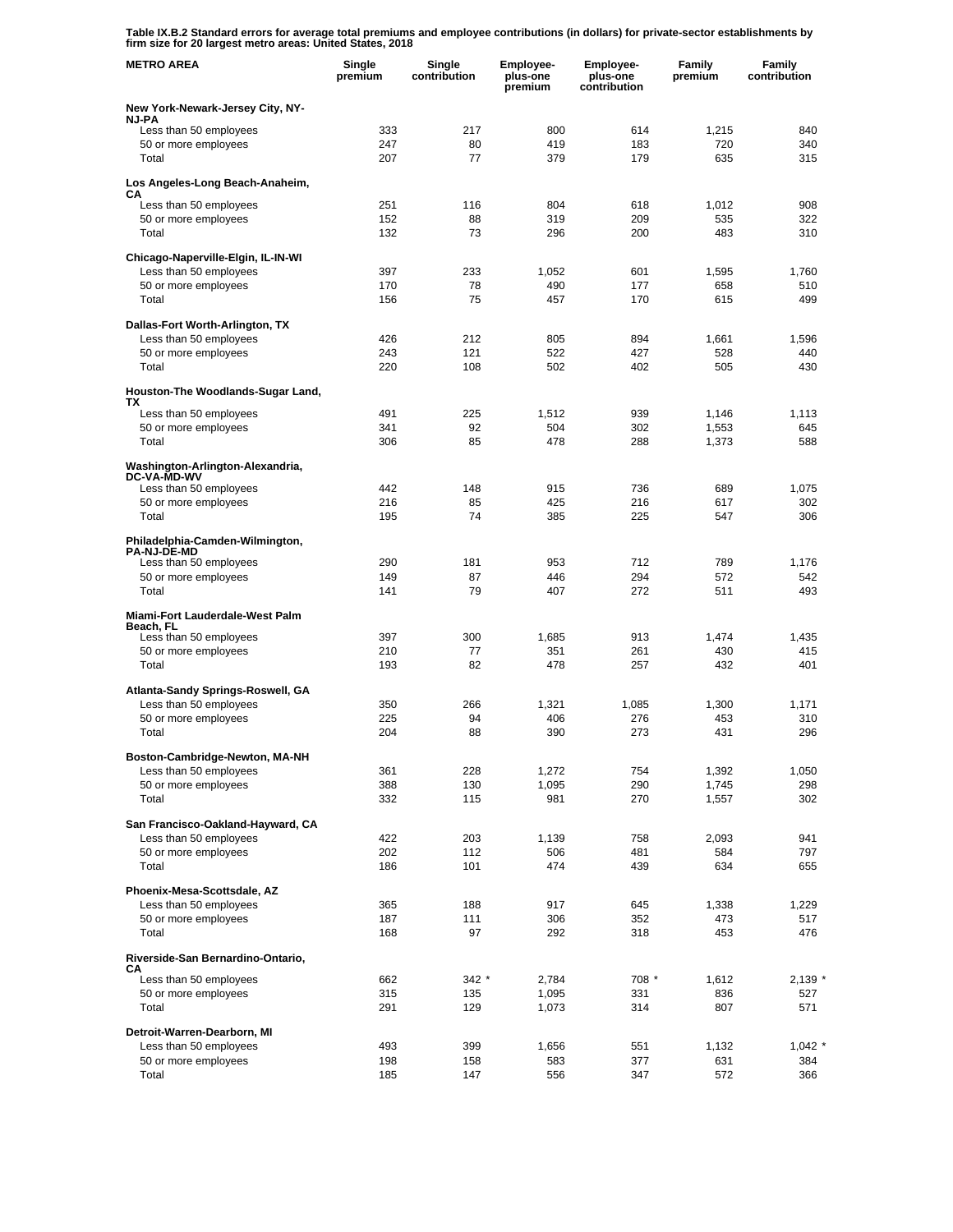**Table IX.B.2 Standard errors for average total premiums and employee contributions (in dollars) for private-sector establishments by firm size for 20 largest metro areas: United States, 2018** 

| <b>METRO AREA</b>                                           | Single<br>premium | Single<br>contribution | Employee-<br>plus-one<br>premium | Employee-<br>plus-one<br>contribution | Family<br>premium | Family<br>contribution |
|-------------------------------------------------------------|-------------------|------------------------|----------------------------------|---------------------------------------|-------------------|------------------------|
| New York-Newark-Jersey City, NY-                            |                   |                        |                                  |                                       |                   |                        |
| <b>NJ-PA</b><br>Less than 50 employees                      | 333               | 217                    | 800                              | 614                                   | 1,215             | 840                    |
| 50 or more employees                                        | 247               | 80                     | 419                              | 183                                   | 720               | 340                    |
| Total                                                       | 207               | 77                     | 379                              | 179                                   | 635               | 315                    |
| Los Angeles-Long Beach-Anaheim,<br>CА                       |                   |                        |                                  |                                       |                   |                        |
| Less than 50 employees                                      | 251               | 116                    | 804                              | 618                                   | 1,012             | 908                    |
| 50 or more employees                                        | 152               | 88                     | 319                              | 209                                   | 535               | 322                    |
| Total                                                       | 132               | 73                     | 296                              | 200                                   | 483               | 310                    |
| Chicago-Naperville-Elgin, IL-IN-WI                          |                   |                        |                                  |                                       |                   |                        |
| Less than 50 employees<br>50 or more employees              | 397<br>170        | 233<br>78              | 1,052<br>490                     | 601<br>177                            | 1,595<br>658      | 1,760<br>510           |
| Total                                                       | 156               | 75                     | 457                              | 170                                   | 615               | 499                    |
| Dallas-Fort Worth-Arlington, TX                             |                   |                        |                                  |                                       |                   |                        |
| Less than 50 employees                                      | 426               | 212                    | 805                              | 894                                   | 1,661             | 1,596                  |
| 50 or more employees                                        | 243               | 121                    | 522                              | 427                                   | 528               | 440                    |
| Total                                                       | 220               | 108                    | 502                              | 402                                   | 505               | 430                    |
| Houston-The Woodlands-Sugar Land,<br>TХ                     |                   |                        |                                  |                                       |                   |                        |
| Less than 50 employees                                      | 491               | 225                    | 1,512                            | 939                                   | 1,146             | 1,113                  |
| 50 or more employees                                        | 341               | 92                     | 504                              | 302                                   | 1,553             | 645                    |
| Total                                                       | 306               | 85                     | 478                              | 288                                   | 1,373             | 588                    |
| Washington-Arlington-Alexandria,<br><b>DC-VA-MD-WV</b>      |                   |                        |                                  |                                       |                   |                        |
| Less than 50 employees                                      | 442               | 148                    | 915                              | 736                                   | 689               | 1,075                  |
| 50 or more employees<br>Total                               | 216<br>195        | 85<br>74               | 425<br>385                       | 216<br>225                            | 617<br>547        | 302<br>306             |
| Philadelphia-Camden-Wilmington,                             |                   |                        |                                  |                                       |                   |                        |
| <b>PA-NJ-DE-MD</b><br>Less than 50 employees                | 290               | 181                    | 953                              | 712                                   | 789               | 1,176                  |
| 50 or more employees                                        | 149               | 87                     | 446                              | 294                                   | 572               | 542                    |
| Total                                                       | 141               | 79                     | 407                              | 272                                   | 511               | 493                    |
| Miami-Fort Lauderdale-West Palm<br>Beach, FL                |                   |                        |                                  |                                       |                   |                        |
| Less than 50 employees                                      | 397               | 300                    | 1,685                            | 913                                   | 1,474             | 1,435                  |
| 50 or more employees<br>Total                               | 210<br>193        | 77<br>82               | 351<br>478                       | 261<br>257                            | 430<br>432        | 415<br>401             |
|                                                             |                   |                        |                                  |                                       |                   |                        |
| Atlanta-Sandy Springs-Roswell, GA<br>Less than 50 employees | 350               | 266                    | 1,321                            | 1,085                                 | 1,300             | 1,171                  |
| 50 or more employees                                        | 225               | 94                     | 406                              | 276                                   | 453               | 310                    |
| Total                                                       | 204               | 88                     | 390                              | 273                                   | 431               | 296                    |
| Boston-Cambridge-Newton, MA-NH                              |                   |                        |                                  |                                       |                   |                        |
| Less than 50 employees                                      | 361               | 228                    | 1,272                            | 754                                   | 1,392             | 1,050                  |
| 50 or more employees                                        | 388               | 130                    | 1,095                            | 290                                   | 1,745             | 298                    |
| Total                                                       | 332               | 115                    | 981                              | 270                                   | 1,557             | 302                    |
| San Francisco-Oakland-Hayward, CA                           |                   |                        |                                  |                                       |                   |                        |
| Less than 50 employees<br>50 or more employees              | 422<br>202        | 203<br>112             | 1,139<br>506                     | 758<br>481                            | 2,093<br>584      | 941<br>797             |
| Total                                                       | 186               | 101                    | 474                              | 439                                   | 634               | 655                    |
| Phoenix-Mesa-Scottsdale, AZ                                 |                   |                        |                                  |                                       |                   |                        |
| Less than 50 employees                                      | 365               | 188                    | 917                              | 645                                   | 1,338             | 1,229                  |
| 50 or more employees                                        | 187               | 111                    | 306                              | 352                                   | 473               | 517                    |
| Total                                                       | 168               | 97                     | 292                              | 318                                   | 453               | 476                    |
| Riverside-San Bernardino-Ontario,<br>CА                     |                   |                        |                                  |                                       |                   |                        |
| Less than 50 employees                                      | 662<br>315        | $342 *$                | 2,784<br>1,095                   | 708 *                                 | 1,612<br>836      | $2,139$ *<br>527       |
| 50 or more employees<br>Total                               | 291               | 135<br>129             | 1,073                            | 331<br>314                            | 807               | 571                    |
|                                                             |                   |                        |                                  |                                       |                   |                        |
| Detroit-Warren-Dearborn, MI<br>Less than 50 employees       | 493               | 399                    | 1,656                            | 551                                   | 1,132             | $1,042$ *              |
| 50 or more employees                                        | 198               | 158                    | 583                              | 377                                   | 631               | 384                    |
| Total                                                       | 185               | 147                    | 556                              | 347                                   | 572               | 366                    |